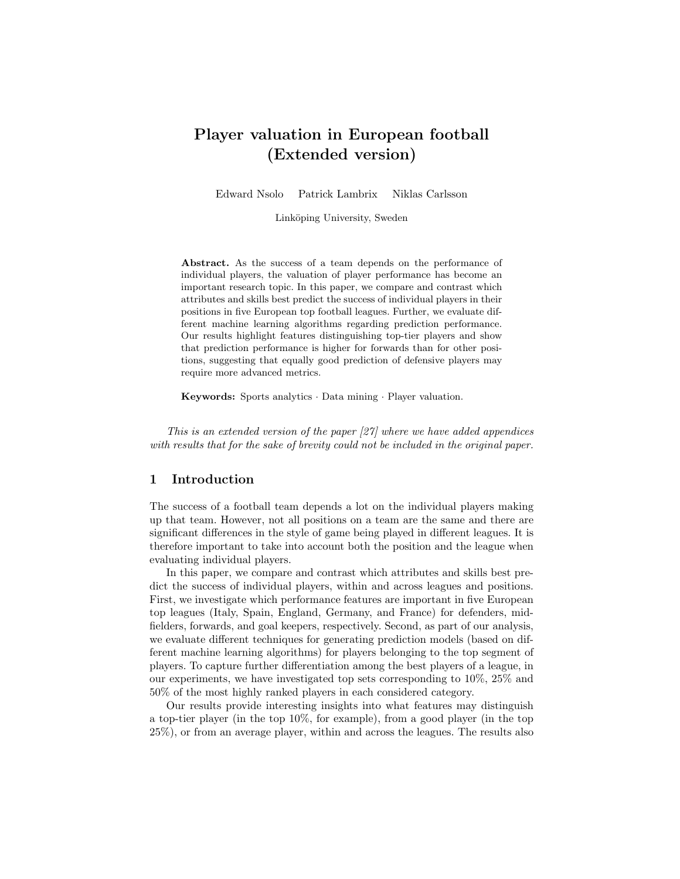# Player valuation in European football (Extended version)

Edward Nsolo Patrick Lambrix Niklas Carlsson

Linköping University, Sweden

Abstract. As the success of a team depends on the performance of individual players, the valuation of player performance has become an important research topic. In this paper, we compare and contrast which attributes and skills best predict the success of individual players in their positions in five European top football leagues. Further, we evaluate different machine learning algorithms regarding prediction performance. Our results highlight features distinguishing top-tier players and show that prediction performance is higher for forwards than for other positions, suggesting that equally good prediction of defensive players may require more advanced metrics.

Keywords: Sports analytics · Data mining · Player valuation.

This is an extended version of the paper [27] where we have added appendices with results that for the sake of brevity could not be included in the original paper.

### 1 Introduction

The success of a football team depends a lot on the individual players making up that team. However, not all positions on a team are the same and there are significant differences in the style of game being played in different leagues. It is therefore important to take into account both the position and the league when evaluating individual players.

In this paper, we compare and contrast which attributes and skills best predict the success of individual players, within and across leagues and positions. First, we investigate which performance features are important in five European top leagues (Italy, Spain, England, Germany, and France) for defenders, midfielders, forwards, and goal keepers, respectively. Second, as part of our analysis, we evaluate different techniques for generating prediction models (based on different machine learning algorithms) for players belonging to the top segment of players. To capture further differentiation among the best players of a league, in our experiments, we have investigated top sets corresponding to 10%, 25% and 50% of the most highly ranked players in each considered category.

Our results provide interesting insights into what features may distinguish a top-tier player (in the top 10%, for example), from a good player (in the top 25%), or from an average player, within and across the leagues. The results also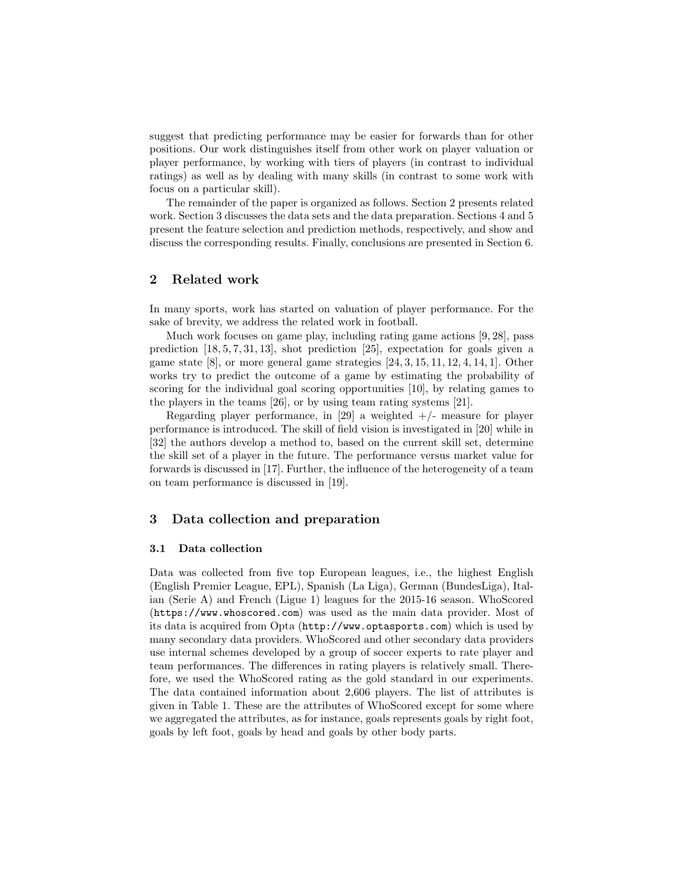suggest that predicting performance may be easier for forwards than for other positions. Our work distinguishes itself from other work on player valuation or player performance, by working with tiers of players (in contrast to individual ratings) as well as by dealing with many skills (in contrast to some work with focus on a particular skill).

The remainder of the paper is organized as follows. Section 2 presents related work. Section 3 discusses the data sets and the data preparation. Sections 4 and 5 present the feature selection and prediction methods, respectively, and show and discuss the corresponding results. Finally, conclusions are presented in Section 6.

## 2 Related work

In many sports, work has started on valuation of player performance. For the sake of brevity, we address the related work in football.

Much work focuses on game play, including rating game actions [9, 28], pass prediction [18, 5, 7, 31, 13], shot prediction [25], expectation for goals given a game state  $[8]$ , or more general game strategies  $[24, 3, 15, 11, 12, 4, 14, 1]$ . Other works try to predict the outcome of a game by estimating the probability of scoring for the individual goal scoring opportunities [10], by relating games to the players in the teams [26], or by using team rating systems [21].

Regarding player performance, in [29] a weighted  $+/-$  measure for player performance is introduced. The skill of field vision is investigated in [20] while in [32] the authors develop a method to, based on the current skill set, determine the skill set of a player in the future. The performance versus market value for forwards is discussed in [17]. Further, the influence of the heterogeneity of a team on team performance is discussed in [19].

## 3 Data collection and preparation

#### 3.1 Data collection

Data was collected from five top European leagues, i.e., the highest English (English Premier League, EPL), Spanish (La Liga), German (BundesLiga), Italian (Serie A) and French (Ligue 1) leagues for the 2015-16 season. WhoScored (https://www.whoscored.com) was used as the main data provider. Most of its data is acquired from Opta (http://www.optasports.com) which is used by many secondary data providers. WhoScored and other secondary data providers use internal schemes developed by a group of soccer experts to rate player and team performances. The differences in rating players is relatively small. Therefore, we used the WhoScored rating as the gold standard in our experiments. The data contained information about 2,606 players. The list of attributes is given in Table 1. These are the attributes of WhoScored except for some where we aggregated the attributes, as for instance, goals represents goals by right foot, goals by left foot, goals by head and goals by other body parts.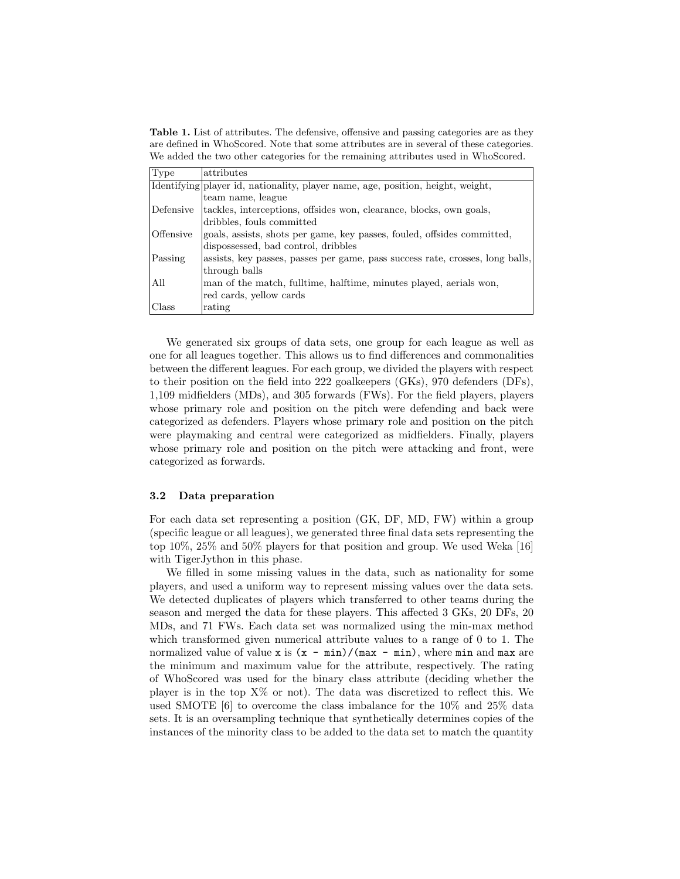Table 1. List of attributes. The defensive, offensive and passing categories are as they are defined in WhoScored. Note that some attributes are in several of these categories. We added the two other categories for the remaining attributes used in WhoScored.

| Type      | attributes                                                                      |
|-----------|---------------------------------------------------------------------------------|
|           | Identifying player id, nationality, player name, age, position, height, weight, |
|           | team name, league                                                               |
| Defensive | tackles, interceptions, offsides won, clearance, blocks, own goals,             |
|           | dribbles, fouls committed                                                       |
| Offensive | goals, assists, shots per game, key passes, fouled, offsides committed,         |
|           | dispossessed, bad control, dribbles                                             |
| Passing   | assists, key passes, passes per game, pass success rate, crosses, long balls,   |
|           | through balls                                                                   |
| l A II    | man of the match, fulltime, halftime, minutes played, aerials won,              |
|           | red cards, yellow cards                                                         |
| Class     | rating                                                                          |

We generated six groups of data sets, one group for each league as well as one for all leagues together. This allows us to find differences and commonalities between the different leagues. For each group, we divided the players with respect to their position on the field into 222 goalkeepers (GKs), 970 defenders (DFs), 1,109 midfielders (MDs), and 305 forwards (FWs). For the field players, players whose primary role and position on the pitch were defending and back were categorized as defenders. Players whose primary role and position on the pitch were playmaking and central were categorized as midfielders. Finally, players whose primary role and position on the pitch were attacking and front, were categorized as forwards.

#### 3.2 Data preparation

For each data set representing a position (GK, DF, MD, FW) within a group (specific league or all leagues), we generated three final data sets representing the top 10%, 25% and 50% players for that position and group. We used Weka [16] with TigerJython in this phase.

We filled in some missing values in the data, such as nationality for some players, and used a uniform way to represent missing values over the data sets. We detected duplicates of players which transferred to other teams during the season and merged the data for these players. This affected 3 GKs, 20 DFs, 20 MDs, and 71 FWs. Each data set was normalized using the min-max method which transformed given numerical attribute values to a range of 0 to 1. The normalized value of value x is  $(x - \min) / (\max - \min)$ , where  $\min$  and  $\max$  are the minimum and maximum value for the attribute, respectively. The rating of WhoScored was used for the binary class attribute (deciding whether the player is in the top  $X\%$  or not). The data was discretized to reflect this. We used SMOTE [6] to overcome the class imbalance for the  $10\%$  and  $25\%$  data sets. It is an oversampling technique that synthetically determines copies of the instances of the minority class to be added to the data set to match the quantity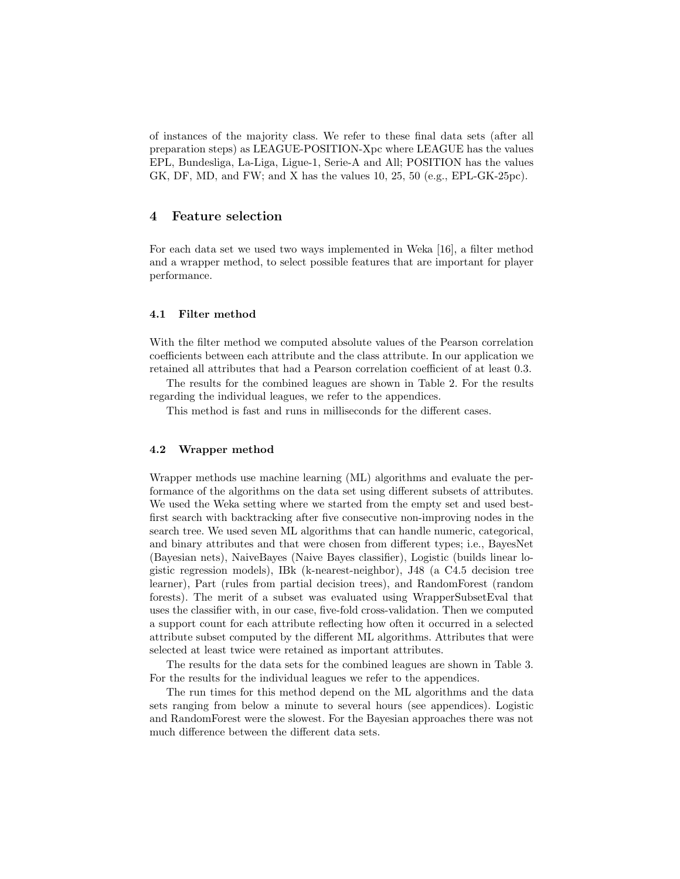of instances of the majority class. We refer to these final data sets (after all preparation steps) as LEAGUE-POSITION-Xpc where LEAGUE has the values EPL, Bundesliga, La-Liga, Ligue-1, Serie-A and All; POSITION has the values GK, DF, MD, and FW; and X has the values 10, 25, 50 (e.g., EPL-GK-25pc).

### 4 Feature selection

For each data set we used two ways implemented in Weka [16], a filter method and a wrapper method, to select possible features that are important for player performance.

#### 4.1 Filter method

With the filter method we computed absolute values of the Pearson correlation coefficients between each attribute and the class attribute. In our application we retained all attributes that had a Pearson correlation coefficient of at least 0.3.

The results for the combined leagues are shown in Table 2. For the results regarding the individual leagues, we refer to the appendices.

This method is fast and runs in milliseconds for the different cases.

#### 4.2 Wrapper method

Wrapper methods use machine learning (ML) algorithms and evaluate the performance of the algorithms on the data set using different subsets of attributes. We used the Weka setting where we started from the empty set and used bestfirst search with backtracking after five consecutive non-improving nodes in the search tree. We used seven ML algorithms that can handle numeric, categorical, and binary attributes and that were chosen from different types; i.e., BayesNet (Bayesian nets), NaiveBayes (Naive Bayes classifier), Logistic (builds linear logistic regression models), IBk (k-nearest-neighbor), J48 (a C4.5 decision tree learner), Part (rules from partial decision trees), and RandomForest (random forests). The merit of a subset was evaluated using WrapperSubsetEval that uses the classifier with, in our case, five-fold cross-validation. Then we computed a support count for each attribute reflecting how often it occurred in a selected attribute subset computed by the different ML algorithms. Attributes that were selected at least twice were retained as important attributes.

The results for the data sets for the combined leagues are shown in Table 3. For the results for the individual leagues we refer to the appendices.

The run times for this method depend on the ML algorithms and the data sets ranging from below a minute to several hours (see appendices). Logistic and RandomForest were the slowest. For the Bayesian approaches there was not much difference between the different data sets.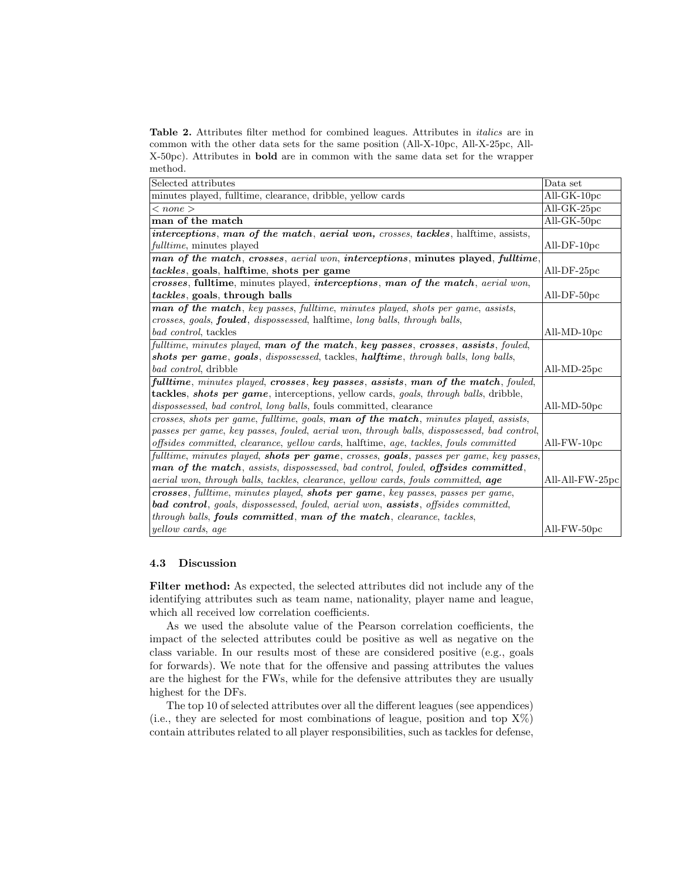Table 2. Attributes filter method for combined leagues. Attributes in italics are in common with the other data sets for the same position (All-X-10pc, All-X-25pc, All-X-50pc). Attributes in bold are in common with the same data set for the wrapper method.

| Selected attributes                                                                        | Data set        |
|--------------------------------------------------------------------------------------------|-----------------|
| minutes played, fulltime, clearance, dribble, yellow cards                                 | All-GK-10pc     |
| < none>                                                                                    | All-GK-25pc     |
| man of the match                                                                           | $All-GK-50pc$   |
| interceptions, man of the match, aerial won, crosses, tackles, halftime, assists,          |                 |
| <i>fulltime</i> , minutes played                                                           | $All-DF-10pc$   |
| man of the match, crosses, aerial won, interceptions, minutes played, fulltime,            |                 |
| <i>tackles</i> , goals, halftime, shots per game                                           | All-DF-25pc     |
| crosses, fulltime, minutes played, interceptions, man of the match, aerial won,            |                 |
| <i>tackles</i> , goals, through balls                                                      | $All-DF-50pc$   |
| man of the match, key passes, fulltime, minutes played, shots per game, assists,           |                 |
| crosses, goals, fouled, dispossessed, halftime, long balls, through balls,                 |                 |
| <i>bad control</i> , tackles                                                               | All-MD-10pc     |
| fulltime, minutes played, man of the match, key passes, crosses, assists, fouled,          |                 |
| shots per game, goals, dispossessed, tackles, halftime, through balls, long balls,         |                 |
| bad control, dribble                                                                       | All-MD-25pc     |
| fulltime, minutes played, crosses, key passes, assists, man of the match, fouled,          |                 |
| tackles, shots per game, interceptions, yellow cards, goals, through balls, dribble,       |                 |
| dispossessed, bad control, long balls, fouls committed, clearance                          | All-MD-50pc     |
| crosses, shots per game, fulltime, goals, man of the match, minutes played, assists,       |                 |
| passes per game, key passes, fouled, aerial won, through balls, dispossessed, bad control, |                 |
| offsides committed, clearance, yellow cards, halftime, age, tackles, fouls committed       | All-FW-10pc     |
| fulltime, minutes played, shots per game, crosses, goals, passes per game, key passes,     |                 |
| man of the match, assists, dispossessed, bad control, fouled, offsides committed,          |                 |
| aerial won, through balls, tackles, clearance, yellow cards, fouls committed, age          | All-All-FW-25pc |
| crosses, fulltime, minutes played, shots per game, key passes, passes per game,            |                 |
| bad control, goals, dispossessed, fouled, aerial won, assists, offsides committed,         |                 |
| through balls, fouls committed, man of the match, clearance, tackles,                      |                 |
| yellow cards, age                                                                          | All-FW-50pc     |
|                                                                                            |                 |

#### 4.3 Discussion

Filter method: As expected, the selected attributes did not include any of the identifying attributes such as team name, nationality, player name and league, which all received low correlation coefficients.

As we used the absolute value of the Pearson correlation coefficients, the impact of the selected attributes could be positive as well as negative on the class variable. In our results most of these are considered positive (e.g., goals for forwards). We note that for the offensive and passing attributes the values are the highest for the FWs, while for the defensive attributes they are usually highest for the DFs.

The top 10 of selected attributes over all the different leagues (see appendices) (i.e., they are selected for most combinations of league, position and top  $X\%$ ) contain attributes related to all player responsibilities, such as tackles for defense,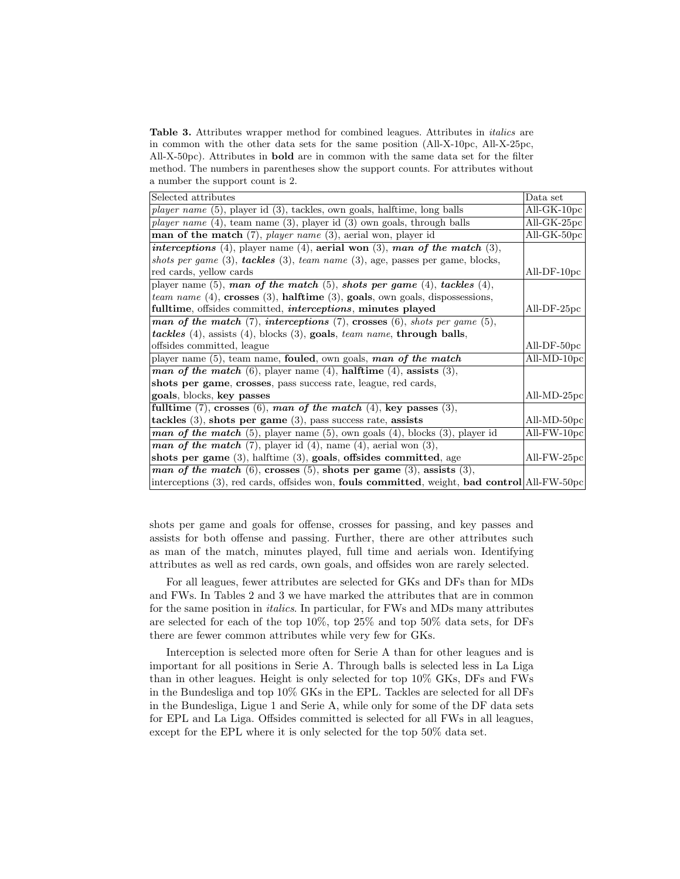Table 3. Attributes wrapper method for combined leagues. Attributes in italics are in common with the other data sets for the same position (All-X-10pc, All-X-25pc, All-X-50pc). Attributes in bold are in common with the same data set for the filter method. The numbers in parentheses show the support counts. For attributes without a number the support count is 2.

| Selected attributes                                                                                            | Data set       |  |  |  |  |  |
|----------------------------------------------------------------------------------------------------------------|----------------|--|--|--|--|--|
| <i>player name</i> $(5)$ , player id $(3)$ , tackles, own goals, halftime, long balls                          | $All-GK-10pc$  |  |  |  |  |  |
|                                                                                                                |                |  |  |  |  |  |
| <i>player name</i> (4), team name (3), player id (3) own goals, through balls                                  | All-GK-25pc    |  |  |  |  |  |
| man of the match $(7)$ , player name $(3)$ , aerial won, player id                                             | $All-CK-50pc$  |  |  |  |  |  |
| <i>interceptions</i> $(4)$ , player name $(4)$ , aerial won $(3)$ , man of the match $(3)$ ,                   |                |  |  |  |  |  |
| shots per game $(3)$ , tackles $(3)$ , team name $(3)$ , age, passes per game, blocks,                         |                |  |  |  |  |  |
| red cards, yellow cards                                                                                        | $All-DF-10pc$  |  |  |  |  |  |
| player name $(5)$ , man of the match $(5)$ , shots per game $(4)$ , tackles $(4)$ ,                            |                |  |  |  |  |  |
| team name $(4)$ , crosses $(3)$ , halftime $(3)$ , goals, own goals, dispossessions,                           |                |  |  |  |  |  |
| fulltime, offsides committed, <i>interceptions</i> , minutes played                                            | All-DF-25pc    |  |  |  |  |  |
| man of the match $(7)$ , interceptions $(7)$ , crosses $(6)$ , shots per game $(5)$ ,                          |                |  |  |  |  |  |
| tackles (4), assists (4), blocks (3), goals, team name, through balls,                                         |                |  |  |  |  |  |
| offsides committed, league                                                                                     |                |  |  |  |  |  |
| player name $(5)$ , team name, <b>fouled</b> , own goals, <b>man</b> of the match                              | All-MD-10pc    |  |  |  |  |  |
| <i>man of the match</i> (6), player name (4), halftime (4), assists (3),                                       |                |  |  |  |  |  |
| shots per game, crosses, pass success rate, league, red cards,                                                 |                |  |  |  |  |  |
| goals, blocks, key passes                                                                                      |                |  |  |  |  |  |
| fulltime $(7)$ , crosses $(6)$ , man of the match $(4)$ , key passes $(3)$ ,                                   |                |  |  |  |  |  |
| tackles $(3)$ , shots per game $(3)$ , pass success rate, assists                                              | All- $MD-50pc$ |  |  |  |  |  |
| <i>man of the match</i> $(5)$ , player name $(5)$ , own goals $(4)$ , blocks $(3)$ , player id                 | $All-FW-10pc$  |  |  |  |  |  |
| <i>man</i> of the match $(7)$ , player id $(4)$ , name $(4)$ , aerial won $(3)$ ,                              |                |  |  |  |  |  |
| shots per game $(3)$ , halftime $(3)$ , goals, offsides committed, age                                         | All- $FW-25pc$ |  |  |  |  |  |
| man of the match $(6)$ , crosses $(5)$ , shots per game $(3)$ , assists $(3)$ ,                                |                |  |  |  |  |  |
| interceptions $(3)$ , red cards, offsides won, <b>fouls committed</b> , weight, <b>bad control</b> All-FW-50pc |                |  |  |  |  |  |

shots per game and goals for offense, crosses for passing, and key passes and assists for both offense and passing. Further, there are other attributes such as man of the match, minutes played, full time and aerials won. Identifying attributes as well as red cards, own goals, and offsides won are rarely selected.

For all leagues, fewer attributes are selected for GKs and DFs than for MDs and FWs. In Tables 2 and 3 we have marked the attributes that are in common for the same position in italics. In particular, for FWs and MDs many attributes are selected for each of the top 10%, top 25% and top 50% data sets, for DFs there are fewer common attributes while very few for GKs.

Interception is selected more often for Serie A than for other leagues and is important for all positions in Serie A. Through balls is selected less in La Liga than in other leagues. Height is only selected for top 10% GKs, DFs and FWs in the Bundesliga and top 10% GKs in the EPL. Tackles are selected for all DFs in the Bundesliga, Ligue 1 and Serie A, while only for some of the DF data sets for EPL and La Liga. Offsides committed is selected for all FWs in all leagues, except for the EPL where it is only selected for the top 50% data set.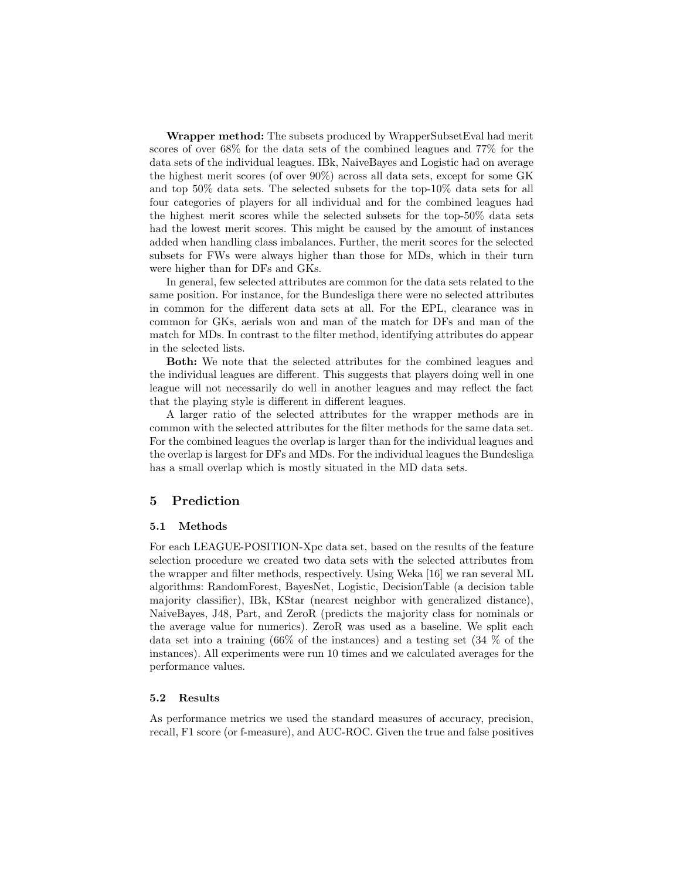Wrapper method: The subsets produced by WrapperSubsetEval had merit scores of over 68% for the data sets of the combined leagues and 77% for the data sets of the individual leagues. IBk, NaiveBayes and Logistic had on average the highest merit scores (of over 90%) across all data sets, except for some GK and top 50% data sets. The selected subsets for the top-10% data sets for all four categories of players for all individual and for the combined leagues had the highest merit scores while the selected subsets for the top-50% data sets had the lowest merit scores. This might be caused by the amount of instances added when handling class imbalances. Further, the merit scores for the selected subsets for FWs were always higher than those for MDs, which in their turn were higher than for DFs and GKs.

In general, few selected attributes are common for the data sets related to the same position. For instance, for the Bundesliga there were no selected attributes in common for the different data sets at all. For the EPL, clearance was in common for GKs, aerials won and man of the match for DFs and man of the match for MDs. In contrast to the filter method, identifying attributes do appear in the selected lists.

Both: We note that the selected attributes for the combined leagues and the individual leagues are different. This suggests that players doing well in one league will not necessarily do well in another leagues and may reflect the fact that the playing style is different in different leagues.

A larger ratio of the selected attributes for the wrapper methods are in common with the selected attributes for the filter methods for the same data set. For the combined leagues the overlap is larger than for the individual leagues and the overlap is largest for DFs and MDs. For the individual leagues the Bundesliga has a small overlap which is mostly situated in the MD data sets.

### 5 Prediction

#### 5.1 Methods

For each LEAGUE-POSITION-Xpc data set, based on the results of the feature selection procedure we created two data sets with the selected attributes from the wrapper and filter methods, respectively. Using Weka [16] we ran several ML algorithms: RandomForest, BayesNet, Logistic, DecisionTable (a decision table majority classifier), IBk, KStar (nearest neighbor with generalized distance), NaiveBayes, J48, Part, and ZeroR (predicts the majority class for nominals or the average value for numerics). ZeroR was used as a baseline. We split each data set into a training (66% of the instances) and a testing set (34 % of the instances). All experiments were run 10 times and we calculated averages for the performance values.

#### 5.2 Results

As performance metrics we used the standard measures of accuracy, precision, recall, F1 score (or f-measure), and AUC-ROC. Given the true and false positives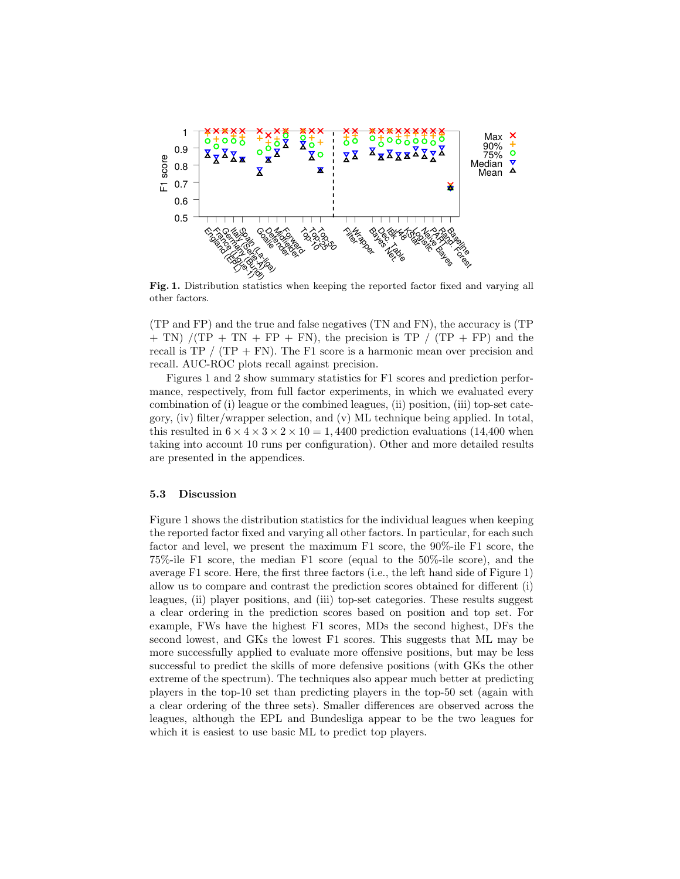

Fig. 1. Distribution statistics when keeping the reported factor fixed and varying all other factors.

(TP and FP) and the true and false negatives (TN and FN), the accuracy is (TP  $+$  TN) /(TP  $+$  TN  $+$  FP  $+$  FN), the precision is TP / (TP  $+$  FP) and the recall is  $TP / (TP + FN)$ . The F1 score is a harmonic mean over precision and recall. AUC-ROC plots recall against precision.

Figures 1 and 2 show summary statistics for F1 scores and prediction performance, respectively, from full factor experiments, in which we evaluated every combination of (i) league or the combined leagues, (ii) position, (iii) top-set category, (iv) filter/wrapper selection, and (v) ML technique being applied. In total, this resulted in  $6 \times 4 \times 3 \times 2 \times 10 = 1,4400$  prediction evaluations (14,400 when taking into account 10 runs per configuration). Other and more detailed results are presented in the appendices.

#### 5.3 Discussion

Figure 1 shows the distribution statistics for the individual leagues when keeping the reported factor fixed and varying all other factors. In particular, for each such factor and level, we present the maximum F1 score, the 90%-ile F1 score, the 75%-ile F1 score, the median F1 score (equal to the 50%-ile score), and the average F1 score. Here, the first three factors (i.e., the left hand side of Figure 1) allow us to compare and contrast the prediction scores obtained for different (i) leagues, (ii) player positions, and (iii) top-set categories. These results suggest a clear ordering in the prediction scores based on position and top set. For example, FWs have the highest F1 scores, MDs the second highest, DFs the second lowest, and GKs the lowest F1 scores. This suggests that ML may be more successfully applied to evaluate more offensive positions, but may be less successful to predict the skills of more defensive positions (with GKs the other extreme of the spectrum). The techniques also appear much better at predicting players in the top-10 set than predicting players in the top-50 set (again with a clear ordering of the three sets). Smaller differences are observed across the leagues, although the EPL and Bundesliga appear to be the two leagues for which it is easiest to use basic ML to predict top players.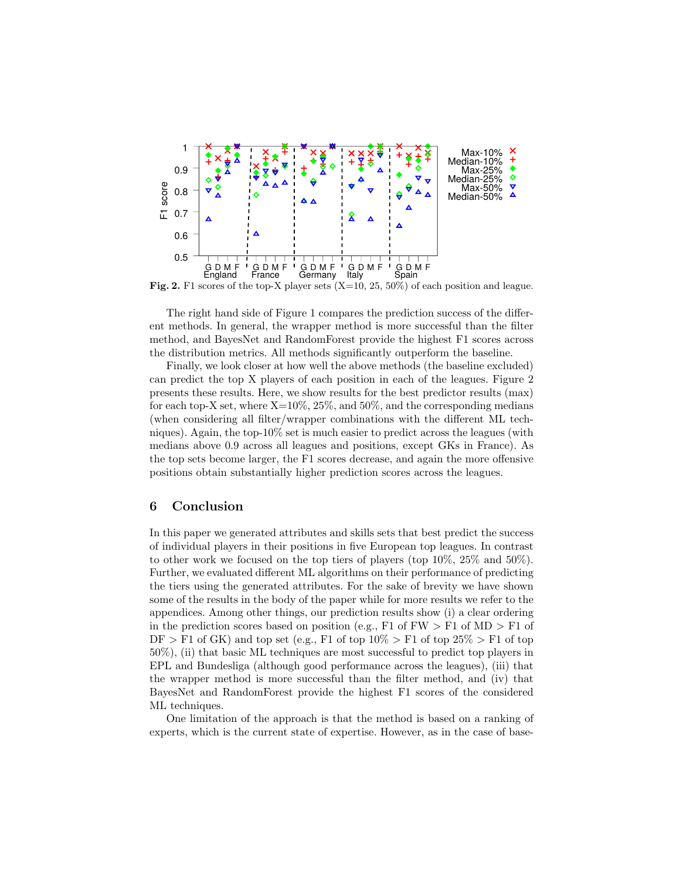

Fig. 2. F1 scores of the top-X player sets  $(X=10, 25, 50\%)$  of each position and league.

The right hand side of Figure 1 compares the prediction success of the different methods. In general, the wrapper method is more successful than the filter method, and BayesNet and RandomForest provide the highest F1 scores across the distribution metrics. All methods significantly outperform the baseline.

Finally, we look closer at how well the above methods (the baseline excluded) can predict the top X players of each position in each of the leagues. Figure 2 presents these results. Here, we show results for the best predictor results (max) for each top-X set, where  $X=10\%$ , 25%, and 50%, and the corresponding medians (when considering all filter/wrapper combinations with the different ML techniques). Again, the top-10% set is much easier to predict across the leagues (with medians above 0.9 across all leagues and positions, except GKs in France). As the top sets become larger, the F1 scores decrease, and again the more offensive positions obtain substantially higher prediction scores across the leagues.

## 6 Conclusion

In this paper we generated attributes and skills sets that best predict the success of individual players in their positions in five European top leagues. In contrast to other work we focused on the top tiers of players (top 10%, 25% and 50%). Further, we evaluated different ML algorithms on their performance of predicting the tiers using the generated attributes. For the sake of brevity we have shown some of the results in the body of the paper while for more results we refer to the appendices. Among other things, our prediction results show (i) a clear ordering in the prediction scores based on position (e.g., F1 of FW  $>$  F1 of MD  $>$  F1 of  $DF > F1$  of GK) and top set (e.g., F1 of top  $10\% > F1$  of top  $25\% > F1$  of top 50%), (ii) that basic ML techniques are most successful to predict top players in EPL and Bundesliga (although good performance across the leagues), (iii) that the wrapper method is more successful than the filter method, and (iv) that BayesNet and RandomForest provide the highest F1 scores of the considered ML techniques.

One limitation of the approach is that the method is based on a ranking of experts, which is the current state of expertise. However, as in the case of base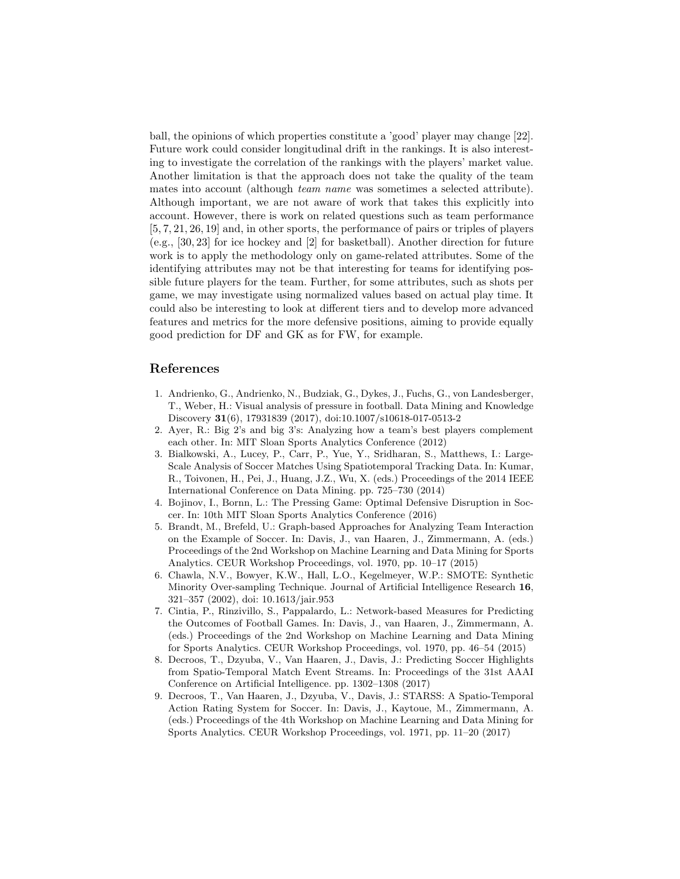ball, the opinions of which properties constitute a 'good' player may change [22]. Future work could consider longitudinal drift in the rankings. It is also interesting to investigate the correlation of the rankings with the players' market value. Another limitation is that the approach does not take the quality of the team mates into account (although team name was sometimes a selected attribute). Although important, we are not aware of work that takes this explicitly into account. However, there is work on related questions such as team performance [5, 7, 21, 26, 19] and, in other sports, the performance of pairs or triples of players (e.g., [30, 23] for ice hockey and [2] for basketball). Another direction for future work is to apply the methodology only on game-related attributes. Some of the identifying attributes may not be that interesting for teams for identifying possible future players for the team. Further, for some attributes, such as shots per game, we may investigate using normalized values based on actual play time. It could also be interesting to look at different tiers and to develop more advanced features and metrics for the more defensive positions, aiming to provide equally good prediction for DF and GK as for FW, for example.

## References

- 1. Andrienko, G., Andrienko, N., Budziak, G., Dykes, J., Fuchs, G., von Landesberger, T., Weber, H.: Visual analysis of pressure in football. Data Mining and Knowledge Discovery 31(6), 17931839 (2017), doi:10.1007/s10618-017-0513-2
- 2. Ayer, R.: Big 2's and big 3's: Analyzing how a team's best players complement each other. In: MIT Sloan Sports Analytics Conference (2012)
- 3. Bialkowski, A., Lucey, P., Carr, P., Yue, Y., Sridharan, S., Matthews, I.: Large-Scale Analysis of Soccer Matches Using Spatiotemporal Tracking Data. In: Kumar, R., Toivonen, H., Pei, J., Huang, J.Z., Wu, X. (eds.) Proceedings of the 2014 IEEE International Conference on Data Mining. pp. 725–730 (2014)
- 4. Bojinov, I., Bornn, L.: The Pressing Game: Optimal Defensive Disruption in Soccer. In: 10th MIT Sloan Sports Analytics Conference (2016)
- 5. Brandt, M., Brefeld, U.: Graph-based Approaches for Analyzing Team Interaction on the Example of Soccer. In: Davis, J., van Haaren, J., Zimmermann, A. (eds.) Proceedings of the 2nd Workshop on Machine Learning and Data Mining for Sports Analytics. CEUR Workshop Proceedings, vol. 1970, pp. 10–17 (2015)
- 6. Chawla, N.V., Bowyer, K.W., Hall, L.O., Kegelmeyer, W.P.: SMOTE: Synthetic Minority Over-sampling Technique. Journal of Artificial Intelligence Research 16, 321–357 (2002), doi: 10.1613/jair.953
- 7. Cintia, P., Rinzivillo, S., Pappalardo, L.: Network-based Measures for Predicting the Outcomes of Football Games. In: Davis, J., van Haaren, J., Zimmermann, A. (eds.) Proceedings of the 2nd Workshop on Machine Learning and Data Mining for Sports Analytics. CEUR Workshop Proceedings, vol. 1970, pp. 46–54 (2015)
- 8. Decroos, T., Dzyuba, V., Van Haaren, J., Davis, J.: Predicting Soccer Highlights from Spatio-Temporal Match Event Streams. In: Proceedings of the 31st AAAI Conference on Artificial Intelligence. pp. 1302–1308 (2017)
- 9. Decroos, T., Van Haaren, J., Dzyuba, V., Davis, J.: STARSS: A Spatio-Temporal Action Rating System for Soccer. In: Davis, J., Kaytoue, M., Zimmermann, A. (eds.) Proceedings of the 4th Workshop on Machine Learning and Data Mining for Sports Analytics. CEUR Workshop Proceedings, vol. 1971, pp. 11–20 (2017)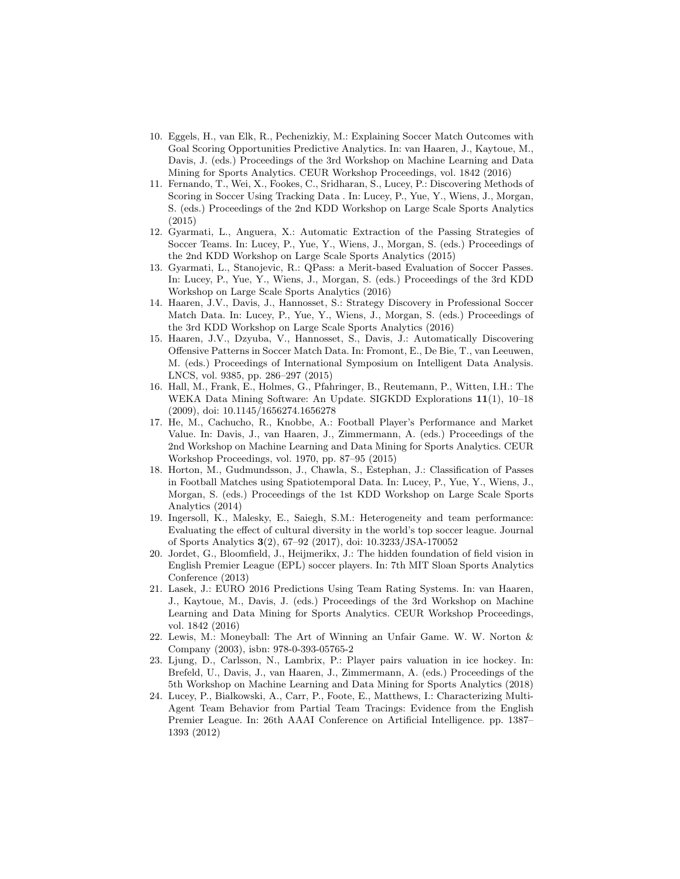- 10. Eggels, H., van Elk, R., Pechenizkiy, M.: Explaining Soccer Match Outcomes with Goal Scoring Opportunities Predictive Analytics. In: van Haaren, J., Kaytoue, M., Davis, J. (eds.) Proceedings of the 3rd Workshop on Machine Learning and Data Mining for Sports Analytics. CEUR Workshop Proceedings, vol. 1842 (2016)
- 11. Fernando, T., Wei, X., Fookes, C., Sridharan, S., Lucey, P.: Discovering Methods of Scoring in Soccer Using Tracking Data . In: Lucey, P., Yue, Y., Wiens, J., Morgan, S. (eds.) Proceedings of the 2nd KDD Workshop on Large Scale Sports Analytics (2015)
- 12. Gyarmati, L., Anguera, X.: Automatic Extraction of the Passing Strategies of Soccer Teams. In: Lucey, P., Yue, Y., Wiens, J., Morgan, S. (eds.) Proceedings of the 2nd KDD Workshop on Large Scale Sports Analytics (2015)
- 13. Gyarmati, L., Stanojevic, R.: QPass: a Merit-based Evaluation of Soccer Passes. In: Lucey, P., Yue, Y., Wiens, J., Morgan, S. (eds.) Proceedings of the 3rd KDD Workshop on Large Scale Sports Analytics (2016)
- 14. Haaren, J.V., Davis, J., Hannosset, S.: Strategy Discovery in Professional Soccer Match Data. In: Lucey, P., Yue, Y., Wiens, J., Morgan, S. (eds.) Proceedings of the 3rd KDD Workshop on Large Scale Sports Analytics (2016)
- 15. Haaren, J.V., Dzyuba, V., Hannosset, S., Davis, J.: Automatically Discovering Offensive Patterns in Soccer Match Data. In: Fromont, E., De Bie, T., van Leeuwen, M. (eds.) Proceedings of International Symposium on Intelligent Data Analysis. LNCS, vol. 9385, pp. 286–297 (2015)
- 16. Hall, M., Frank, E., Holmes, G., Pfahringer, B., Reutemann, P., Witten, I.H.: The WEKA Data Mining Software: An Update. SIGKDD Explorations 11(1), 10–18 (2009), doi: 10.1145/1656274.1656278
- 17. He, M., Cachucho, R., Knobbe, A.: Football Player's Performance and Market Value. In: Davis, J., van Haaren, J., Zimmermann, A. (eds.) Proceedings of the 2nd Workshop on Machine Learning and Data Mining for Sports Analytics. CEUR Workshop Proceedings, vol. 1970, pp. 87–95 (2015)
- 18. Horton, M., Gudmundsson, J., Chawla, S., Estephan, J.: Classification of Passes in Football Matches using Spatiotemporal Data. In: Lucey, P., Yue, Y., Wiens, J., Morgan, S. (eds.) Proceedings of the 1st KDD Workshop on Large Scale Sports Analytics (2014)
- 19. Ingersoll, K., Malesky, E., Saiegh, S.M.: Heterogeneity and team performance: Evaluating the effect of cultural diversity in the world's top soccer league. Journal of Sports Analytics 3(2), 67–92 (2017), doi: 10.3233/JSA-170052
- 20. Jordet, G., Bloomfield, J., Heijmerikx, J.: The hidden foundation of field vision in English Premier League (EPL) soccer players. In: 7th MIT Sloan Sports Analytics Conference (2013)
- 21. Lasek, J.: EURO 2016 Predictions Using Team Rating Systems. In: van Haaren, J., Kaytoue, M., Davis, J. (eds.) Proceedings of the 3rd Workshop on Machine Learning and Data Mining for Sports Analytics. CEUR Workshop Proceedings, vol. 1842 (2016)
- 22. Lewis, M.: Moneyball: The Art of Winning an Unfair Game. W. W. Norton & Company (2003), isbn: 978-0-393-05765-2
- 23. Ljung, D., Carlsson, N., Lambrix, P.: Player pairs valuation in ice hockey. In: Brefeld, U., Davis, J., van Haaren, J., Zimmermann, A. (eds.) Proceedings of the 5th Workshop on Machine Learning and Data Mining for Sports Analytics (2018)
- 24. Lucey, P., Bialkowski, A., Carr, P., Foote, E., Matthews, I.: Characterizing Multi-Agent Team Behavior from Partial Team Tracings: Evidence from the English Premier League. In: 26th AAAI Conference on Artificial Intelligence. pp. 1387– 1393 (2012)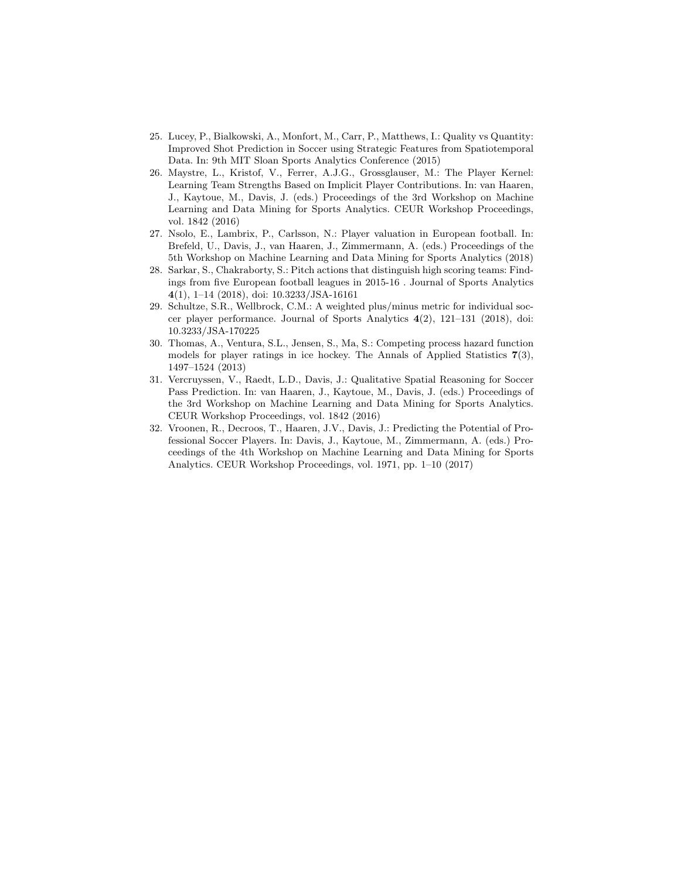- 25. Lucey, P., Bialkowski, A., Monfort, M., Carr, P., Matthews, I.: Quality vs Quantity: Improved Shot Prediction in Soccer using Strategic Features from Spatiotemporal Data. In: 9th MIT Sloan Sports Analytics Conference (2015)
- 26. Maystre, L., Kristof, V., Ferrer, A.J.G., Grossglauser, M.: The Player Kernel: Learning Team Strengths Based on Implicit Player Contributions. In: van Haaren, J., Kaytoue, M., Davis, J. (eds.) Proceedings of the 3rd Workshop on Machine Learning and Data Mining for Sports Analytics. CEUR Workshop Proceedings, vol. 1842 (2016)
- 27. Nsolo, E., Lambrix, P., Carlsson, N.: Player valuation in European football. In: Brefeld, U., Davis, J., van Haaren, J., Zimmermann, A. (eds.) Proceedings of the 5th Workshop on Machine Learning and Data Mining for Sports Analytics (2018)
- 28. Sarkar, S., Chakraborty, S.: Pitch actions that distinguish high scoring teams: Findings from five European football leagues in 2015-16 . Journal of Sports Analytics 4(1), 1–14 (2018), doi: 10.3233/JSA-16161
- 29. Schultze, S.R., Wellbrock, C.M.: A weighted plus/minus metric for individual soccer player performance. Journal of Sports Analytics  $4(2)$ ,  $121-131$  (2018), doi: 10.3233/JSA-170225
- 30. Thomas, A., Ventura, S.L., Jensen, S., Ma, S.: Competing process hazard function models for player ratings in ice hockey. The Annals of Applied Statistics 7(3), 1497–1524 (2013)
- 31. Vercruyssen, V., Raedt, L.D., Davis, J.: Qualitative Spatial Reasoning for Soccer Pass Prediction. In: van Haaren, J., Kaytoue, M., Davis, J. (eds.) Proceedings of the 3rd Workshop on Machine Learning and Data Mining for Sports Analytics. CEUR Workshop Proceedings, vol. 1842 (2016)
- 32. Vroonen, R., Decroos, T., Haaren, J.V., Davis, J.: Predicting the Potential of Professional Soccer Players. In: Davis, J., Kaytoue, M., Zimmermann, A. (eds.) Proceedings of the 4th Workshop on Machine Learning and Data Mining for Sports Analytics. CEUR Workshop Proceedings, vol. 1971, pp. 1–10 (2017)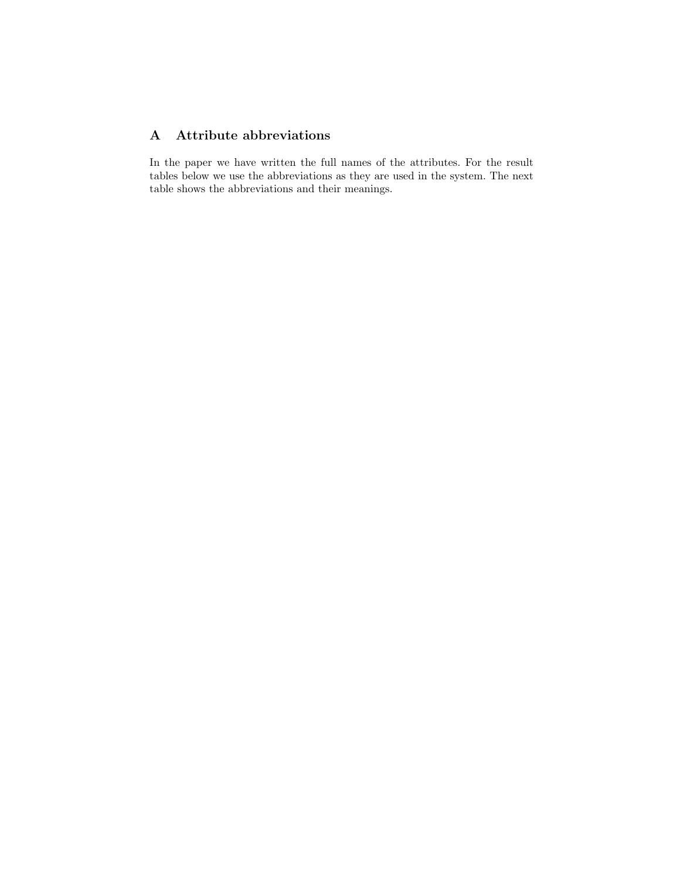## A Attribute abbreviations

In the paper we have written the full names of the attributes. For the result tables below we use the abbreviations as they are used in the system. The next table shows the abbreviations and their meanings.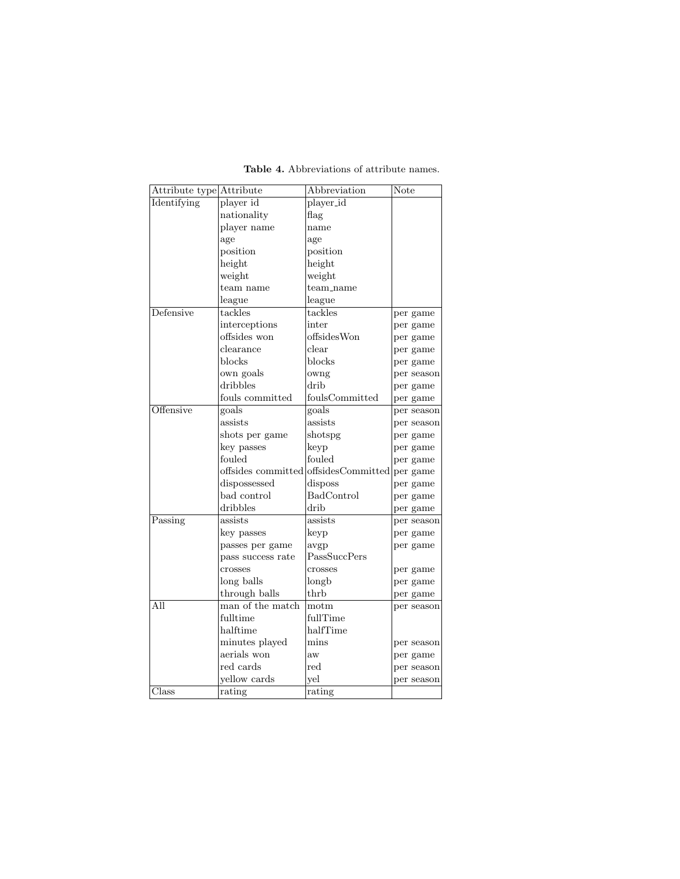| Attribute type Attribute |                           | Abbreviation                          | Note       |
|--------------------------|---------------------------|---------------------------------------|------------|
| Identifying              | player id                 | player_id                             |            |
|                          | nationality               | flag                                  |            |
|                          | player name               | name                                  |            |
|                          | age                       | age                                   |            |
|                          | position                  | position                              |            |
|                          | height                    | height                                |            |
|                          | weight                    | weight                                |            |
|                          | team name                 | team_name                             |            |
|                          | league                    | league                                |            |
| Defensive                | tackles                   | tackles                               | per game   |
|                          | interceptions             | inter                                 | per game   |
|                          | offsides won              | offsidesWon                           | per game   |
|                          | clearance                 | clear                                 | per game   |
|                          | blocks                    | blocks                                | per game   |
|                          | own goals                 | owng                                  | per season |
|                          | dribbles                  | drib                                  | per game   |
|                          | fouls committed           | foulsCommitted                        | per game   |
| Offensive                | $\overline{\text{goals}}$ | $\overline{\text{goals}}$             | per season |
|                          | assists                   | assists                               | per season |
|                          | shots per game            | shotspg                               | per game   |
|                          | key passes                | keyp                                  | per game   |
|                          | fouled                    | fouled                                | per game   |
|                          |                           | offsides committed offsides Committed | per game   |
|                          | dispossessed              | disposs                               | per game   |
|                          | bad control               | BadControl                            | per game   |
|                          | dribbles                  | drib                                  | per game   |
| Passing                  | assists                   | $\overline{\text{assists}}$           | per season |
|                          | key passes                | keyp                                  | per game   |
|                          | passes per game           | avgp                                  | per game   |
|                          | pass success rate         | PassSuccPers                          |            |
|                          | crosses                   | crosses                               | per game   |
|                          | long balls                | longb                                 | per game   |
|                          | through balls             | thrb                                  | per game   |
| All                      | man of the match          | motm                                  | per season |
|                          | fulltime                  | fullTime                              |            |
|                          | halftime                  | halfTime                              |            |
|                          | minutes played            | mins                                  | per season |
|                          | aerials won               | aw                                    | per game   |
|                          | red cards                 | $_{\rm red}$                          | per season |
|                          | yellow cards              | yel                                   | per season |
| Class                    | rating                    | rating                                |            |

Table 4. Abbreviations of attribute names.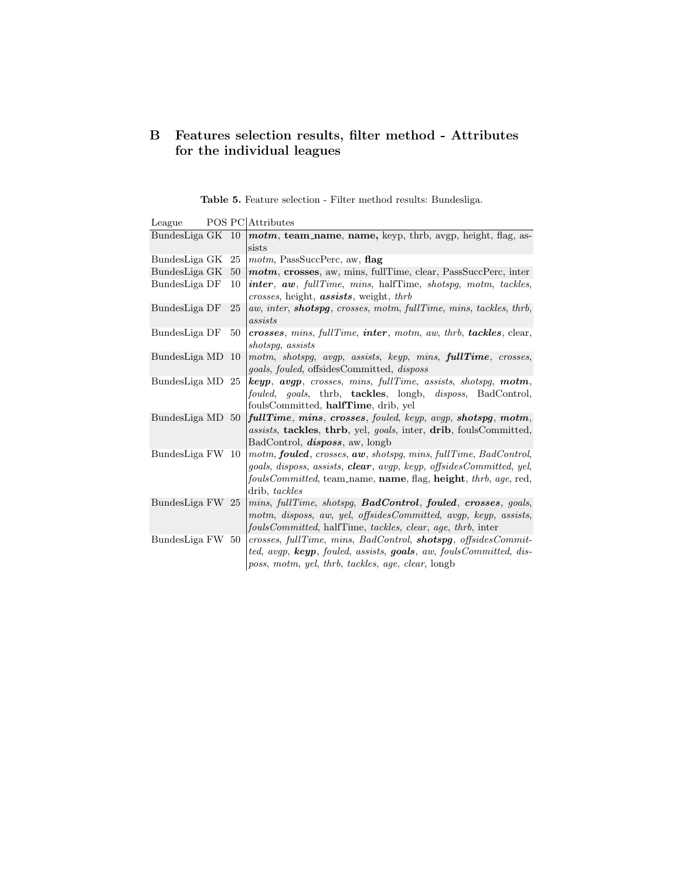# B Features selection results, filter method - Attributes for the individual leagues

Table 5. Feature selection - Filter method results: Bundesliga.

| League           |    | <b>POS PC</b> Attributes                                                                                                                                                                                                           |
|------------------|----|------------------------------------------------------------------------------------------------------------------------------------------------------------------------------------------------------------------------------------|
| BundesLiga GK 10 |    | <i>motm</i> , team_name, name, keyp, thrb, avgp, height, flag, as-                                                                                                                                                                 |
|                  |    | sists                                                                                                                                                                                                                              |
| BundesLiga GK    | 25 | $m \text{of } m$ , PassSuccPerc, aw, flag                                                                                                                                                                                          |
| BundesLiga GK    | 50 | <i>motm</i> , crosses, aw, mins, fullTime, clear, PassSuccPerc, inter                                                                                                                                                              |
| BundesLiga DF    | 10 | inter, aw, fullTime, mins, halfTime, shotspg, motm, tackles,<br><i>crosses</i> , height, <b>assists</b> , weight, thrb                                                                                                             |
| BundesLiga DF    | 25 | aw, inter, <b>shotspg</b> , crosses, motm, fullTime, mins, tackles, thrb,<br>assists                                                                                                                                               |
| BundesLiga DF    | 50 | crosses, mins, fullTime, inter, motm, aw, thrb, tackles, clear,<br>shotspq, assists                                                                                                                                                |
| BundesLiga MD    | 10 | motm, shotspg, avgp, assists, keyp, mins, <b>fullTime</b> , crosses,<br><i>goals, fouled, offsidesCommitted, disposs</i>                                                                                                           |
| BundesLiga MD 25 |    | <b>keyp</b> , avgp, crosses, mins, fullTime, assists, shotspq, motm,<br><i>fouled</i> , goals, thrb, <b>tackles</b> , longb, <i>disposs</i> , BadControl,<br>foulsCommitted, halfTime, drib, yel                                   |
| BundesLiga MD    | 50 | $\int$ fullTime, mins, crosses, fouled, keyp, avgp, shotspg, motm,<br>assists, tackles, thrb, yel, goals, inter, drib, foulsCommitted,<br>BadControl, <i>disposs</i> , aw, longb                                                   |
| BundesLiga FW 10 |    | motm, fouled, crosses, aw, shotspg, mins, fullTime, BadControl,<br>goals, disposs, assists, <b>clear</b> , avqp, keyp, offsidesCommitted, yel,<br>fouls Committed, team_name, name, flag, height, thrb, age, red,<br>drib, tackles |
| BundesLiga FW 25 |    | mins, fullTime, shotspq, <b>BadControl</b> , <b>fouled</b> , <b>crosses</b> , <i>goals</i> ,<br>motm, disposs, aw, yel, offsidesCommitted, avgp, keyp, assists,<br>foulsCommitted, halfTime, tackles, clear, age, thrb, inter      |
| BundesLiga FW 50 |    | crosses, fullTime, mins, BadControl, shotspg, offsidesCommit-<br>ted, avgp, keyp, fouled, assists, goals, aw, foulsCommitted, dis-<br>poss, motm, yel, thrb, tackles, age, clear, longb                                            |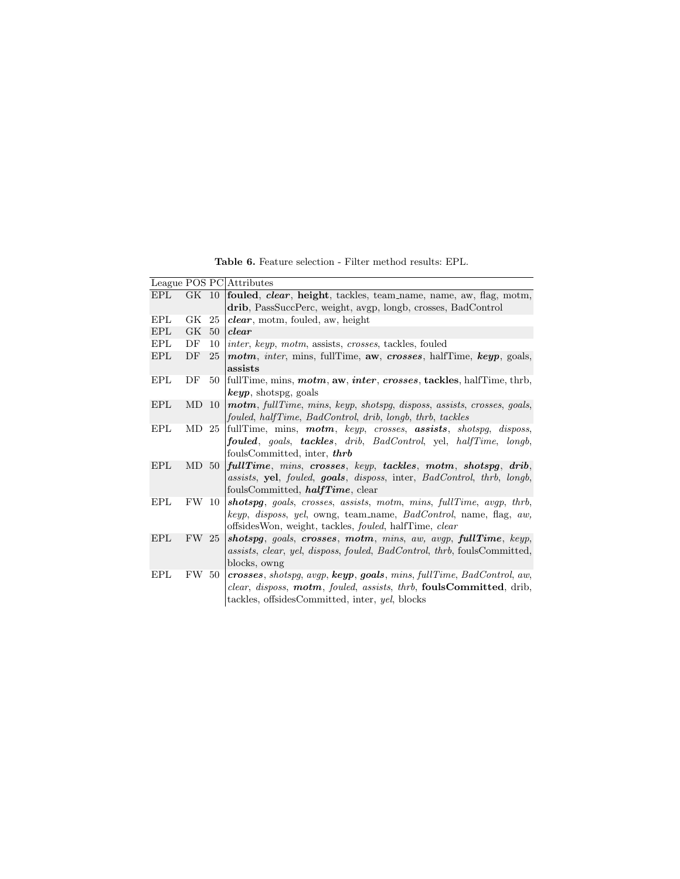Table 6. Feature selection - Filter method results: EPL.

|            |       |    | League POS PC Attributes                                                                      |
|------------|-------|----|-----------------------------------------------------------------------------------------------|
| EPL        |       |    | GK 10 fouled, <i>clear</i> , height, tackles, team_name, name, aw, flag, motm,                |
|            |       |    | drib, PassSuccPerc, weight, avgp, longb, crosses, BadControl                                  |
| EPL        | GK.   | 25 | clear, motm, fouled, aw, height                                                               |
| <b>EPL</b> | GK.   | 50 | clear                                                                                         |
| <b>EPL</b> | DF    | 10 | <i>inter, keyp, motm, assists, crosses, tackles, fouled</i>                                   |
| <b>EPL</b> | DF    | 25 | <i>motm, inter, mins, fullTime, aw, crosses, halfTime, keyp, goals,</i>                       |
|            |       |    | assists                                                                                       |
| EPL        | DF    | 50 | fullTime, mins, <i>motm</i> , aw, <i>inter</i> , <i>crosses</i> , tackles, halfTime, thrb,    |
|            |       |    | $keyp$ , shotspg, goals                                                                       |
| <b>EPL</b> | MD 10 |    | <i>motm, fullTime, mins, keyp, shotspg, disposs, assists, crosses, goals,</i>                 |
|            |       |    | fouled, halfTime, BadControl, drib, longb, thrb, tackles                                      |
| EPL        |       |    | MD 25 $\vert$ fullTime, mins, <b>motm</b> , keyp, crosses, <b>assists</b> , shotspg, disposs, |
|            |       |    | <b>fouled</b> , goals, <b>tackles</b> , drib, BadControl, yel, halfTime, longb,               |
|            |       |    | foulsCommitted, inter, thrb                                                                   |
| <b>EPL</b> | MD 50 |    | $\int$ fullTime, mins, crosses, keyp, tackles, motm, shotspg, drib,                           |
|            |       |    | assists, yel, fouled, goals, disposs, inter, BadControl, thrb, longb,                         |
|            |       |    | foulsCommitted, <i>halfTime</i> , clear                                                       |
| EPL        |       |    | FW 10 <b>shotspg</b> , goals, crosses, assists, motm, mins, fullTime, avgp, thrb,             |
|            |       |    | keyp, disposs, yel, owng, team_name, BadControl, name, flag, aw,                              |
|            |       |    | offsides Won, weight, tackles, <i>fouled</i> , halfTime, <i>clear</i>                         |
| <b>EPL</b> |       |    | FW 25 $\mathbf{ }s$ shotspg, goals, crosses, motm, mins, aw, avgp, full Time, keyp,           |
|            |       |    | assists, clear, yel, disposs, fouled, BadControl, thrb, foulsCommitted,                       |
|            |       |    | blocks, owng                                                                                  |
| EPL        |       |    | FW 50   crosses, shotspg, avgp, keyp, goals, mins, fullTime, BadControl, aw,                  |
|            |       |    | clear, disposs, motm, fouled, assists, thrb, foulsCommitted, drib,                            |
|            |       |    | tackles, offsidesCommitted, inter, yel, blocks                                                |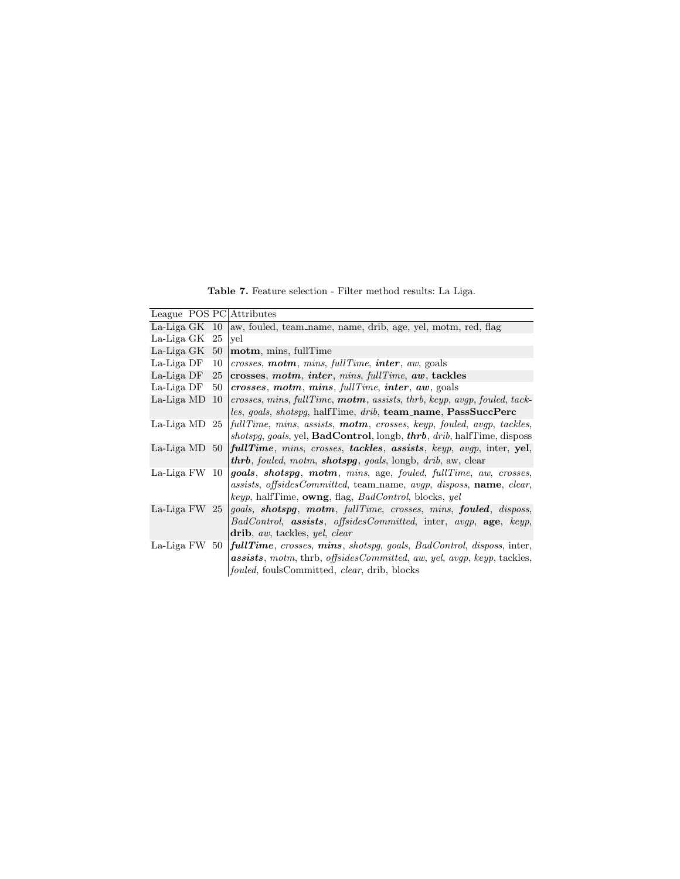Table 7. Feature selection - Filter method results: La Liga.

|                 |    | League POS PC Attributes                                                                                                                              |
|-----------------|----|-------------------------------------------------------------------------------------------------------------------------------------------------------|
| $La-Liga GK 10$ |    | aw, fouled, team_name, name, drib, age, yel, motm, red, flag                                                                                          |
| La-Liga GK      | 25 | vel                                                                                                                                                   |
| La-Liga GK      | 50 | motm, mins, fullTime                                                                                                                                  |
| La-Liga DF      | 10 | $crosses, mom, mins, fullTime, inter, aw, goals$                                                                                                      |
| La-Liga DF      | 25 | crosses, motm, inter, mins, fullTime, aw, tackles                                                                                                     |
| La-Liga DF      | 50 | crosses, motm, mins, fullTime, inter, aw, goals                                                                                                       |
| La-Liga MD      | 10 | $\mathcal{L}$ crosses, mins, full Time, <b>motm</b> , assists, thrb, keyp, avgp, fouled, tack-                                                        |
|                 |    | les, goals, shotspg, halfTime, drib, team_name, PassSuccPerc                                                                                          |
| La-Liga MD 25   |    | $\lceil fullTime, mins, \text{assists}, \text{modm}, \text{crosses}, \text{keyp}, \text{fouled}, \text{avgp}, \text{tackles}, \text{eq} \rceil$       |
|                 |    | shotspg, goals, yel, BadControl, longb, thrb, drib, halfTime, disposs                                                                                 |
| La-Liga MD $50$ |    | $\textit{fullTime}, \textit{mins}, \textit{crosses}, \textit{tackles}, \textit{assists}, \textit{keyp}, \textit{avqp}, \textit{inter}, \textit{yel},$ |
|                 |    | thrb, fouled, motm, shotspg, goals, longb, drib, aw, clear                                                                                            |
| $La-Liga FW 10$ |    | goals, shotspy, motm, mins, age, fouled, fullTime, aw, crosses,                                                                                       |
|                 |    | assists, offsidesCommitted, team_name, avgp, disposs, name, clear,                                                                                    |
|                 |    | keyp, halfTime, <b>owng</b> , flag, <i>BadControl</i> , blocks, yel                                                                                   |
| La-Liga FW $25$ |    | goals, shotspg, motm, fullTime, crosses, mins, fouled, disposs,                                                                                       |
|                 |    | BadControl, assists, offsidesCommitted, inter, avgp, age, keyp,                                                                                       |
|                 |    | drib, aw, tackles, yel, clear                                                                                                                         |
| La-Liga $FW50$  |    | <i>fullTime, crosses, mins, shotspg, goals, BadControl, disposs, inter,</i>                                                                           |
|                 |    | <b>assists</b> , motm, thrb, offsidesCommitted, aw, yel, avgp, keyp, tackles,                                                                         |
|                 |    | <i>fouled</i> , foulsCommitted, <i>clear</i> , drib, blocks                                                                                           |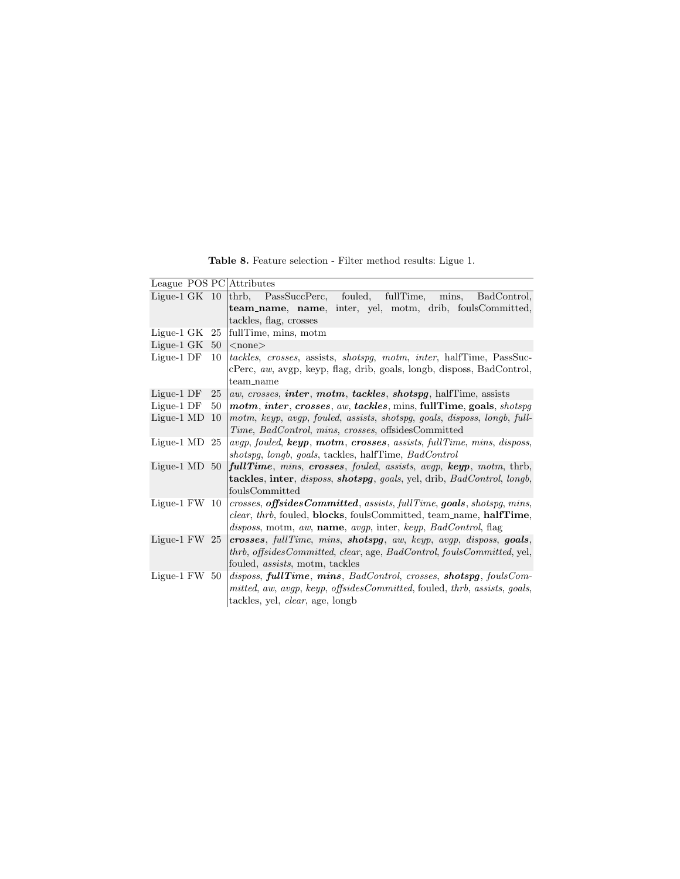Table 8. Feature selection - Filter method results: Ligue 1.

|                 |                 | League POS PC Attributes                                                                                       |
|-----------------|-----------------|----------------------------------------------------------------------------------------------------------------|
|                 |                 | Ligue-1 GK 10 thrb, PassSuccPerc, fouled, fullTime, mins, BadControl,                                          |
|                 |                 | team_name, name, inter, yel, motm, drib, foulsCommitted,                                                       |
|                 |                 | tackles, flag, crosses                                                                                         |
| Ligue-1 GK $25$ |                 | fullTime, mins, motm                                                                                           |
| $Ligue-1$ $GK$  | 50 <sup>1</sup> | $<$ none $>$                                                                                                   |
| Ligue-1 DF      | 10              | tackles, crosses, assists, shotspg, motm, inter, halfTime, PassSuc-                                            |
|                 |                 | cPerc, aw, avgp, keyp, flag, drib, goals, longb, disposs, BadControl,                                          |
|                 |                 | team_name                                                                                                      |
| Ligue-1 DF      | 25              | <i>aw, crosses, inter, motm, tackles, shotspg, halfTime, assists</i>                                           |
| Ligue-1 DF      | 50              | motm, inter, crosses, aw, tackles, mins, fullTime, goals, shotspg                                              |
| Ligue-1 MD      | 10              | motm, keyp, avgp, fouled, assists, shotspg, goals, disposs, longb, full-                                       |
|                 |                 | <i>Time, BadControl, mins, crosses, offsidesCommitted</i>                                                      |
| Ligue-1 MD $25$ |                 | avgp, fouled, keyp, motm, crosses, assists, fullTime, mins, disposs,                                           |
|                 |                 | shotspg, longb, goals, tackles, halfTime, BadControl                                                           |
| Ligue-1 MD $50$ |                 | <i>fullTime, mins, crosses, fouled, assists, avgp, keyp, motm, thrb,</i>                                       |
|                 |                 | tackles, inter, <i>disposs</i> , <i>shotspg</i> , <i>goals</i> , yel, drib, <i>BadControl</i> , <i>longb</i> , |
|                 |                 | foulsCommitted                                                                                                 |
| Ligue-1 $FW$ 10 |                 | crosses, offsidesCommitted, assists, fullTime, goals, shotspg, mins,                                           |
|                 |                 | <i>clear</i> , thrb, fouled, <b>blocks</b> , foulsCommitted, team_name, <b>halfTime</b> ,                      |
|                 |                 | disposs, motm, aw, name, avgp, inter, keyp, BadControl, flag                                                   |
| Ligue-1 $FW25$  |                 | crosses, fullTime, mins, shotspg, aw, keyp, avgp, disposs, goals,                                              |
|                 |                 | thrb, offsidesCommitted, clear, age, BadControl, foulsCommitted, yel,                                          |
|                 |                 | fouled, assists, motm, tackles                                                                                 |
| Ligue-1 $FW 50$ |                 | disposs, fullTime, mins, BadControl, crosses, shotspg, foulsCom-                                               |
|                 |                 | mitted, aw, avgp, keyp, offsidesCommitted, fouled, thrb, assists, goals,                                       |
|                 |                 | tackles, yel, <i>clear</i> , age, longb                                                                        |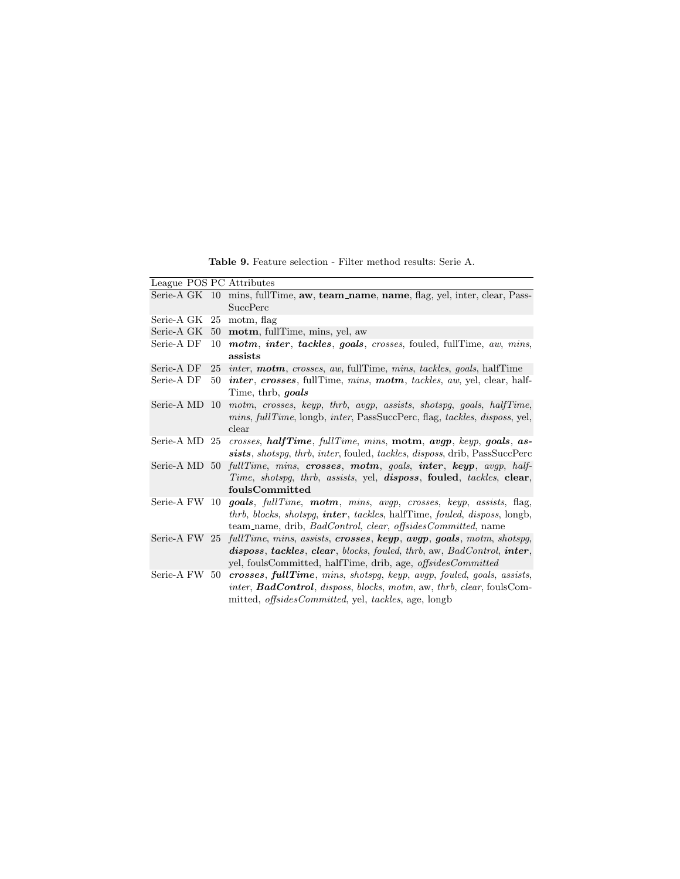Table 9. Feature selection - Filter method results: Serie A.

|               |     | League POS PC Attributes                                                                                                                         |
|---------------|-----|--------------------------------------------------------------------------------------------------------------------------------------------------|
| Serie-A GK 10 |     | mins, fullTime, aw, team_name, name, flag, yel, inter, clear, Pass-                                                                              |
|               |     | SuccPerc                                                                                                                                         |
| Serie-A GK    | 25  | motm, flag                                                                                                                                       |
| Serie-A GK    | 50  | motm, fullTime, mins, yel, aw                                                                                                                    |
| Serie-A DF    | 10  | motm, inter, tackles, goals, crosses, fouled, fullTime, aw, mins,                                                                                |
|               |     | assists                                                                                                                                          |
| Serie-A DF    | 25  | <i>inter, motm, crosses, aw, fullTime, mins, tackles, goals, halfTime</i>                                                                        |
| Serie-A DF    | 50  | <i>inter, crosses, fullTime, mins, motm, tackles, aw, yel, clear, half-</i>                                                                      |
|               |     | Time, thrb, <i>goals</i>                                                                                                                         |
| Serie-A MD    | -10 | motm, crosses, keyp, thrb, avgp, assists, shotspg, goals, halfTime,                                                                              |
|               |     | mins, fullTime, longb, inter, PassSuccPerc, flag, tackles, disposs, yel,                                                                         |
|               |     | clear                                                                                                                                            |
| Serie-A MD 25 |     | crosses, halfTime, fullTime, mins, motm, avgp, keyp, goals, as-                                                                                  |
|               |     | sists, shotspg, thrb, inter, fouled, tackles, disposs, drib, PassSuccPerc                                                                        |
| Serie-A MD 50 |     | fullTime, mins, crosses, motm, goals, inter, keyp, avgp, half-                                                                                   |
|               |     | Time, shotspg, thrb, assists, yel, <b>disposs</b> , <b>fouled</b> , <i>tackles</i> , <b>clear</b> ,                                              |
|               |     | foulsCommitted                                                                                                                                   |
| Serie-A FW 10 |     | goals, fullTime, motm, mins, avgp, crosses, keyp, assists, flag,                                                                                 |
|               |     | <i>thrb</i> , <i>blocks</i> , <i>shotspg</i> , <i>inter</i> , <i>tackles</i> , <i>halfTime</i> , <i>fouled</i> , <i>disposs</i> , <i>longb</i> , |
|               |     | team_name, drib, <i>BadControl, clear, offsidesCommitted,</i> name                                                                               |
| Serie-A FW 25 |     | fullTime, mins, assists, crosses, keyp, avgp, goals, motm, shotspg,                                                                              |
|               |     | disposs, tackles, clear, blocks, fouled, thrb, aw, BadControl, inter,                                                                            |
|               |     | yel, foulsCommitted, halfTime, drib, age, offsidesCommitted                                                                                      |
| Serie-A FW 50 |     | crosses, fullTime, mins, shotspg, keyp, avgp, fouled, goals, assists,                                                                            |
|               |     | inter, BadControl, disposs, blocks, motm, aw, thrb, clear, foulsCom-                                                                             |
|               |     | mitted, offsidesCommitted, yel, tackles, age, longb                                                                                              |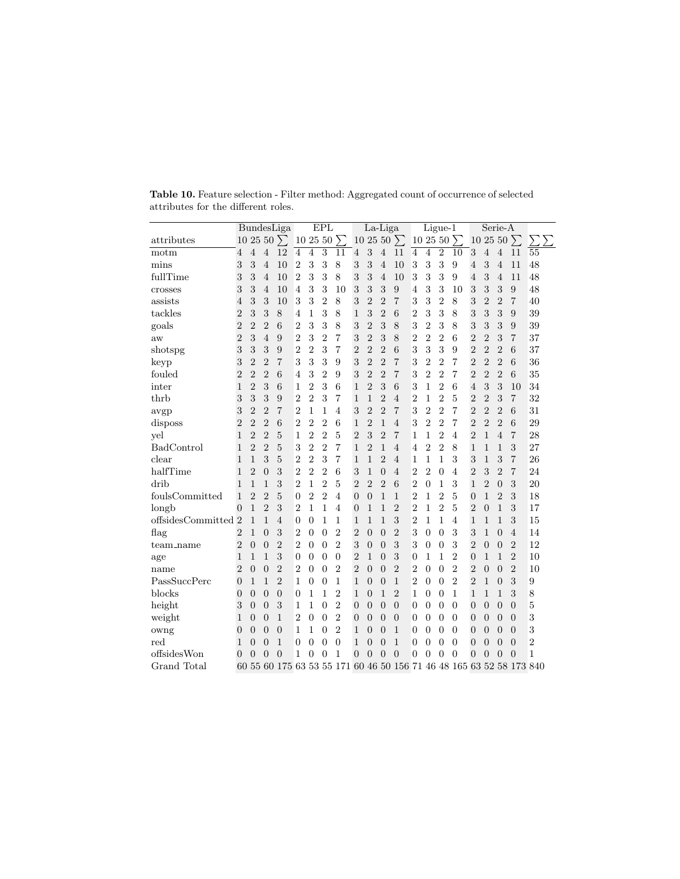|                     |                |                    |                  | BundesLiga       |                  |                  | <b>EPL</b>       |                |                | La-Liga        |                  |                           |                  |                  | Ligue-1            |                            |                | Serie-A          |                |                |                |
|---------------------|----------------|--------------------|------------------|------------------|------------------|------------------|------------------|----------------|----------------|----------------|------------------|---------------------------|------------------|------------------|--------------------|----------------------------|----------------|------------------|----------------|----------------|----------------|
| attributes          |                | $10\;25\;50\;\sum$ |                  |                  |                  |                  | 10 25 50         | $\sum$         | 10             |                | $25\,50\,\sum\,$ |                           |                  |                  | $10\;25\;50\;\sum$ |                            | 10             | $25\;50\;\sum\;$ |                |                |                |
| motm                | 4              | 4                  | 4                | 12               | $\overline{4}$   | 4                | $\overline{3}$   | 11             | $\overline{4}$ | 3              | 4                | 11                        | $\overline{4}$   | 4                | $\overline{2}$     | 10                         | 3              | 4                | $\overline{4}$ | 11             | 55             |
| mins                | 3              | 3                  | 4                | 10               | $\overline{2}$   | 3                | 3                | 8              | 3              | 3              | 4                | 10                        | 3                | 3                | 3                  | 9                          | 4              | 3                | 4              | 11             | 48             |
| fullTime            | 3              | 3                  | 4                | 10               | $\overline{2}$   | 3                | 3                | 8              | 3              | 3              | 4                | 10                        | 3                | 3                | 3                  | 9                          | 4              | 3                | 4              | 11             | 48             |
| crosses             | 3              | 3                  | 4                | 10               | 4                | 3                | 3                | 10             | 3              | 3              | 3                | 9                         | 4                | 3                | 3                  | 10                         | 3              | 3                | 3              | 9              | 48             |
| assists             | 4              | 3                  | 3                | 10               | 3                | 3                | $\overline{2}$   | 8              | 3              | $\overline{2}$ | $\overline{2}$   | 7                         | 3                | 3                | 2                  | 8                          | 3              | $\overline{2}$   | $\overline{2}$ | 7              | 40             |
| tackles             | $\overline{2}$ | 3                  | 3                | 8                | 4                | 1                | 3                | 8              | 1              | 3              | $\overline{2}$   | 6                         | $\overline{2}$   | 3                | 3                  | 8                          | 3              | 3                | 3              | 9              | 39             |
| goals               | $\overline{2}$ | $\overline{2}$     | $\overline{2}$   | 6                | 2                | 3                | 3                | 8              | 3              | $\overline{2}$ | 3                | 8                         | 3                | $\overline{2}$   | 3                  | 8                          | 3              | 3                | 3              | 9              | 39             |
| aw                  | 2              | $\sqrt{3}$         | 4                | 9                | 2                | 3                | $\overline{2}$   | 7              | 3              | $\overline{2}$ | 3                | 8                         | $\overline{2}$   | $\overline{2}$   | $\overline{2}$     | 6                          | $\overline{2}$ | $\overline{2}$   | 3              | 7              | 37             |
| shotspg             | 3              | 3                  | 3                | 9                | $\overline{2}$   | $\overline{2}$   | 3                | 7              | $\overline{2}$ | $\overline{2}$ | $\overline{2}$   | 6                         | 3                | 3                | 3                  | 9                          | $\overline{2}$ | $\overline{2}$   | $\overline{2}$ | 6              | 37             |
| keyp                | 3              | $\overline{2}$     | $\overline{2}$   | 7                | 3                | 3                | 3                | 9              | 3              | $\overline{2}$ | $\overline{2}$   | 7                         | 3                | $\overline{2}$   | $\overline{2}$     | $\overline{7}$             | $\overline{2}$ | $\overline{2}$   | $\overline{2}$ | 6              | 36             |
| fouled              | 2              | $\overline{2}$     | $\overline{2}$   | 6                | 4                | 3                | $\overline{2}$   | 9              | 3              | $\overline{2}$ | $\overline{2}$   | 7                         | 3                | $\overline{2}$   | $\overline{2}$     | 7                          | $\overline{2}$ | $\overline{2}$   | $\overline{2}$ | 6              | 35             |
| $_{\rm inter}$      | 1              | $\overline{2}$     | 3                | 6                | 1                | 2                | 3                | 6              | 1              | $\overline{2}$ | 3                | 6                         | 3                | 1                | 2                  | 6                          | $\overline{4}$ | 3                | 3              | 10             | 34             |
| thrb                | 3              | 3                  | 3                | 9                | $\overline{2}$   | $\overline{2}$   | 3                | 7              | 1              | 1              | $\overline{2}$   | 4                         | $\overline{2}$   | $\overline{1}$   | $\overline{2}$     | 5                          | $\overline{2}$ | $\overline{2}$   | 3              | 7              | 32             |
| avgp                | 3              | $\overline{2}$     | $\overline{2}$   | 7                | $\overline{2}$   | 1                | 1                | 4              | 3              | $\overline{2}$ | $\overline{2}$   | 7                         | 3                | $\overline{2}$   | $\overline{2}$     | 7                          | $\overline{2}$ | $\overline{2}$   | $\overline{2}$ | 6              | 31             |
| disposs             | 2              | $\overline{2}$     | $\overline{2}$   | 6                | $\overline{2}$   | $\overline{2}$   | $\overline{2}$   | 6              | 1              | $\overline{2}$ | 1                | 4                         | 3                | $\overline{2}$   | $\overline{2}$     | 7                          | $\overline{2}$ | $\overline{2}$   | $\overline{2}$ | 6              | 29             |
| yel                 | 1              | $\overline{2}$     | $\overline{2}$   | 5                | 1                | $\overline{2}$   | $\overline{2}$   | 5              | $\overline{2}$ | 3              | $\overline{2}$   | $\overline{7}$            | 1                | 1                | $\overline{2}$     | 4                          | $\overline{2}$ | 1                | 4              | 7              | 28             |
| BadControl          | 1              | $\overline{2}$     | $\overline{2}$   | 5                | 3                | $\overline{2}$   | $\overline{2}$   | 7              | 1              | $\overline{2}$ | 1                | 4                         | 4                | $\overline{2}$   | $\overline{2}$     | 8                          | 1              | 1                | 1              | 3              | 27             |
| clear               | 1              | 1                  | 3                | 5                | $\overline{2}$   | 2                | 3                | 7              | 1              | 1              | $\overline{2}$   | 4                         | 1                | 1                | 1                  | 3                          | 3              | 1                | 3              | 7              | 26             |
| halfTime            | 1              | $\overline{2}$     | $\boldsymbol{0}$ | 3                | 2                | 2                | $\overline{2}$   | 6              | 3              | 1              | $\theta$         | 4                         | $\overline{2}$   | $\overline{2}$   | 0                  | 4                          | $\overline{2}$ | 3                | 2              | 7              | 24             |
| drib                | 1              | 1                  | 1                | 3                | $\overline{2}$   | 1                | $\overline{2}$   | 5              | $\overline{2}$ | $\overline{2}$ | $\overline{2}$   | 6                         | $\overline{2}$   | $\overline{0}$   | 1                  | 3                          | 1              | $\overline{2}$   | $\overline{0}$ | 3              | 20             |
| foulsCommitted      | 1              | $\overline{2}$     | $\overline{2}$   | 5                | 0                | 2                | 2                | 4              | 0              | $\overline{0}$ | 1                | 1                         | 2                | 1                | 2                  | 5                          | $\theta$       | 1                | $\overline{2}$ | 3              | 18             |
| longb               | $\Omega$       | 1                  | $\overline{2}$   | 3                | $\overline{2}$   | 1                | 1                | 4              | $\theta$       | 1              | 1                | $\overline{2}$            | $\overline{2}$   | 1                | 2                  | 5                          | $\overline{2}$ | 0                | 1              | 3              | 17             |
| offsidesCommitted 2 |                | $\mathbf{1}$       | $\mathbf{1}$     | 4                | 0                | $\boldsymbol{0}$ | 1                | 1              | 1              | 1              | 1                | 3                         | $\overline{2}$   | 1                | 1                  | 4                          | 1              | 1                | $\mathbf 1$    | 3              | 15             |
| flag                | 2              | 1                  | $\overline{0}$   | 3                | $\overline{2}$   | $\overline{0}$   | 0                | 2              | $\overline{2}$ | $\overline{0}$ | $\overline{0}$   | $\overline{2}$            | 3                | $\overline{0}$   | $\overline{0}$     | 3                          | 3              | 1                | $\overline{0}$ | 4              | 14             |
| team_name           | 2              | 0                  | $\boldsymbol{0}$ | $\overline{2}$   | $\overline{2}$   | $\boldsymbol{0}$ | 0                | 2              | 3              | $\overline{0}$ | $\theta$         | 3                         | 3                | $\theta$         | $\boldsymbol{0}$   | 3                          | $\overline{2}$ | 0                | $\overline{0}$ | 2              | 12             |
| age                 | 1              | 1                  | 1                | 3                | $\boldsymbol{0}$ | $\boldsymbol{0}$ | 0                | 0              | 2              | 1              | $\theta$         | 3                         | $\boldsymbol{0}$ | 1                | 1                  | 2                          | $\overline{0}$ | 1                | 1              | $\overline{2}$ | 10             |
| name                | $\overline{2}$ | $\overline{0}$     | $\overline{0}$   | $\overline{2}$   | $\overline{2}$   | $\overline{0}$   | 0                | 2              | $\overline{2}$ | $\overline{0}$ | $\theta$         | $\overline{2}$            | $\overline{2}$   | 0                | $\overline{0}$     | $\overline{2}$             | $\overline{2}$ | $\overline{0}$   | $\overline{0}$ | $\overline{2}$ | 10             |
| PassSuccPerc        | $\overline{0}$ | 1                  | $\mathbf{1}$     | $\overline{2}$   | 1                | $\boldsymbol{0}$ | 0                | 1              | 1              | $\overline{0}$ | $\theta$         | 1                         | $\overline{2}$   | $\overline{0}$   | $\overline{0}$     | $\overline{2}$             | $\overline{2}$ | 1                | $\overline{0}$ | 3              | 9              |
| blocks              | 0              | 0                  | 0                | $\boldsymbol{0}$ | 0                | 1                | 1                | 2              | 1              | $\overline{0}$ | 1                | $\overline{2}$            | 1                | 0                | 0                  | 1                          | 1              | 1                | 1              | 3              | 8              |
| height              | 3              | $\overline{0}$     | $\overline{0}$   | 3                | 1                | 1                | 0                | 2              | $\overline{0}$ | $\overline{0}$ | $\overline{0}$   | $\overline{0}$            | 0                | $\overline{0}$   | $\overline{0}$     | $\overline{0}$             | $\overline{0}$ | $\boldsymbol{0}$ | $\overline{0}$ | $\overline{0}$ | 5              |
| weight              | 1              | 0                  | 0                | 1                | $\overline{2}$   | $\boldsymbol{0}$ | $\boldsymbol{0}$ | $\overline{2}$ | $\theta$       | $\overline{0}$ | $\overline{0}$   | $\overline{0}$            | $\theta$         | $\overline{0}$   | $\overline{0}$     | $\overline{0}$             | $\overline{0}$ | $\overline{0}$   | $\overline{0}$ | $\overline{0}$ | 3              |
| owng                | 0              | 0                  | 0                | $\overline{0}$   | 1                | 1                | 0                | $\overline{2}$ | 1              | 0              | $\theta$         | 1                         | $\theta$         | $\boldsymbol{0}$ | 0                  | $\overline{0}$             | $\theta$       | $\theta$         | $\overline{0}$ | $\overline{0}$ | 3              |
| $_{\rm red}$        | 1              | 0                  | 0                | 1                | $\boldsymbol{0}$ | 0                | 0                | $\overline{0}$ | 1              | 0              | 0                | 1                         | $\boldsymbol{0}$ | 0                | 0                  | $\overline{0}$             | 0              | 0                | 0              | $\theta$       | $\overline{2}$ |
| offsidesWon         | 0              | 0                  | 0                | 0                | 1                | 0                | 0                | 1              | 0              | 0              | 0                | 0                         | 0                | 0                | 0                  | $\theta$                   | $\overline{0}$ | 0                | $\overline{0}$ | $\theta$       | 1              |
| Grand Total         | 60             |                    | 55 60            | 175              | 63               |                  |                  |                |                |                |                  | 53 55 171 60 46 50 156 71 |                  |                  |                    | 46 48 165 63 52 58 173 840 |                |                  |                |                |                |

Table 10. Feature selection - Filter method: Aggregated count of occurrence of selected attributes for the different roles.

 $\mathcal{L}$  . The set of  $\mathcal{L}$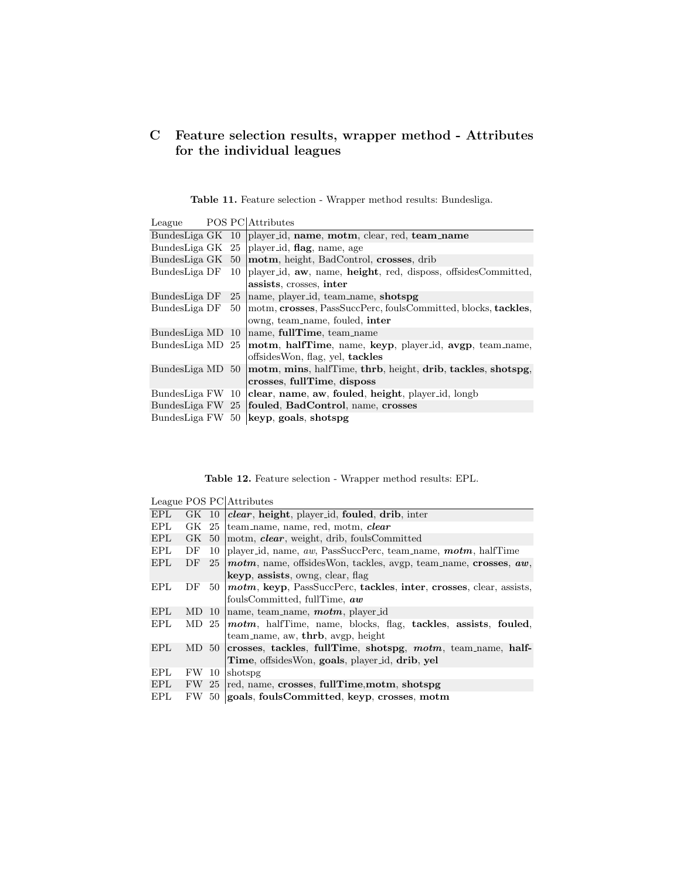# C Feature selection results, wrapper method - Attributes for the individual leagues

Table 11. Feature selection - Wrapper method results: Bundesliga.

| League           |    | POS PC Attributes                                             |
|------------------|----|---------------------------------------------------------------|
| BundesLiga GK 10 |    | player_id, name, motm, clear, red, team_name                  |
| BundesLiga GK 25 |    | player_id, <b>flag</b> , name, age                            |
| BundesLiga GK 50 |    | motm, height, BadControl, crosses, drib                       |
| BundesLiga DF    | 10 | player_id, aw, name, height, red, disposs, offsidesCommitted, |
|                  |    | assists, crosses, inter                                       |
| BundesLiga DF    | 25 | name, player_id, team_name, shotspg                           |
| BundesLiga DF    | 50 | motm, crosses, PassSuccPerc, foulsCommitted, blocks, tackles, |
|                  |    | owng, team_name, fouled, <b>inter</b>                         |
| BundesLiga MD 10 |    | name, fullTime, team_name                                     |
| BundesLiga MD 25 |    | motm, halfTime, name, keyp, player_id, avgp, team_name,       |
|                  |    | offsides Won, flag, yel, tackles                              |
| BundesLiga MD 50 |    | motm, mins, halfTime, thrb, height, drib, tackles, shotspg,   |
|                  |    | crosses, fullTime, disposs                                    |
| BundesLiga FW 10 |    | clear, name, aw, fouled, height, player_id, longb             |
|                  |    | BundesLiga FW 25   fouled, BadControl, name, crosses          |
| BundesLiga FW 50 |    | keyp, goals, shotspg                                          |

Table 12. Feature selection - Wrapper method results: EPL.

|            |                  |    | League POS PC Attributes                                                                |
|------------|------------------|----|-----------------------------------------------------------------------------------------|
| <b>EPL</b> | GK 10            |    | <i>clear</i> , height, player_id, fouled, drib, inter                                   |
| EPL        | GK 25            |    | team_name, name, red, motm, clear                                                       |
| EPL        | GK.              | 50 | motm, <i>clear</i> , weight, drib, foulsCommitted                                       |
| EPL        | DF               | 10 | player_id, name, aw, PassSuccPerc, team_name, motm, halfTime                            |
| <b>EPL</b> | DF               | 25 | $ $ <i>motm</i> , name, offsides Won, tackles, avgp, team_name, <b>crosses</b> , $aw$ , |
|            |                  |    | keyp, assists, owng, clear, flag                                                        |
| EPL        | DF               | 50 | <i>motm</i> , keyp, PassSuccPerc, tackles, inter, crosses, clear, assists,              |
|            |                  |    | foulsCommitted, fullTime, $aw$                                                          |
| EPL        | MD               | 10 | name, team_name, $\textit{motm}$ , player_id                                            |
| EPL        | MD 25            |    | <i>motm</i> , halfTime, name, blocks, flag, tackles, assists, fouled,                   |
|            |                  |    | team_name, aw, thrb, avgp, height                                                       |
| <b>EPL</b> | MD <sub>50</sub> |    | $\alpha$ crosses, tackles, full Time, shotspg, $m \text{ot} m$ , team name, half-       |
|            |                  |    | Time, offsides Won, goals, player id, drib, yel                                         |
| EPL        | FW               | 10 | shotspg                                                                                 |
| EPL        | FW               | 25 | red, name, crosses, fullTime, motm, shotspg                                             |
| EPL        | FW               | 50 | goals, foulsCommitted, keyp, crosses, motm                                              |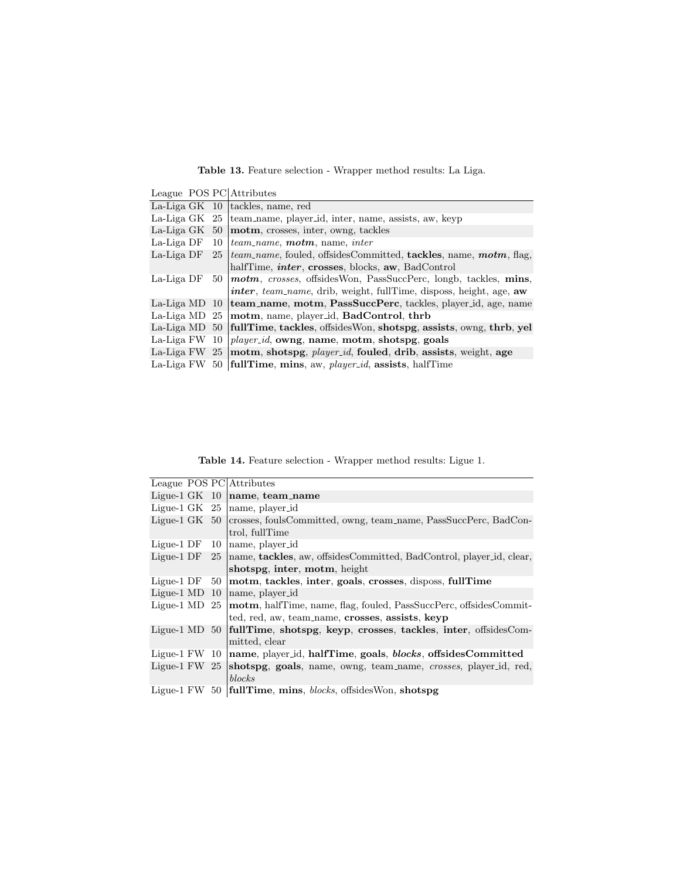Table 13. Feature selection - Wrapper method results: La Liga.

|                 |  | League POS PC Attributes                                                                  |
|-----------------|--|-------------------------------------------------------------------------------------------|
|                 |  | La-Liga GK 10 tackles, name, red                                                          |
|                 |  | La-Liga GK 25   team_name, player_id, inter, name, assists, aw, keyp                      |
|                 |  | La-Liga GK 50   motm, crosses, inter, owng, tackles                                       |
| $La-Liga DF 10$ |  | $\alpha$ team_name, <b>motm</b> , name, <i>inter</i>                                      |
| La-Liga DF $25$ |  | <i>team_name</i> , fouled, offsidesCommitted, <b>tackles</b> , name, <b>motm</b> , flag,  |
|                 |  | halfTime, <i>inter</i> , crosses, blocks, aw, BadControl                                  |
|                 |  | La-Liga DF $50 \mid motm$ , crosses, offsides Won, PassSuccPerc, longb, tackles, mins,    |
|                 |  | <i>inter</i> , <i>team_name</i> , drib, weight, fullTime, disposs, height, age, <b>aw</b> |
|                 |  | La-Liga MD 10 <b>team_name, motm, PassSuccPerc</b> , tackles, player_id, age, name        |
|                 |  | La-Liga MD 25   motm, name, player_id, BadControl, thrb                                   |
| $La-Liga MD 50$ |  | fullTime, tackles, offsides Won, shotspg, assists, owng, thrb, yel                        |
| $La-Liga FW 10$ |  | $ player\_id$ , owng, name, motm, shotspg, goals                                          |
|                 |  | La-Liga FW 25 $\vert$ motm, shotspg, player-id, fouled, drib, assists, weight, age        |
|                 |  | La-Liga FW 50   fullTime, mins, aw, player_id, assists, halfTime                          |

Table 14. Feature selection - Wrapper method results: Ligue 1.

|                 |                 | League POS PC Attributes                                                              |
|-----------------|-----------------|---------------------------------------------------------------------------------------|
|                 |                 | Ligue-1 GK 10 name, team_name                                                         |
|                 |                 | Ligue-1 GK $25$  name, player_id                                                      |
|                 |                 | Ligue-1 GK 50 crosses, foulsCommitted, owng, team_name, PassSuccPerc, BadCon-         |
|                 |                 | trol, fullTime                                                                        |
| Ligue-1 DF $10$ |                 | name, player_id                                                                       |
|                 |                 | Ligue-1 DF 25   name, tackles, aw, offsidesCommitted, BadControl, player id, clear,   |
|                 |                 | shotspg, inter, motm, height                                                          |
| Ligue-1 DF      | 50 <sup>1</sup> | motm, tackles, inter, goals, crosses, disposs, fullTime                               |
|                 |                 | Ligue-1 MD $10$  name, player_id                                                      |
| Ligue-1 MD $25$ |                 | motm, halfTime, name, flag, fouled, PassSuccPerc, offsidesCommit-                     |
|                 |                 | ted, red, aw, team_name, crosses, assists, keyp                                       |
|                 |                 | Ligue-1 MD 50   fullTime, shotspg, keyp, crosses, tackles, inter, offsidesCom-        |
|                 |                 | mitted, clear                                                                         |
| Ligue-1 $FW$ 10 |                 | name, player_id, halfTime, goals, blocks, offsidesCommitted                           |
|                 |                 | Ligue-1 FW 25 shotspg, goals, name, owng, team_name, <i>crosses</i> , player_id, red, |
|                 |                 | blocks                                                                                |
| Ligue-1 $FW50$  |                 | fullTime, mins, <i>blocks</i> , offsidesWon, shotspg                                  |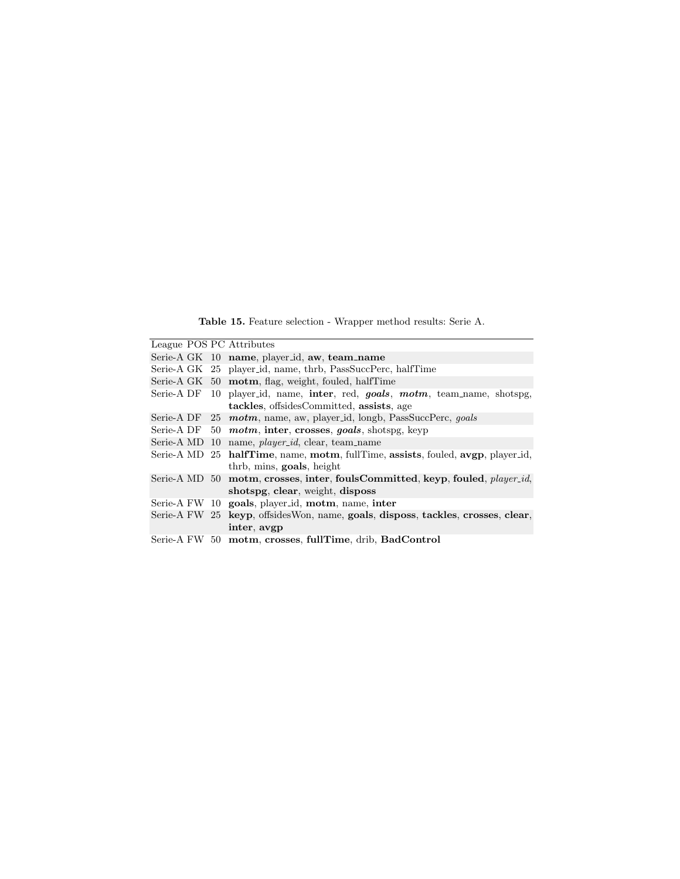Table 15. Feature selection - Wrapper method results: Serie A.

| League POS PC Attributes |      |                                                                        |
|--------------------------|------|------------------------------------------------------------------------|
| Serie-A GK 10            |      | name, player_id, aw, team_name                                         |
| Serie-A GK 25            |      | player_id, name, thrb, PassSuccPerc, halfTime                          |
| Serie-A GK 50            |      | motm, flag, weight, fouled, halfTime                                   |
| Serie-A DF               | 10   | player_id, name, inter, red, goals, motm, team_name, shotspg,          |
|                          |      | tackles, offsidesCommitted, assists, age                               |
| Serie-A DF               | 25   | <i>motm</i> , name, aw, player_id, longb, PassSuccPerc, <i>qoals</i>   |
| Serie-A DF               | 50   | <i>motm</i> , inter, crosses, <i>goals</i> , shotspg, keyp             |
| Serie-A MD               | - 10 | name, <i>player_id</i> , clear, team_name                              |
| Serie-A MD 25            |      | halfTime, name, motm, fullTime, assists, fouled, avgp, player_id,      |
|                          |      | thrb, mins, goals, height                                              |
| Serie-A MD 50            |      | motm, crosses, inter, foulsCommitted, keyp, fouled, <i>player_id</i> , |
|                          |      | shotspg, clear, weight, disposs                                        |
| Serie-A FW 10            |      | goals, player_id, motm, name, inter                                    |
| Serie-A FW 25            |      | keyp, offsides Won, name, goals, disposs, tackles, crosses, clear,     |
|                          |      | inter, avgp                                                            |
| Serie-A FW               | 50   | motm, crosses, fullTime, drib, BadControl                              |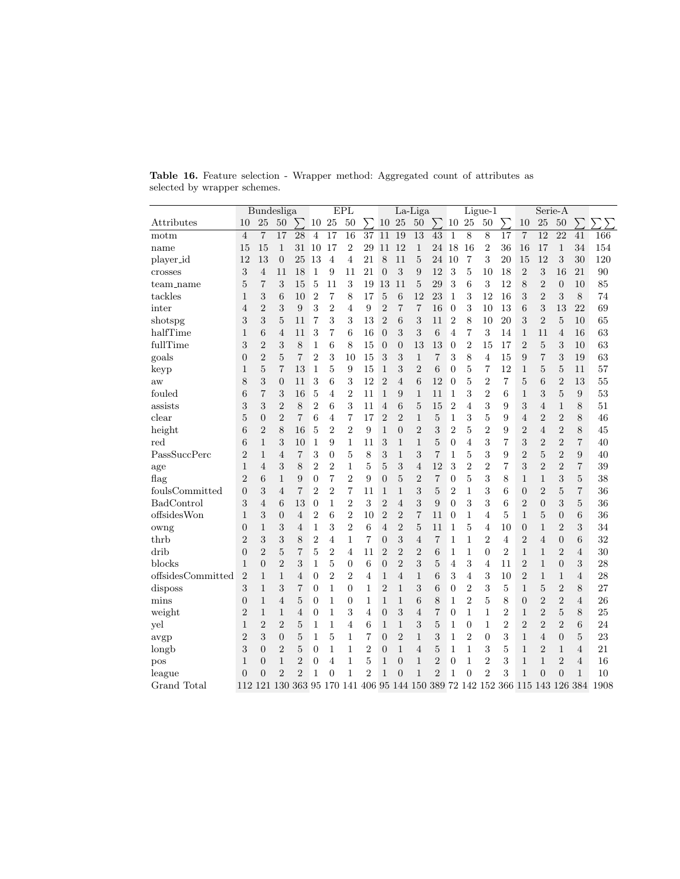|                   |                |                | Bundesliga     |                |                  |                | <b>EPL</b>     |                |                |                  | La-Liga        |                                   |                  |                | Ligue-1          |                |                  | $\rm{Series}A$  |                |                |      |
|-------------------|----------------|----------------|----------------|----------------|------------------|----------------|----------------|----------------|----------------|------------------|----------------|-----------------------------------|------------------|----------------|------------------|----------------|------------------|-----------------|----------------|----------------|------|
| Attributes        | 10             | 25             | 50             | У.             |                  | 10 25          | 50             | Л              |                | 10 25            | $50\,$         | $\sum$                            |                  | 10 25          | 50               | У              | 10               | 25              | 50             | У              | У    |
| motm              | $\overline{4}$ | $\overline{7}$ | 17             | 28             | $\overline{4}$   | 17             | 16             | 37             | 11             | 19               | 13             | 43                                | $\mathbf{1}$     | 8              | 8                | 17             | $\overline{7}$   | 12              | 22             | 41             | 166  |
| name              | 15             | 15             | 1              | 31             | 10               | 17             | $\overline{2}$ | 29             | 11             | 12               | $\mathbf{1}$   | 24                                | 18               | 16             | $\overline{2}$   | 36             | 16               | 17              | 1              | 34             | 154  |
| player_id         | 12             | 13             | $\theta$       | 25             | 13               | $\overline{4}$ | 4              | 21             | 8              | 11               | 5              | 24                                | 10               | 7              | 3                | 20             | 15               | 12              | 3              | 30             | 120  |
| crosses           | 3              | $\overline{4}$ | 11             | 18             | $\mathbf{1}$     | 9              | 11             | 21             | $\overline{0}$ | 3                | 9              | 12                                | 3                | 5              | 10               | 18             | $\overline{2}$   | 3               | 16             | 21             | 90   |
| team_name         | 5              | 7              | 3              | 15             | 5                | 11             | 3              | 19             | 13             | 11               | 5              | 29                                | 3                | 6              | $\sqrt{3}$       | 12             | 8                | $\overline{2}$  | $\overline{0}$ | 10             | 85   |
| tackles           | 1              | 3              | 6              | 10             | 2                | 7              | 8              | 17             | $\overline{5}$ | 6                | 12             | 23                                | $\mathbf{1}$     | 3              | 12               | 16             | 3                | $\overline{2}$  | 3              | 8              | 74   |
| $_{\rm inter}$    | 4              | $\overline{2}$ | 3              | 9              | 3                | $\overline{2}$ | 4              | 9              | $\overline{2}$ | 7                | $\overline{7}$ | 16                                | $\overline{0}$   | 3              | 10               | 13             | 6                | 3               | 13             | 22             | 69   |
| shotspg           | 3              | 3              | 5              | 11             | 7                | 3              | 3              | 13             | $\overline{2}$ | 6                | 3              | 11                                | $\overline{2}$   | 8              | 10               | 20             | 3                | $\overline{2}$  | 5              | 10             | 65   |
| halfTime          | 1              | 6              | 4              | 11             | 3                | 7              | 6              | 16             | $\mathbf{0}$   | 3                | 3              | 6                                 | 4                | 7              | 3                | 14             | $\mathbf 1$      | 11              | 4              | 16             | 63   |
| fullTime          | 3              | $\overline{2}$ | 3              | 8              | 1                | 6              | 8              | 15             | $\overline{0}$ | $\boldsymbol{0}$ | 13             | 13                                | $\overline{0}$   | 2              | 15               | 17             | $\overline{2}$   | 5               | 3              | 10             | 63   |
| goals             | $\overline{0}$ | $\overline{2}$ | 5              | $\overline{7}$ | $\overline{2}$   | 3              | 10             | 15             | 3              | 3                | $\mathbf{1}$   | $\overline{7}$                    | 3                | 8              | 4                | 15             | 9                | $\overline{7}$  | 3              | 19             | 63   |
| keyp              | 1              | 5              | 7              | 13             | 1                | 5              | 9              | 15             | 1              | 3                | $\overline{2}$ | 6                                 | $\theta$         | 5              | 7                | 12             | 1                | 5               | 5              | 11             | 57   |
| aw                | 8              | 3              | $\overline{0}$ | 11             | 3                | 6              | 3              | 12             | $\overline{2}$ | 4                | 6              | 12                                | $\theta$         | 5              | $\overline{2}$   | 7              | 5                | 6               | $\overline{2}$ | 13             | 55   |
| fouled            | 6              | 7              | 3              | 16             | 5                | 4              | $\overline{2}$ | 11             | $\mathbf{1}$   | 9                | $\mathbf{1}$   | 11                                | $\mathbf{1}$     | 3              | $\overline{2}$   | 6              | 1                | 3               | 5              | 9              | 53   |
| assists           | 3              | 3              | $\overline{2}$ | 8              | $\overline{2}$   | 6              | 3              | 11             | 4              | 6                | 5              | 15                                | $\overline{2}$   | 4              | 3                | 9              | 3                | $\overline{4}$  | $\mathbf{1}$   | 8              | 51   |
| $_{\rm clear}$    | 5              | $\overline{0}$ | $\overline{2}$ | $\overline{7}$ | 6                | $\overline{4}$ | 7              | 17             | $\overline{2}$ | $\overline{2}$   | $\mathbf{1}$   | 5                                 | $\mathbf{1}$     | 3              | 5                | 9              | 4                | $\overline{2}$  | $\overline{2}$ | 8              | 46   |
| height            | 6              | $\overline{2}$ | 8              | 16             | 5                | $\overline{2}$ | $\overline{2}$ | 9              | $\mathbf{1}$   | $\boldsymbol{0}$ | $\overline{2}$ | 3                                 | $\overline{2}$   | 5              | $\overline{2}$   | 9              | $\overline{2}$   | 4               | $\overline{2}$ | 8              | 45   |
| red               | 6              | 1              | 3              | 10             | 1                | 9              | 1              | 11             | 3              | 1                | 1              | 5                                 | $\boldsymbol{0}$ | 4              | 3                | 7              | 3                | $\overline{2}$  | $\overline{2}$ | $\overline{7}$ | 40   |
| PassSuccPerc      | $\overline{2}$ | 1              | 4              | 7              | 3                | $\overline{0}$ | 5              | 8              | 3              | 1                | 3              | 7                                 | 1                | 5              | 3                | 9              | $\overline{2}$   | 5               | $\overline{2}$ | 9              | 40   |
| age               | 1              | 4              | 3              | 8              | $\overline{2}$   | $\overline{2}$ | 1              | 5              | 5              | 3                | 4              | 12                                | 3                | $\overline{2}$ | $\overline{2}$   | 7              | 3                | $\overline{2}$  | $\overline{2}$ | $\overline{7}$ | 39   |
| flag              | $\overline{2}$ | 6              | 1              | 9              | $\overline{0}$   | 7              | $\overline{2}$ | 9              | $\overline{0}$ | 5                | $\overline{2}$ | $\overline{7}$                    | $\overline{0}$   | 5              | 3                | 8              | $\mathbf{1}$     | $\mathbf 1$     | 3              | $\overline{5}$ | 38   |
| foulsCommitted    | $\overline{0}$ | 3              | 4              | 7              | $\overline{2}$   | $\overline{2}$ | 7              | 11             | $\mathbf{1}$   | $\mathbf{1}$     | 3              | 5                                 | $\overline{2}$   | 1              | 3                | 6              | $\overline{0}$   | $\overline{2}$  | 5              | $\overline{7}$ | 36   |
| BadControl        | 3              | 4              | 6              | 13             | $\theta$         | 1              | $\overline{2}$ | 3              | $\overline{2}$ | 4                | 3              | 9                                 | $\theta$         | 3              | 3                | 6              | $\overline{2}$   | $\overline{0}$  | 3              | 5              | 36   |
| offsidesWon       | 1              | 3              | $\overline{0}$ | 4              | 2                | 6              | $\overline{2}$ | 10             | $\overline{2}$ | $\overline{2}$   | 7              | 11                                | $\theta$         | 1              | 4                | 5              | 1                | 5               | $\overline{0}$ | 6              | 36   |
| owng              | $\overline{0}$ | 1              | 3              | 4              | $\mathbf{1}$     | 3              | $\overline{2}$ | 6              | 4              | $\overline{2}$   | 5              | 11                                | 1                | 5              | 4                | 10             | $\boldsymbol{0}$ | 1               | $\overline{2}$ | 3              | 34   |
| thrb              | $\overline{2}$ | 3              | 3              | 8              | $\overline{2}$   | 4              | $\mathbf{1}$   | 7              | $\overline{0}$ | 3                | 4              | 7                                 | 1                | 1              | $\overline{2}$   | 4              | $\overline{2}$   | 4               | $\overline{0}$ | 6              | 32   |
| drib              | $\overline{0}$ | $\overline{2}$ | 5              | 7              | 5                | $\overline{2}$ | 4              | 11             | $\overline{2}$ | $\overline{2}$   | $\overline{2}$ | 6                                 | 1                | 1              | 0                | $\overline{2}$ | 1                | 1               | $\overline{2}$ | 4              | 30   |
| blocks            | 1              | $\overline{0}$ | $\overline{2}$ | 3              | $\mathbf{1}$     | 5              | $\overline{0}$ | 6              | $\overline{0}$ | $\overline{2}$   | 3              | 5                                 | $\overline{4}$   | 3              | 4                | 11             | $\overline{2}$   | 1               | $\overline{0}$ | 3              | 28   |
| offsidesCommitted | $\overline{2}$ | 1              | 1              | 4              | $\theta$         | $\overline{2}$ | $\overline{2}$ | 4              | 1              | 4                | 1              | 6                                 | 3                | 4              | 3                | 10             | $\overline{2}$   | $\mathbf 1$     | 1              | $\overline{4}$ | 28   |
| disposs           | 3              | $\mathbf{1}$   | 3              | $\overline{7}$ | $\theta$         | $\mathbf{1}$   | $\overline{0}$ | 1              | $\overline{2}$ | $\mathbf{1}$     | 3              | 6                                 | $\overline{0}$   | 2              | 3                | 5              | 1                | 5               | $\overline{2}$ | 8              | 27   |
| mins              | $\overline{0}$ | 1              | 4              | 5              | $\Omega$         | $\mathbf{1}$   | $\overline{0}$ | 1              | $\mathbf{1}$   | 1                | 6              | 8                                 | $\mathbf{1}$     | $\overline{2}$ | 5                | 8              | $\overline{0}$   | $\overline{2}$  | $\overline{2}$ | $\overline{4}$ | 26   |
| weight            | $\overline{2}$ | $\mathbf{1}$   | $\mathbf{1}$   | 4              | $\boldsymbol{0}$ | $\mathbf{1}$   | 3              | 4              | $\overline{0}$ | 3                | 4              | 7                                 | $\overline{0}$   | 1              | 1                | $\overline{2}$ | $\mathbf 1$      | $\overline{2}$  | 5              | 8              | 25   |
| yel               | $\mathbf 1$    | $\overline{2}$ | $\overline{2}$ | 5              | $\mathbf 1$      | 1              | 4              | 6              | $\mathbf{1}$   | $\mathbf{1}$     | 3              | 5                                 | $\mathbf{1}$     | $\overline{0}$ | 1                | $\overline{2}$ | $\overline{2}$   | $\overline{2}$  | $\overline{2}$ | 6              | 24   |
| avgp              | $\overline{2}$ | 3              | $\overline{0}$ | 5              | 1                | 5              | 1              | 7              | $\overline{0}$ | $\overline{2}$   | 1              | 3                                 | 1                | $\overline{2}$ | $\boldsymbol{0}$ | 3              | 1                | 4               | $\overline{0}$ | 5              | 23   |
| longb             | 3              | 0              | $\overline{2}$ | 5              | 0                | 1              | 1              | $\overline{2}$ | $\theta$       | 1                | 4              | 5                                 | 1                | 1              | 3                | 5              | 1                | $\overline{2}$  | 1              | 4              | 21   |
| pos               | 1              | 0              | 1              | $\overline{2}$ | $\theta$         | $\overline{4}$ | 1              | 5              | 1              | $\overline{0}$   | 1              | $\overline{2}$                    | $\overline{0}$   | 1              | $\overline{2}$   | 3              | 1                | 1               | $\overline{2}$ | $\overline{4}$ | 16   |
| league            | $\overline{0}$ | $\overline{0}$ | $\overline{2}$ | $\overline{2}$ | 1                | $\overline{0}$ | $\mathbf{1}$   | $\overline{2}$ | $\mathbf{1}$   | $\overline{0}$   | 1              | $\overline{2}$                    | $\mathbf{1}$     | $\overline{0}$ | $\overline{2}$   | 3              | $\mathbf{1}$     | $\overline{0}$  | $\overline{0}$ | $\mathbf{1}$   | 10   |
| Grand Total       |                | 112 121 130    |                |                |                  |                |                |                |                |                  |                | 363 95 170 141 406 95 144 150 389 |                  |                |                  | 72 142 152 366 |                  | 115 143 126 384 |                |                | 1908 |

Table 16. Feature selection - Wrapper method: Aggregated count of attributes as selected by wrapper schemes.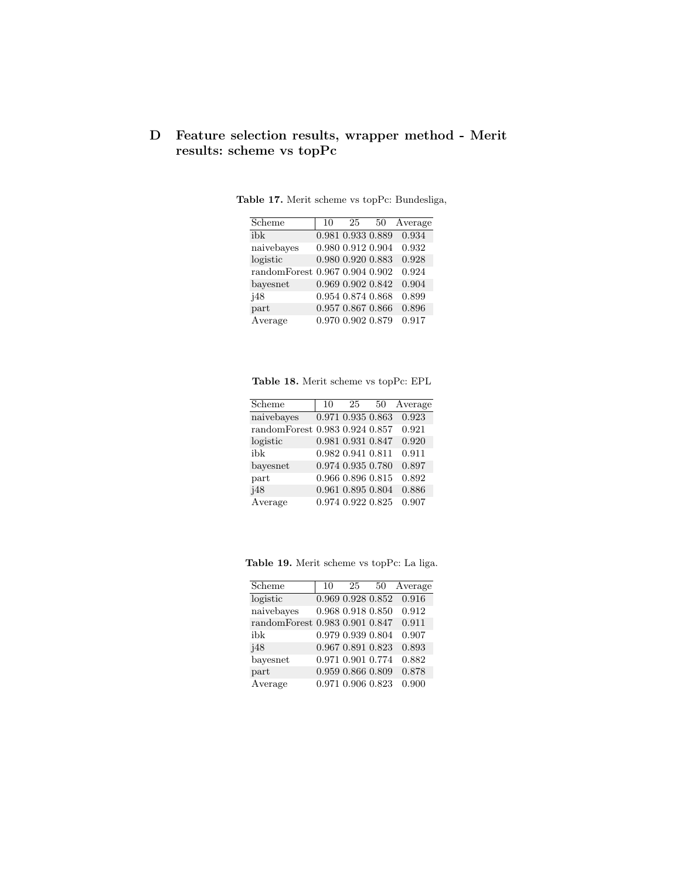# D Feature selection results, wrapper method - Merit results: scheme vs topPc

| Scheme                         | 10 | 25                      | -50 | Average |
|--------------------------------|----|-------------------------|-----|---------|
| ibk                            |    | 0.981 0.933 0.889       |     | 0.934   |
| naivebayes                     |    | 0.980 0.912 0.904       |     | 0.932   |
| logistic                       |    | 0.980 0.920 0.883       |     | 0.928   |
| randomForest 0.967 0.904 0.902 |    |                         |     | 0.924   |
| bayesnet                       |    | $0.969$ $0.902$ $0.842$ |     | 0.904   |
| i48                            |    | 0.954 0.874 0.868       |     | 0.899   |
| part                           |    | 0.957 0.867 0.866       |     | 0.896   |
| Average                        |    | 0.970 0.902 0.879       |     | 0.917   |

Table 17. Merit scheme vs topPc: Bundesliga,

| Table 18. Merit scheme vs topPc: EPL |  |  |  |  |  |
|--------------------------------------|--|--|--|--|--|
|--------------------------------------|--|--|--|--|--|

| Scheme                         | 10 | 25                | 50 | Average |
|--------------------------------|----|-------------------|----|---------|
| naivebayes                     |    | 0.971 0.935 0.863 |    | 0.923   |
| randomForest 0.983 0.924 0.857 |    |                   |    | 0.921   |
| logistic                       |    | 0.981 0.931 0.847 |    | 0.920   |
| ibk                            |    | 0.982 0.941 0.811 |    | 0.911   |
| bayesnet                       |    | 0.974 0.935 0.780 |    | 0.897   |
| part                           |    | 0.966 0.896 0.815 |    | 0.892   |
| j48                            |    | 0.961 0.895 0.804 |    | 0.886   |
| Average                        |    | 0.974 0.922 0.825 |    | 0.907   |

Table 19. Merit scheme vs topPc: La liga.

| Scheme                         | 10 | 25                | -50 | Average |
|--------------------------------|----|-------------------|-----|---------|
| logistic                       |    | 0.969 0.928 0.852 |     | 0.916   |
| naivebayes                     |    | 0.968 0.918 0.850 |     | 0.912   |
| randomForest 0.983 0.901 0.847 |    |                   |     | 0.911   |
| ibk                            |    | 0.979 0.939 0.804 |     | 0.907   |
| i48                            |    | 0.967 0.891 0.823 |     | 0.893   |
| bayesnet                       |    | 0.971 0.901 0.774 |     | 0.882   |
| part                           |    | 0.959 0.866 0.809 |     | 0.878   |
| Average                        |    | 0.971 0.906 0.823 |     | 0.900   |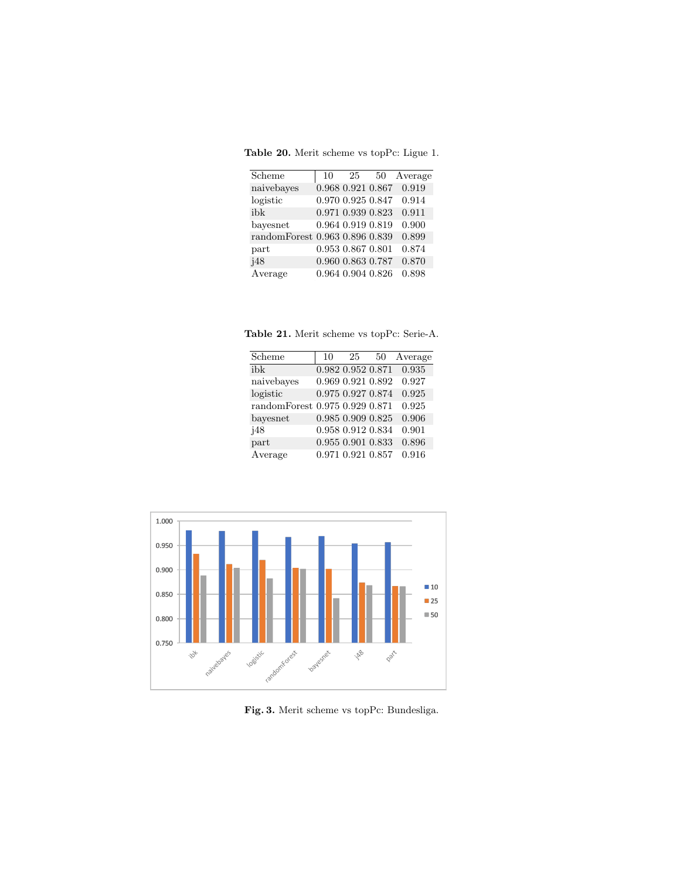| Scheme                         | 10 | 25                | - 50 | Average |
|--------------------------------|----|-------------------|------|---------|
| naivebayes                     |    | 0.968 0.921 0.867 |      | 0.919   |
| logistic                       |    | 0.970 0.925 0.847 |      | 0.914   |
| ibk                            |    | 0.971 0.939 0.823 |      | 0.911   |
| bayesnet                       |    | 0.964 0.919 0.819 |      | 0.900   |
| randomForest 0.963 0.896 0.839 |    |                   |      | 0.899   |
| part                           |    | 0.953 0.867 0.801 |      | 0.874   |
| j48                            |    | 0.960 0.863 0.787 |      | 0.870   |
| Average                        |    | 0.964 0.904 0.826 |      | 0.898   |

Table 20. Merit scheme vs topPc: Ligue 1.

Table 21. Merit scheme vs topPc: Serie-A.

| Scheme                         | 10 | 25                      | 50 | Average |
|--------------------------------|----|-------------------------|----|---------|
| ibk                            |    | 0.982 0.952 0.871       |    | 0.935   |
| naivebayes                     |    | 0.969 0.921 0.892       |    | 0.927   |
| logistic                       |    | 0.975 0.927 0.874       |    | 0.925   |
| randomForest 0.975 0.929 0.871 |    |                         |    | 0.925   |
| bayesnet                       |    | 0.985 0.909 0.825       |    | 0.906   |
| i48                            |    | 0.958 0.912 0.834       |    | 0.901   |
| part                           |    | 0.955 0.901 0.833       |    | 0.896   |
| Average                        |    | $0.971$ $0.921$ $0.857$ |    | 0.916   |



Fig. 3. Merit scheme vs topPc: Bundesliga.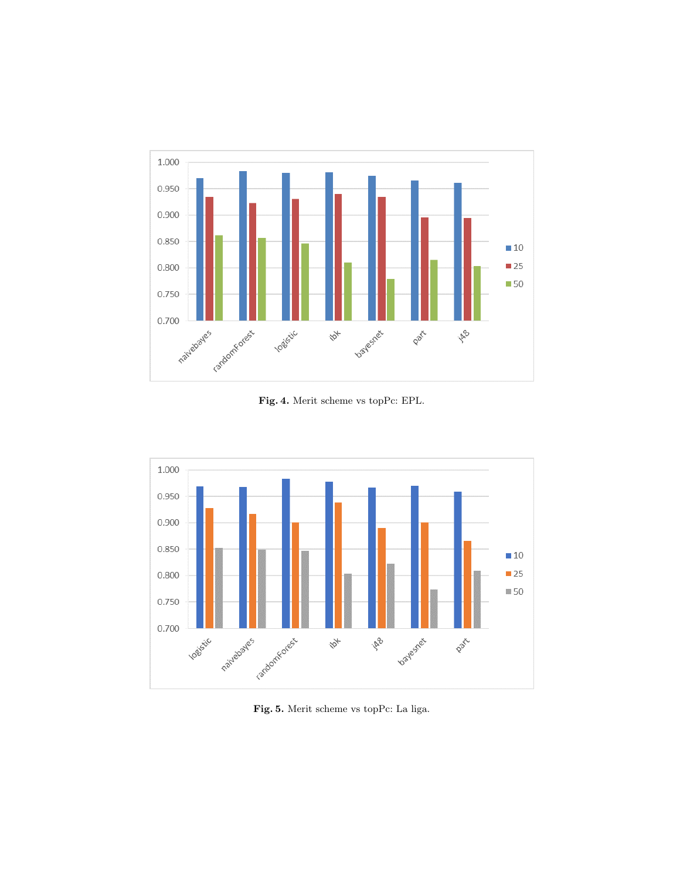

Fig. 4. Merit scheme vs topPc: EPL.



Fig. 5. Merit scheme vs topPc: La liga.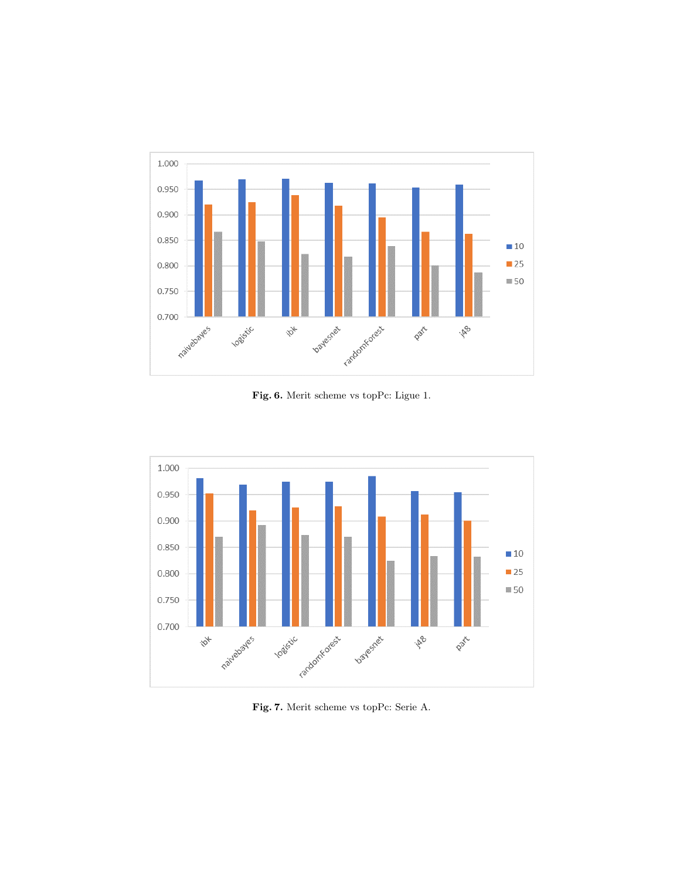

Fig. 6. Merit scheme vs topPc: Ligue 1.



Fig. 7. Merit scheme vs topPc: Serie A.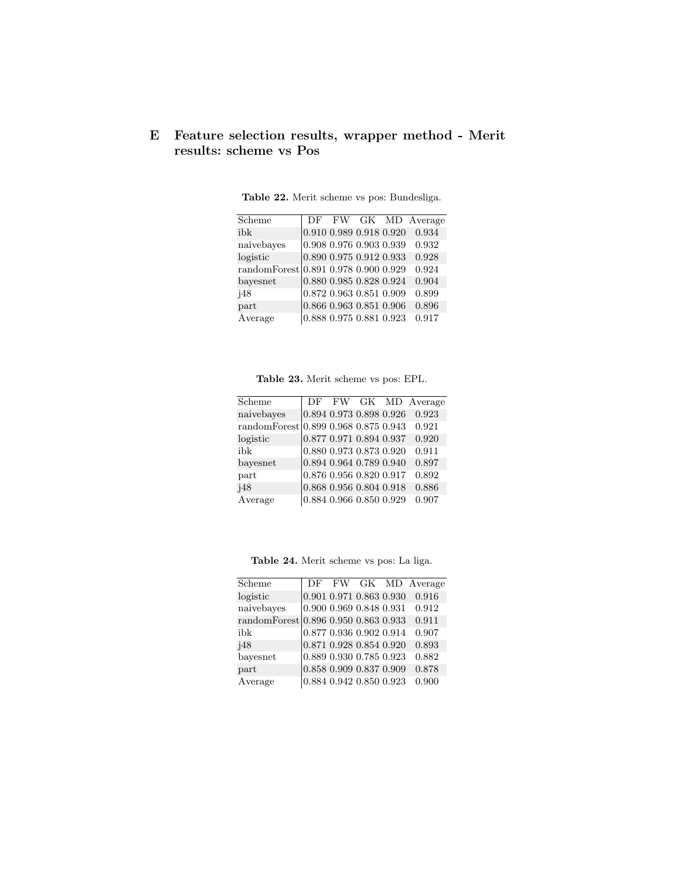## E Feature selection results, wrapper method - Merit results: scheme vs Pos

| Scheme                               |                              |  | DF FW GK MD Average |
|--------------------------------------|------------------------------|--|---------------------|
| ibk                                  | 0.910 0.989 0.918 0.920      |  | 0.934               |
| naivebayes                           | 0.908 0.976 0.903 0.939      |  | 0.932               |
| logistic                             | 0.890 0.975 0.912 0.933      |  | 0.928               |
| randomForest 0.891 0.978 0.900 0.929 |                              |  | 0.924               |
| bayesnet                             | 0.880 0.985 0.828 0.924      |  | 0.904               |
| i48                                  | 0.872 0.963 0.851 0.909      |  | 0.899               |
| part                                 | 0.866 0.963 0.851 0.906      |  | 0.896               |
| Average                              | $0.888\ 0.975\ 0.881\ 0.923$ |  | 0.917               |

Table 22. Merit scheme vs pos: Bundesliga.

Table 23. Merit scheme vs pos: EPL.

| Scheme                               |                                 |                         |  | DF FW GK MD Average |
|--------------------------------------|---------------------------------|-------------------------|--|---------------------|
| naivebayes                           | $0.894$ $0.973$ $0.898$ $0.926$ |                         |  | 0.923               |
| randomForest 0.899 0.968 0.875 0.943 |                                 |                         |  | 0.921               |
| logistic                             | $0.877$ 0.971 0.894 0.937       |                         |  | 0.920               |
| ibk                                  | $0.880$ 0.973 0.873 0.920       |                         |  | 0.911               |
| bayesnet                             | $0.894$ 0.964 0.789 0.940       |                         |  | 0.897               |
| part                                 | 0.876 0.956 0.820 0.917         |                         |  | 0.892               |
| i48                                  |                                 | 0.868 0.956 0.804 0.918 |  | 0.886               |
| Average                              | 0.884 0.966 0.850 0.929         |                         |  | 0.907               |

Table 24. Merit scheme vs pos: La liga.

| Scheme                               |                                 |  | DF FW GK MD Average |
|--------------------------------------|---------------------------------|--|---------------------|
| logistic                             | $0.901$ $0.971$ $0.863$ $0.930$ |  | 0.916               |
| naivebayes                           | $0.900$ 0.969 0.848 0.931       |  | 0.912               |
| randomForest 0.896 0.950 0.863 0.933 |                                 |  | 0.911               |
| ibk                                  | 0.877 0.936 0.902 0.914         |  | 0.907               |
| i48                                  | $0.871$ 0.928 0.854 0.920       |  | 0.893               |
| bayesnet                             | $0.889$ 0.930 0.785 0.923       |  | 0.882               |
| part                                 | $0.858$ $0.909$ $0.837$ $0.909$ |  | 0.878               |
| Average                              | 0.884 0.942 0.850 0.923         |  | 0.900               |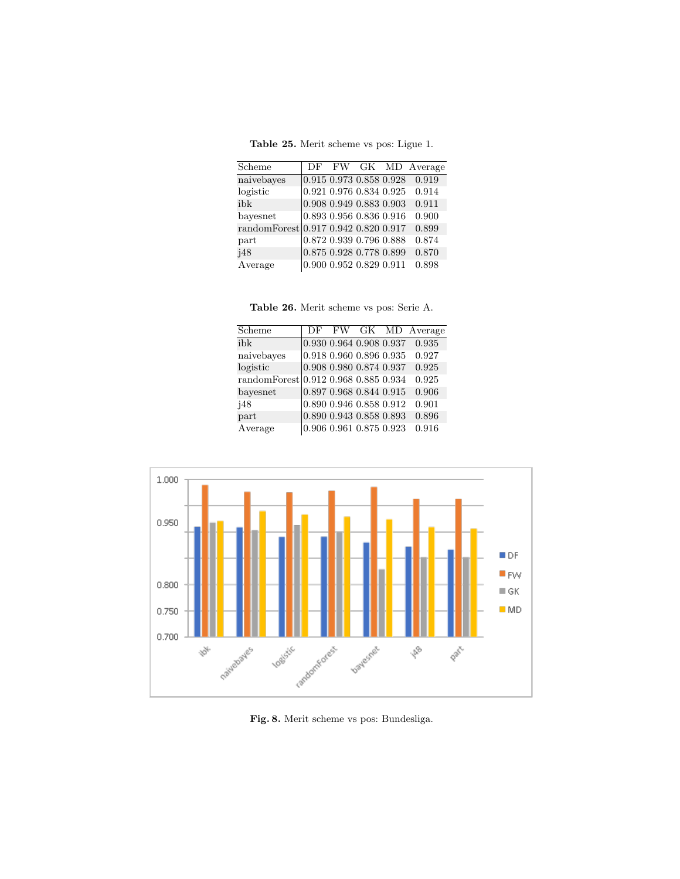Table 25. Merit scheme vs pos: Ligue 1.

| Scheme                               |                                 |  | DF FW GK MD Average |
|--------------------------------------|---------------------------------|--|---------------------|
| naivebayes                           | $0.915$ 0.973 0.858 0.928       |  | 0.919               |
| logistic                             | 0.921 0.976 0.834 0.925         |  | 0.914               |
| ibk                                  | 0.908 0.949 0.883 0.903         |  | 0.911               |
| bayesnet                             | 0.893 0.956 0.836 0.916         |  | 0.900               |
| randomForest 0.917 0.942 0.820 0.917 |                                 |  | 0.899               |
| part                                 | 0.872 0.939 0.796 0.888         |  | 0.874               |
| i48                                  | 0.875 0.928 0.778 0.899         |  | 0.870               |
| Average                              | $0.900$ $0.952$ $0.829$ $0.911$ |  | 0.898               |

Table 26. Merit scheme vs pos: Serie A.

| Scheme                               |                              |  | DF FW GK MD Average |
|--------------------------------------|------------------------------|--|---------------------|
| ibk                                  | 0.930 0.964 0.908 0.937      |  | 0.935               |
| naivebayes                           | 0.918 0.960 0.896 0.935      |  | 0.927               |
| logistic                             | 0.908 0.980 0.874 0.937      |  | 0.925               |
| randomForest 0.912 0.968 0.885 0.934 |                              |  | 0.925               |
| bayesnet                             | 0.897 0.968 0.844 0.915      |  | 0.906               |
| i48                                  | 0.890 0.946 0.858 0.912      |  | 0.901               |
| part                                 | $0.890\ 0.943\ 0.858\ 0.893$ |  | 0.896               |
| Average                              | 0.906 0.961 0.875 0.923      |  | 0.916               |



Fig. 8. Merit scheme vs pos: Bundesliga.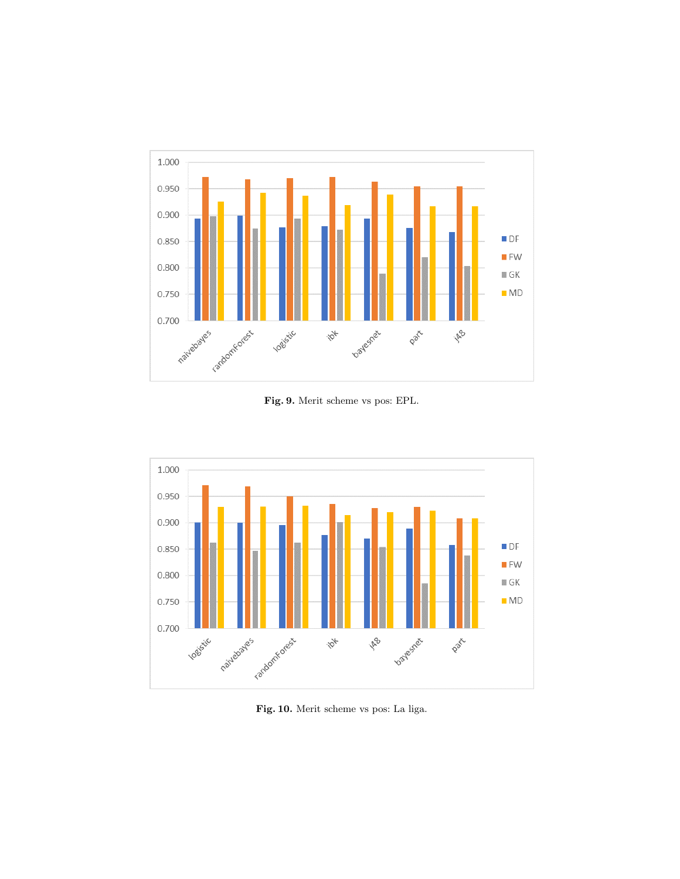

Fig. 9. Merit scheme vs pos: EPL.



Fig. 10. Merit scheme vs pos: La liga.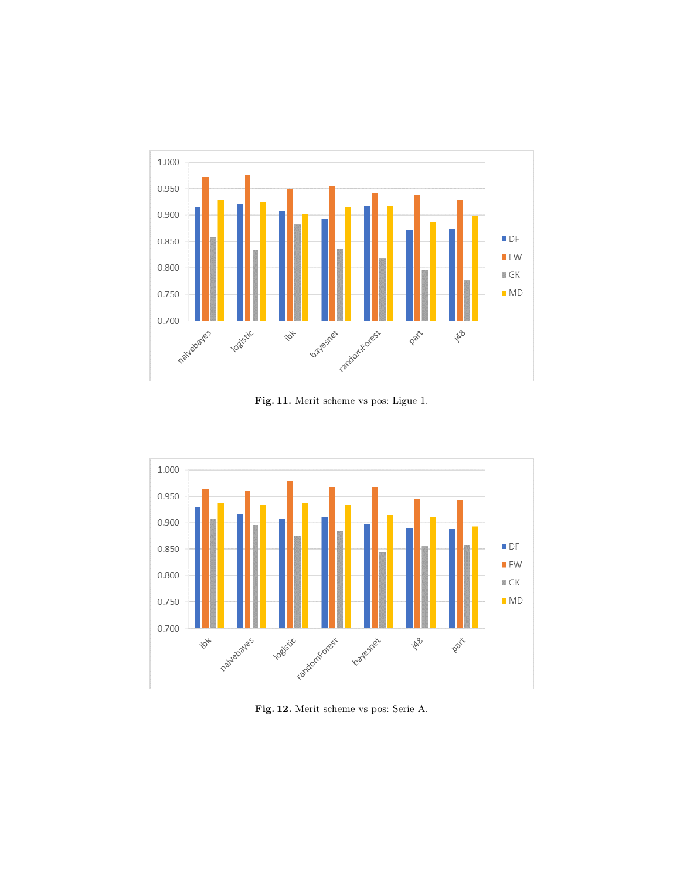

Fig. 11. Merit scheme vs pos: Ligue 1.



Fig. 12. Merit scheme vs pos: Serie A.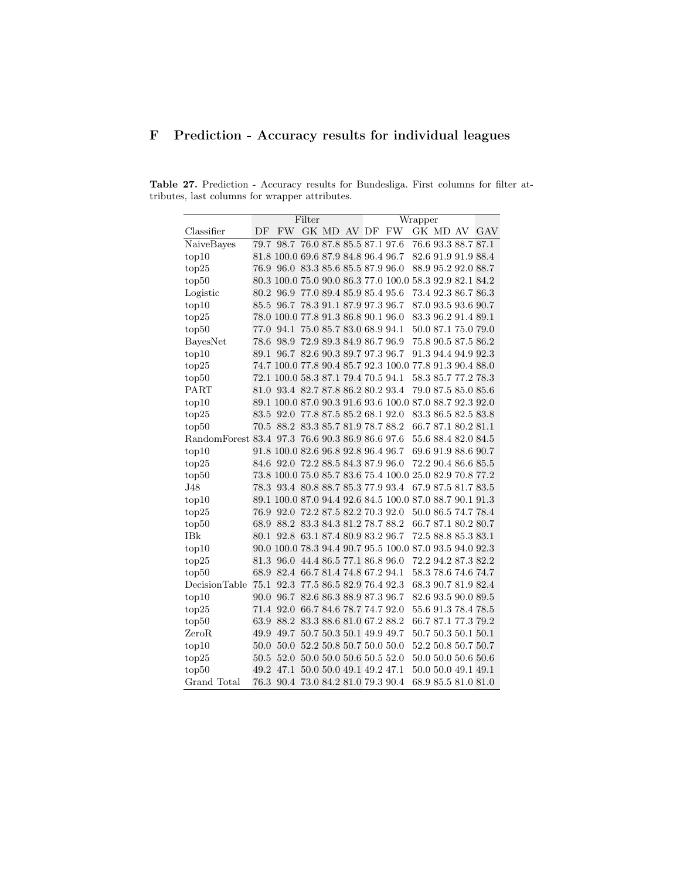# F Prediction - Accuracy results for individual leagues

|                        |      |                                                          | Filter |                          |  | Wrapper |                     |                     |
|------------------------|------|----------------------------------------------------------|--------|--------------------------|--|---------|---------------------|---------------------|
| Classifier             | DF   | <b>FW</b>                                                |        | GK MD AV DF FW           |  |         |                     | GK MD AV GAV        |
| NaiveBayes             | 79.7 | 98.7 76.0 87.8 85.5 87.1 97.6                            |        |                          |  |         |                     | 76.6 93.3 88.7 87.1 |
| top10                  |      | 81.8 100.0 69.6 87.9 84.8 96.4 96.7                      |        |                          |  |         | 82.6 91.9 91.9 88.4 |                     |
| top25                  |      | 76.9 96.0 83.3 85.6 85.5 87.9 96.0                       |        |                          |  |         | 88.9 95.2 92.0 88.7 |                     |
| top50                  |      | 80.3 100.0 75.0 90.0 86.3 77.0 100.0                     |        |                          |  |         | 58.3 92.9 82.1 84.2 |                     |
| Logistic               | 80.2 | 96.9                                                     |        | 77.0 89.4 85.9 85.4 95.6 |  |         | 73.4 92.3 86.7 86.3 |                     |
| top10                  | 85.5 | 96.7                                                     |        | 78.3 91.1 87.9 97.3 96.7 |  |         | 87.0 93.5 93.6 90.7 |                     |
| top25                  |      | 78.0 100.0 77.8 91.3 86.8 90.1 96.0                      |        |                          |  |         | 83.3 96.2 91.4 89.1 |                     |
| top50                  | 77.0 | 94.1                                                     |        | 75.0 85.7 83.0 68.9 94.1 |  |         | 50.0 87.1 75.0 79.0 |                     |
| BayesNet               | 78.6 | 98.9                                                     |        | 72.9 89.3 84.9 86.7 96.9 |  |         | 75.8 90.5 87.5 86.2 |                     |
| top10                  |      | 89.1 96.7 82.6 90.3 89.7 97.3 96.7                       |        |                          |  |         | 91.3 94.4 94.9 92.3 |                     |
| top25                  |      | 74.7 100.0 77.8 90.4 85.7 92.3 100.0                     |        |                          |  |         | 77.8 91.3 90.4 88.0 |                     |
| top50                  |      | 72.1 100.0 58.3 87.1 79.4 70.5 94.1                      |        |                          |  |         | 58.3 85.7 77.2 78.3 |                     |
| PART                   |      | 81.0 93.4 82.7 87.8 86.2 80.2 93.4                       |        |                          |  |         | 79.0 87.5 85.0 85.6 |                     |
| top10                  |      | 89.1 100.0 87.0 90.3 91.6 93.6 100.0 87.0 88.7 92.3 92.0 |        |                          |  |         |                     |                     |
| top25                  | 83.5 | 92.0                                                     |        | 77.8 87.5 85.2 68.1 92.0 |  |         | 83.3 86.5 82.5 83.8 |                     |
| top50                  | 70.5 | 88.2                                                     |        | 83.3 85.7 81.9 78.7 88.2 |  |         | 66.787.180.281.1    |                     |
| RandomForest 83.4 97.3 |      |                                                          |        | 76.6 90.3 86.9 86.6 97.6 |  |         | 55.6 88.4 82.0 84.5 |                     |
| top10                  |      | 91.8 100.0 82.6 96.8 92.8 96.4 96.7                      |        |                          |  |         | 69.6 91.9 88.6 90.7 |                     |
| top25                  |      | 84.6 92.0 72.2 88.5 84.3 87.9 96.0                       |        |                          |  |         | 72.2 90.4 86.6 85.5 |                     |
| top50                  |      | 73.8 100.0 75.0 85.7 83.6 75.4 100.0 25.0 82.9 70.8 77.2 |        |                          |  |         |                     |                     |
| J48                    |      | 78.3 93.4 80.8 88.7 85.3 77.9 93.4                       |        |                          |  |         | 67.9 87.5 81.7 83.5 |                     |
| top10                  |      | 89.1 100.0 87.0 94.4 92.6 84.5 100.0 87.0 88.7 90.1 91.3 |        |                          |  |         |                     |                     |
| top25                  |      | 76.9 92.0 72.2 87.5 82.2 70.3 92.0                       |        |                          |  |         | 50.0 86.5 74.7 78.4 |                     |
| top50                  | 68.9 | 88.2 83.3 84.3 81.2 78.7 88.2                            |        |                          |  |         | 66.787.180.280.7    |                     |
| <b>IBk</b>             | 80.1 | 92.8 63.1 87.4 80.9 83.2 96.7                            |        |                          |  |         | 72.5 88.8 85.3 83.1 |                     |
| top10                  |      | 90.0 100.0 78.3 94.4 90.7 95.5 100.0 87.0 93.5 94.0 92.3 |        |                          |  |         |                     |                     |
| top25                  |      | 81.3 96.0                                                |        | 44.4 86.5 77.1 86.8 96.0 |  |         | 72.2 94.2 87.3 82.2 |                     |
| top50                  | 68.9 | 82.4                                                     |        | 66.7 81.4 74.8 67.2 94.1 |  |         | 58.3 78.6 74.6 74.7 |                     |
| DecisionTable          | 75.1 | 92.3                                                     |        | 77.5 86.5 82.9 76.4 92.3 |  |         | 68.3 90.7 81.9 82.4 |                     |
| top10                  | 90.0 | 96.7                                                     |        | 82.6 86.3 88.9 87.3 96.7 |  |         | 82.6 93.5 90.0 89.5 |                     |
| top25                  | 71.4 | 92.0                                                     |        | 66.784.678.774.792.0     |  |         | 55.6 91.3 78.4 78.5 |                     |
| top50                  | 63.9 | 88.2                                                     |        | 83.3 88.6 81.0 67.2 88.2 |  |         | 66.7 87.1 77.3 79.2 |                     |
| ZeroR                  | 49.9 | 49.7                                                     |        | 50.7 50.3 50.1 49.9 49.7 |  |         | 50.7 50.3 50.1 50.1 |                     |
| top10                  | 50.0 | 50.0                                                     |        | 52.2 50.8 50.7 50.0 50.0 |  |         | 52.2 50.8 50.7 50.7 |                     |
| top25                  | 50.5 | 52.0                                                     |        | 50.0 50.0 50.6 50.5 52.0 |  |         | 50.0 50.0 50.6 50.6 |                     |
| top50                  | 49.2 | 47.1                                                     |        | 50.0 50.0 49.1 49.2 47.1 |  |         | 50.0 50.0 49.1 49.1 |                     |
| Grand Total            | 76.3 | 90.4                                                     |        | 73.0 84.2 81.0 79.3 90.4 |  |         | 68.9 85.5 81.0 81.0 |                     |

Table 27. Prediction - Accuracy results for Bundesliga. First columns for filter attributes, last columns for wrapper attributes.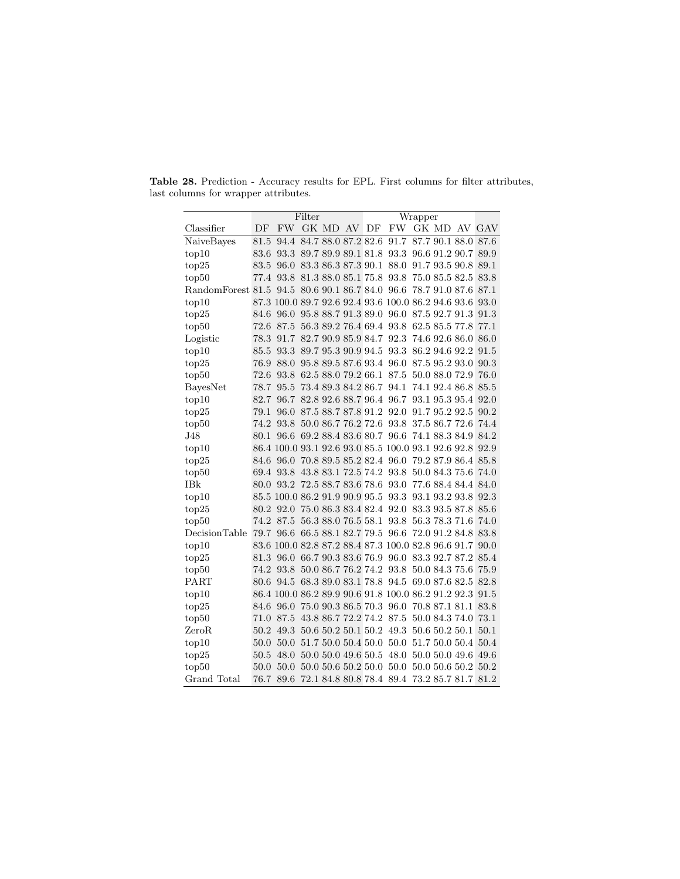|                   | Filter |                                                     |  |                     |  | Wrapper |                                         |  |                |                |              |
|-------------------|--------|-----------------------------------------------------|--|---------------------|--|---------|-----------------------------------------|--|----------------|----------------|--------------|
| Classifier        | DF     | FW                                                  |  | GK MD AV            |  | DF      | <b>FW</b>                               |  |                |                | GK MD AV GAV |
| NaiveBayes        | 81.5   | 94.4                                                |  | 84.7 88.0 87.2 82.6 |  |         | 91.7                                    |  | 87.790.188.0   |                | 87.6         |
| top10             | 83.6   | 93.3                                                |  |                     |  |         | 89.789.989.181.893.3                    |  | 96.6 91.2 90.7 |                | 89.9         |
| top25             | 83.5   | 96.0                                                |  | 83.3 86.3 87.3 90.1 |  |         | 88.0                                    |  | 91.7 93.5 90.8 |                | 89.1         |
| top50             | 77.4   | 93.8                                                |  | 81.3 88.0 85.1 75.8 |  |         | 93.8                                    |  | 75.0 85.5 82.5 |                | 83.8         |
| RandomForest 81.5 |        | 94.5                                                |  |                     |  |         | 80.6 90.1 86.7 84.0 96.6                |  | 78.7 91.0 87.6 |                | 87.1         |
| top10             |        | 87.3 100.0 89.7 92.6 92.4 93.6 100.0 86.2 94.6 93.6 |  |                     |  |         |                                         |  |                |                | 93.0         |
| top25             | 84.6   | 96.0                                                |  |                     |  |         | 95.8 88.7 91.3 89.0 96.0 87.5 92.7 91.3 |  |                |                | 91.3         |
| top50             | 72.6   | 87.5                                                |  |                     |  |         | 56.3 89.2 76.4 69.4 93.8                |  | 62.5 85.5 77.8 |                | 77.1         |
| Logistic          | 78.3   | 91.7                                                |  |                     |  |         | 82.7 90.9 85.9 84.7 92.3                |  | 74.6 92.6 86.0 |                | 86.0         |
| top10             | 85.5   | 93.3                                                |  |                     |  |         | 89.7 95.3 90.9 94.5 93.3                |  | 86.2 94.6 92.2 |                | 91.5         |
| top25             | 76.9   | 88.0                                                |  |                     |  |         | 95.8 89.5 87.6 93.4 96.0                |  | 87.5 95.2 93.0 |                | 90.3         |
| top50             | 72.6   | 93.8                                                |  |                     |  |         | 62.5 88.0 79.2 66.1 87.5                |  | 50.0 88.0 72.9 |                | 76.0         |
| BayesNet          | 78.7   | 95.5                                                |  |                     |  |         | 73.4 89.3 84.2 86.7 94.1                |  | 74.1 92.4 86.8 |                | 85.5         |
| top10             | 82.7   | 96.7                                                |  |                     |  |         | 82.8 92.6 88.7 96.4 96.7                |  | 93.1 95.3 95.4 |                | 92.0         |
| top25             | 79.1   | 96.0                                                |  |                     |  |         | 87.5 88.7 87.8 91.2 92.0                |  | 91.7 95.2 92.5 |                | 90.2         |
| top50             | 74.2   | 93.8                                                |  |                     |  |         | 50.0 86.7 76.2 72.6 93.8                |  | 37.5 86.7 72.6 |                | 74.4         |
| J48               | 80.1   | 96.6                                                |  |                     |  |         | 69.2 88.4 83.6 80.7 96.6                |  | 74.1 88.3 84.9 |                | 84.2         |
| top10             |        | 86.4 100.0 93.1 92.6 93.0 85.5 100.0 93.1 92.6 92.8 |  |                     |  |         |                                         |  |                |                | 92.9         |
| top25             | 84.6   | 96.0                                                |  |                     |  |         | 70.8 89.5 85.2 82.4 96.0                |  |                | 79.2 87.9 86.4 | 85.8         |
| top50             | 69.4   | 93.8                                                |  | 43.8 83.1 72.5 74.2 |  |         | 93.8                                    |  | 50.0 84.3 75.6 |                | 74.0         |
| <b>IBk</b>        | 80.0   | 93.2                                                |  |                     |  |         | 72.5 88.7 83.6 78.6 93.0                |  |                | 77.6 88.4 84.4 | 84.0         |
| top10             |        | 85.5 100.0 86.2 91.9 90.9 95.5                      |  |                     |  |         | 93.3                                    |  | 93.1 93.2 93.8 |                | 92.3         |
| top25             |        | 80.2 92.0                                           |  |                     |  |         | 75.0 86.3 83.4 82.4 92.0                |  |                | 83.3 93.5 87.8 | 85.6         |
| top50             |        | 74.2 87.5                                           |  |                     |  |         | 56.3 88.0 76.5 58.1 93.8 56.3 78.3 71.6 |  |                |                | 74.0         |
| DecisionTable     |        | 79.7 96.6                                           |  |                     |  |         | 66.5 88.1 82.7 79.5 96.6                |  | 72.0 91.2 84.8 |                | 83.8         |
| top10             |        | 83.6 100.0 82.8 87.2 88.4 87.3 100.0 82.8 96.6 91.7 |  |                     |  |         |                                         |  |                |                | 90.0         |
| top25             | 81.3   | 96.0                                                |  |                     |  |         | 66.7 90.3 83.6 76.9 96.0                |  | 83.3 92.7 87.2 |                | 85.4         |
| top50             | 74.2   | 93.8                                                |  |                     |  |         | 50.0 86.7 76.2 74.2 93.8                |  | 50.0 84.3 75.6 |                | 75.9         |
| PART              | 80.6   | 94.5                                                |  |                     |  |         | 68.3 89.0 83.1 78.8 94.5                |  | 69.0 87.6 82.5 |                | 82.8         |
| top10             |        | 86.4 100.0 86.2 89.9 90.6 91.8 100.0 86.2 91.2 92.3 |  |                     |  |         |                                         |  |                |                | 91.5         |
| top25             | 84.6   | 96.0                                                |  |                     |  |         | 75.0 90.3 86.5 70.3 96.0                |  | 70.8 87.1 81.1 |                | 83.8         |
| top50             | 71.0   | 87.5                                                |  | 43.8 86.7 72.2 74.2 |  |         | 87.5                                    |  | 50.0 84.3 74.0 |                | 73.1         |
| ZeroR             | 50.2   | 49.3                                                |  | 50.6 50.2 50.1 50.2 |  |         | 49.3                                    |  | 50.6 50.2 50.1 |                | 50.1         |
| top10             | 50.0   | 50.0                                                |  | 51.7 50.0 50.4 50.0 |  |         | 50.0                                    |  | 51.7 50.0 50.4 |                | 50.4         |
| top25             | 50.5   | 48.0                                                |  | 50.0 50.0 49.6 50.5 |  |         | 48.0                                    |  | 50.0 50.0 49.6 |                | 49.6         |
| top50             | 50.0   | 50.0                                                |  | 50.0 50.6 50.2 50.0 |  |         | 50.0                                    |  | 50.0 50.6 50.2 |                | 50.2         |
| Grand Total       | 76.7   | 89.6                                                |  |                     |  |         | 72.1 84.8 80.8 78.4 89.4                |  | 73.2 85.7 81.7 |                | 81.2         |

Table 28. Prediction - Accuracy results for EPL. First columns for filter attributes, last columns for wrapper attributes.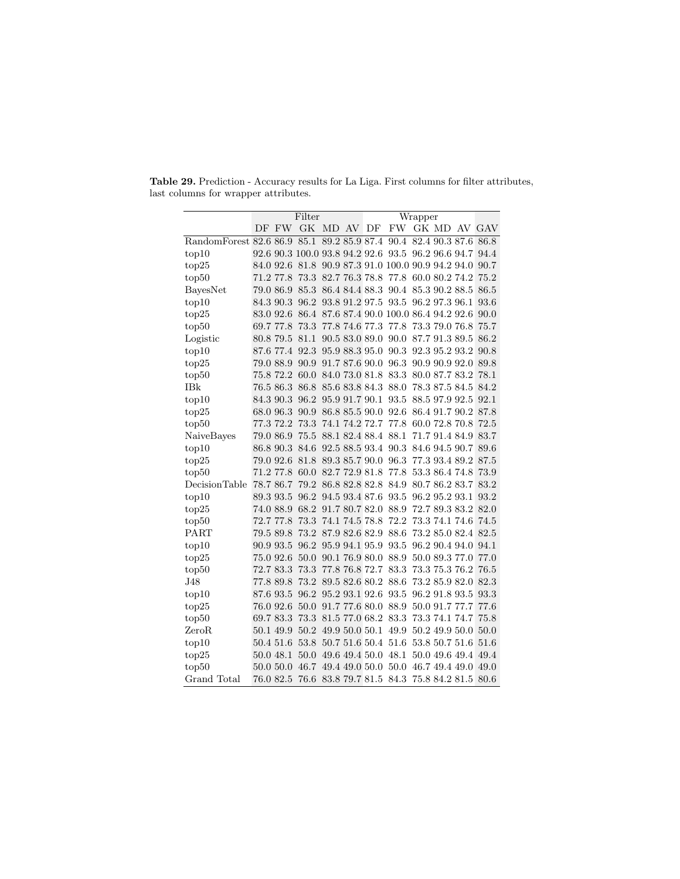|                        | Filter |           |                                     |                |                | Wrapper        |                                     |  |                |                |      |
|------------------------|--------|-----------|-------------------------------------|----------------|----------------|----------------|-------------------------------------|--|----------------|----------------|------|
|                        |        | DF FW     | <b>GK</b>                           | MD AV          |                | DF             | <b>FW</b>                           |  |                | GK MD AV       | GAV  |
| RandomForest 82.6 86.9 |        |           | 85.1                                |                | 89.2 85.9 87.4 |                | 90.4                                |  | 82.4 90.3 87.6 |                | 86.8 |
| top10                  |        |           | 92.6 90.3 100.0 93.8 94.2 92.6 93.5 |                |                |                |                                     |  | 96.2 96.6 94.7 |                | 94.4 |
| top25                  |        | 84.0 92.6 | 81.8                                |                |                |                | 90.9 87.3 91.0 100.0 90.9 94.2 94.0 |  |                |                | 90.7 |
| top50                  |        | 71.2 77.8 | 73.3                                |                | 82.7 76.3 78.8 |                | 77.8                                |  | 60.0 80.2 74.2 |                | 75.2 |
| BayesNet               |        | 79.0 86.9 | 85.3                                |                | 86.4 84.4 88.3 |                | 90.4                                |  | 85.3 90.2 88.5 |                | 86.5 |
| top10                  |        | 84.3 90.3 | 96.2                                |                | 93.8 91.2 97.5 |                | 93.5                                |  | 96.2 97.3 96.1 |                | 93.6 |
| top25                  |        | 83.0 92.6 | 86.4                                |                |                |                | 87.6 87.4 90.0 100.0 86.4 94.2 92.6 |  |                |                | 90.0 |
| top50                  |        | 69.7 77.8 | 73.3                                |                | 77.8 74.6 77.3 |                | 77.8                                |  | 73.3 79.0 76.8 |                | 75.7 |
| Logistic               |        | 80.879.5  | 81.1                                |                | 90.5 83.0 89.0 |                | 90.0                                |  | 87.791.389.5   |                | 86.2 |
| top10                  |        | 87.6 77.4 | 92.3                                | 95.9 88.3 95.0 |                |                | 90.3                                |  | 92.3 95.2 93.2 |                | 90.8 |
| top25                  |        | 79.0 88.9 | 90.9                                | 91.787.690.0   |                |                | 96.3                                |  | 90.9 90.9 92.0 |                | 89.8 |
| top50                  |        | 75.8 72.2 | 60.0                                |                |                |                | 84.0 73.0 81.8 83.3                 |  | 80.0 87.7 83.2 |                | 78.1 |
| <b>IBk</b>             |        | 76.586.3  | 86.8                                |                | 85.6 83.8 84.3 |                | 88.0                                |  | 78.3 87.5 84.5 |                | 84.2 |
| top10                  |        | 84.3 90.3 | 96.2                                |                | 95.9 91.7 90.1 |                | 93.5                                |  | 88.5 97.9 92.5 |                | 92.1 |
| top25                  |        | 68.0 96.3 | 90.9                                |                | 86.8 85.5 90.0 |                | 92.6                                |  | 86.4 91.7 90.2 |                | 87.8 |
| top50                  |        | 77.3 72.2 | 73.3                                |                | 74.1 74.2 72.7 |                | 77.8                                |  | 60.0 72.8 70.8 |                | 72.5 |
| NaiveBayes             |        | 79.0 86.9 | 75.5                                |                |                |                | 88.1 82.4 88.4 88.1                 |  | 71.7 91.4 84.9 |                | 83.7 |
| top10                  |        | 86.8 90.3 | 84.6                                |                | 92.5 88.5 93.4 |                | 90.3                                |  | 84.6 94.5 90.7 |                | 89.6 |
| top25                  |        | 79.0 92.6 | 81.8                                |                | 89.3 85.7 90.0 |                | 96.3                                |  | 77.3 93.4 89.2 |                | 87.5 |
| top50                  |        | 71.2 77.8 | 60.0                                |                | 82.7 72.9 81.8 |                | 77.8                                |  | 53.3 86.4 74.8 |                | 73.9 |
| DecisionTable          |        | 78.786.7  | 79.2                                |                | 86.8 82.8 82.8 |                | 84.9                                |  | 80.786.283.7   |                | 83.2 |
| top10                  |        | 89.393.5  | 96.2                                |                | 94.5 93.4 87.6 |                | 93.5                                |  | 96.2 95.2 93.1 |                | 93.2 |
| top25                  |        | 74.0 88.9 | 68.2                                |                | 91.7 80.7 82.0 |                | 88.9                                |  | 72.789.383.2   |                | 82.0 |
| top50                  |        | 72.7 77.8 | 73.3                                |                | 74.1 74.5 78.8 |                | 72.2                                |  | 73.3 74.1 74.6 |                | 74.5 |
| PART                   |        | 79.589.8  | 73.2                                |                | 87.9 82.6 82.9 |                | 88.6                                |  |                | 73.2 85.0 82.4 | 82.5 |
| top10                  |        | 90.9 93.5 | 96.2                                |                | 95.9 94.1 95.9 |                | 93.5                                |  | 96.2 90.4 94.0 |                | 94.1 |
| top25                  |        | 75.0 92.6 | 50.0                                |                | 90.1 76.9 80.0 |                | 88.9                                |  | 50.0 89.3 77.0 |                | 77.0 |
| top50                  |        | 72.7 83.3 | 73.3                                |                |                | 77.8 76.8 72.7 | 83.3                                |  | 73.3 75.3 76.2 |                | 76.5 |
| J48                    |        | 77.8 89.8 | 73.2                                |                | 89.5 82.6 80.2 |                | 88.6                                |  | 73.2 85.9 82.0 |                | 82.3 |
| top10                  |        | 87.6 93.5 | 96.2                                |                | 95.2 93.1 92.6 |                | 93.5                                |  | 96.2 91.8 93.5 |                | 93.3 |
| top25                  |        | 76.0 92.6 | 50.0                                |                | 91.7 77.6 80.0 |                | 88.9                                |  | 50.0 91.7 77.7 |                | 77.6 |
| top50                  |        | 69.7 83.3 | 73.3                                |                | 81.5 77.0 68.2 |                | 83.3                                |  | 73.3 74.1 74.7 |                | 75.8 |
| ZeroR                  |        | 50.149.9  | 50.2                                |                | 49.9 50.0 50.1 |                | 49.9                                |  | 50.2 49.9 50.0 |                | 50.0 |
| top10                  |        | 50.4 51.6 | 53.8                                |                |                | 50.7 51.6 50.4 | 51.6                                |  | 53.8 50.7 51.6 |                | 51.6 |
| top25                  |        | 50.0 48.1 | 50.0                                |                | 49.6 49.4 50.0 |                | 48.1                                |  | 50.0 49.6 49.4 |                | 49.4 |
| top50                  |        | 50.0 50.0 | 46.7                                |                | 49.4 49.0 50.0 |                | 50.0                                |  | 46.7 49.4 49.0 |                | 49.0 |
| Grand Total            |        | 76.0 82.5 | 76.6                                |                | 83.8 79.7 81.5 |                | 84.3                                |  | 75.8 84.2 81.5 |                | 80.6 |

Table 29. Prediction - Accuracy results for La Liga. First columns for filter attributes, last columns for wrapper attributes.

 $\sim$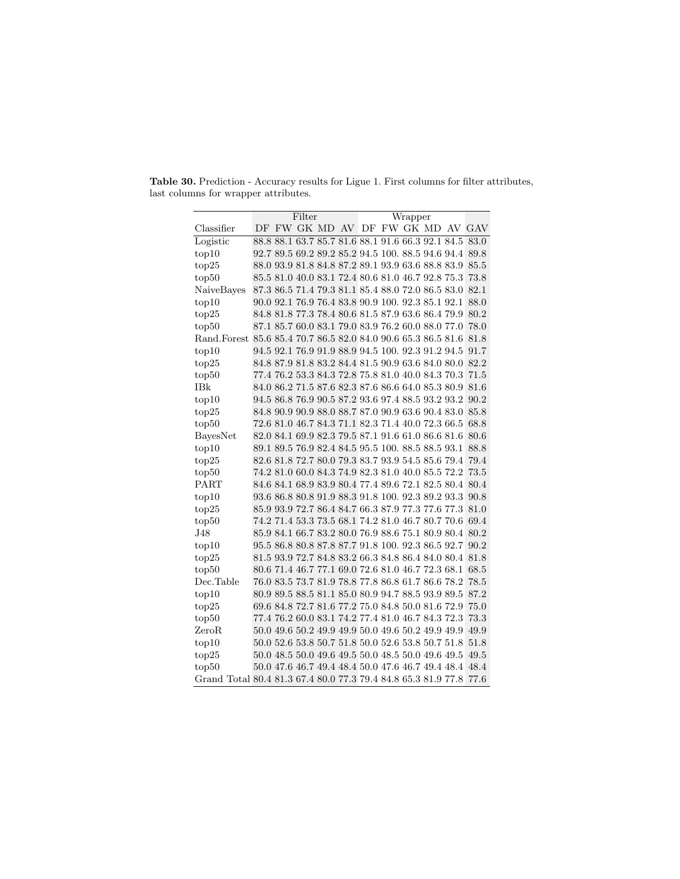|                                                               |                                                                       | Filter |  |  | Wrapper |  |          |
|---------------------------------------------------------------|-----------------------------------------------------------------------|--------|--|--|---------|--|----------|
| Classifier                                                    | DF FW GK MD AV DF FW GK MD AV GAV                                     |        |  |  |         |  |          |
| Logistic                                                      | 88.8 88.1 63.7 85.7 81.6 88.1 91.6 66.3 92.1 84.5                     |        |  |  |         |  | 83.0     |
| top10                                                         | 92.7 89.5 69.2 89.2 85.2 94.5 100. 88.5 94.6 94.4                     |        |  |  |         |  | 89.8     |
| top25                                                         | 88.0 93.9 81.8 84.8 87.2 89.1 93.9 63.6 88.8 83.9                     |        |  |  |         |  | 85.5     |
| top50                                                         | 85.5 81.0 40.0 83.1 72.4 80.6 81.0 46.7 92.8 75.3                     |        |  |  |         |  | 73.8     |
| NaiveBayes                                                    | 87.3 86.5 71.4 79.3 81.1 85.4 88.0 72.0 86.5 83.0                     |        |  |  |         |  | 82.1     |
| top10                                                         | 90.0 92.1 76.9 76.4 83.8 90.9 100. 92.3 85.1 92.1                     |        |  |  |         |  | 88.0     |
| top25                                                         | 84.8 81.8 77.3 78.4 80.6 81.5 87.9 63.6 86.4 79.9                     |        |  |  |         |  | 80.2     |
| top50                                                         | 87.1 85.7 60.0 83.1 79.0 83.9 76.2 60.0 88.0 77.0                     |        |  |  |         |  | 78.0     |
| Rand.Forest                                                   | 85.6 85.4 70.7 86.5 82.0 84.0 90.6 65.3 86.5 81.6                     |        |  |  |         |  | 81.8     |
| top10                                                         | 94.5 92.1 76.9 91.9 88.9 94.5 100. 92.3 91.2 94.5                     |        |  |  |         |  | 91.7     |
| top25                                                         | 84.8 87.9 81.8 83.2 84.4 81.5 90.9 63.6 84.0 80.0                     |        |  |  |         |  | 82.2     |
| top50                                                         | 77.4 76.2 53.3 84.3 72.8 75.8 81.0 40.0 84.3 70.3                     |        |  |  |         |  | 71.5     |
| IBk                                                           | 84.0 86.2 71.5 87.6 82.3 87.6 86.6 64.0 85.3 80.9                     |        |  |  |         |  | 81.6     |
| top10                                                         | 94.5 86.8 76.9 90.5 87.2 93.6 97.4 88.5 93.2 93.2                     |        |  |  |         |  | 90.2     |
| top25                                                         | 84.8 90.9 90.9 88.0 88.7 87.0 90.9 63.6 90.4 83.0                     |        |  |  |         |  | 85.8     |
| top50                                                         | 72.6 81.0 46.7 84.3 71.1 82.3 71.4 40.0 72.3 66.5                     |        |  |  |         |  | 68.8     |
| BayesNet                                                      | 82.0 84.1 69.9 82.3 79.5 87.1 91.6 61.0 86.6 81.6                     |        |  |  |         |  | 80.6     |
| top10                                                         | 89.1 89.5 76.9 82.4 84.5 95.5 100. 88.5 88.5 93.1                     |        |  |  |         |  | 88.8     |
| top25                                                         | 82.6 81.8 72.7 80.0 79.3 83.7 93.9 54.5 85.6 79.4                     |        |  |  |         |  | 79.4     |
| top50                                                         | 74.2 81.0 60.0 84.3 74.9 82.3 81.0 40.0 85.5 72.2                     |        |  |  |         |  | $73.5\,$ |
| PART                                                          | 84.6 84.1 68.9 83.9 80.4 77.4 89.6 72.1 82.5 80.4                     |        |  |  |         |  | 80.4     |
| top10                                                         | 93.6 86.8 80.8 91.9 88.3 91.8 100. 92.3 89.2 93.3                     |        |  |  |         |  | 90.8     |
| top25                                                         | 85.9 93.9 72.7 86.4 84.7 66.3 87.9 77.3 77.6 77.3                     |        |  |  |         |  | 81.0     |
| top50                                                         | 74.2 71.4 53.3 73.5 68.1 74.2 81.0 46.7 80.7 70.6                     |        |  |  |         |  | 69.4     |
| J48                                                           | 85.9 84.1 66.7 83.2 80.0 76.9 88.6 75.1 80.9 80.4                     |        |  |  |         |  | 80.2     |
| top10                                                         | 95.5 86.8 80.8 87.8 87.7 91.8 100. 92.3 86.5 92.7                     |        |  |  |         |  | 90.2     |
| top25                                                         | 81.5 93.9 72.7 84.8 83.2 66.3 84.8 86.4 84.0 80.4                     |        |  |  |         |  | 81.8     |
| top50                                                         | 80.6 71.4 46.7 77.1 69.0 72.6 81.0 46.7 72.3 68.1                     |        |  |  |         |  | 68.5     |
| Dec.Table                                                     | 76.0 83.5 73.7 81.9 78.8 77.8 86.8 61.7 86.6 78.2                     |        |  |  |         |  | 78.5     |
| top10                                                         | 80.9 89.5 88.5 81.1 85.0 80.9 94.7 88.5 93.9 89.5                     |        |  |  |         |  | 87.2     |
| top25                                                         | 69.6 84.8 72.7 81.6 77.2 75.0 84.8 50.0 81.6 72.9                     |        |  |  |         |  | 75.0     |
| top50                                                         | 77.4 76.2 60.0 83.1 74.2 77.4 81.0 46.7 84.3 72.3                     |        |  |  |         |  | 73.3     |
| ZeroR                                                         | 50.0 49.6 50.2 49.9 49.9 50.0 49.6 50.2 49.9 49.9                     |        |  |  |         |  | 49.9     |
| top10                                                         | $50.0\ 52.6\ 53.8\ 50.7\ 51.8\ 50.0\ 52.6\ 53.8\ 50.7\ 51.8$          |        |  |  |         |  | 51.8     |
| top25                                                         | $50.0$ $48.5$ $50.0$ $49.6$ $49.5$ $50.0$ $48.5$ $50.0$ $49.6$ $49.5$ |        |  |  |         |  | 49.5     |
| top50                                                         | 50.0 47.6 46.7 49.4 48.4 50.0 47.6 46.7 49.4 48.4                     |        |  |  |         |  | 48.4     |
| Grand Total 80.4 81.3 67.4 80.0 77.3 79.4 84.8 65.3 81.9 77.8 |                                                                       |        |  |  |         |  | 77.6     |

Table 30. Prediction - Accuracy results for Ligue 1. First columns for filter attributes, last columns for wrapper attributes.

 $\mathbb{R}^2$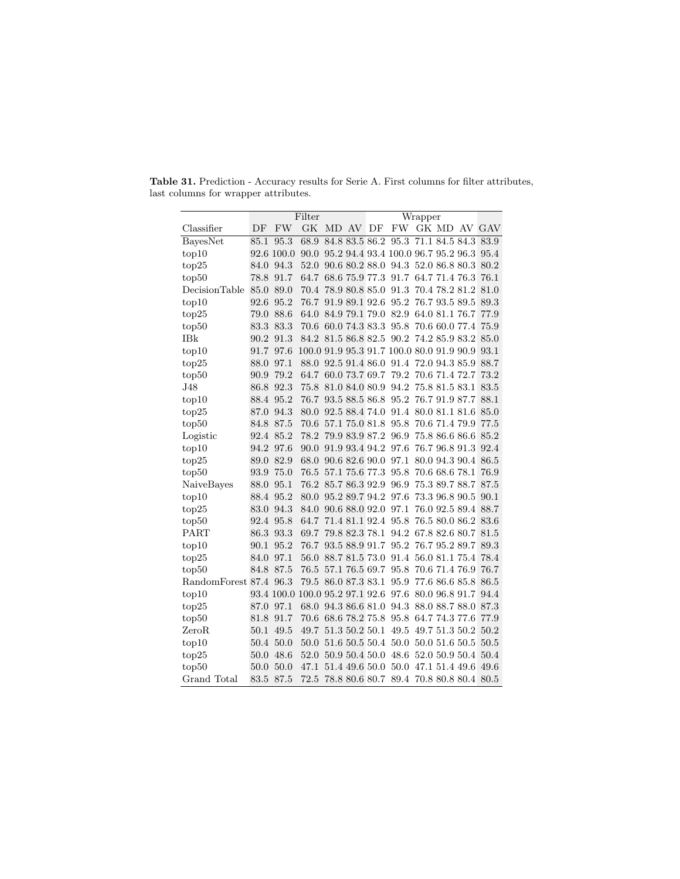|                        |          |                                 | Filter |       |                |                |                                           |         |                |  |              |
|------------------------|----------|---------------------------------|--------|-------|----------------|----------------|-------------------------------------------|---------|----------------|--|--------------|
| Classifier             | DF       | <b>FW</b>                       | GK     | MD AV |                | DF             | <b>FW</b>                                 | Wrapper |                |  | GK MD AV GAV |
| BayesNet               | 85.1     | 95.3                            | 68.9   |       | 84.8 83.5 86.2 |                | 95.3                                      |         | 71.1 84.5 84.3 |  | 83.9         |
| top10                  |          | 92.6 100.0                      | 90.0   |       |                |                | 95.2 94.4 93.4 100.0 96.7 95.2 96.3       |         |                |  | 95.4         |
| top25                  | 84.0     | 94.3                            | 52.0   |       | 90.6 80.2 88.0 |                | 94.3                                      |         | 52.0 86.8 80.3 |  | 80.2         |
| top50                  | 78.8     | 91.7                            | 64.7   |       | 68.6 75.9 77.3 |                | 91.7                                      |         | 64.7 71.4 76.3 |  | 76.1         |
| DecisionTable          | 85.0     | 89.0                            | 70.4   |       | 78.9 80.8 85.0 |                | 91.3                                      |         | 70.4 78.2 81.2 |  | 81.0         |
| top10                  | 92.6     | 95.2                            | 76.7   |       | 91.9 89.1 92.6 |                | 95.2                                      |         | 76.793.589.5   |  | 89.3         |
| top25                  | 79.0     | 88.6                            | 64.0   |       | 84.9 79.1 79.0 |                | 82.9                                      |         | 64.0 81.1 76.7 |  | 77.9         |
| top50                  | 83.3     | 83.3                            | 70.6   |       | 60.0 74.3 83.3 |                | 95.8                                      |         | 70.6 60.0 77.4 |  | 75.9         |
| <b>IBk</b>             | 90.2     | 91.3                            | 84.2   |       | 81.5 86.8 82.5 |                | 90.2                                      |         | 74.2 85.9 83.2 |  | 85.0         |
| top10                  | 91.7     | 97.6                            |        |       |                |                | 100.0 91.9 95.3 91.7 100.0 80.0 91.9 90.9 |         |                |  | 93.1         |
| top25                  | 88.0     | 97.1                            | 88.0   |       |                | 92.5 91.4 86.0 | 91.4                                      |         | 72.0 94.3 85.9 |  | 88.7         |
| top50                  | 90.9     | 79.2                            | 64.7   |       | 60.0 73.7 69.7 |                | 79.2                                      |         | 70.6 71.4 72.7 |  | 73.2         |
| J48                    | 86.8     | 92.3                            | 75.8   |       | 81.0 84.0 80.9 |                | 94.2                                      |         | 75.8 81.5 83.1 |  | 83.5         |
| top10                  | 88.4     | 95.2                            | 76.7   |       | 93.5 88.5 86.8 |                | 95.2                                      |         | 76.791.987.7   |  | 88.1         |
| top25                  | 87.0     | 94.3                            | 80.0   |       | 92.5 88.4 74.0 |                | 91.4                                      |         | 80.0 81.1 81.6 |  | 85.0         |
| top50                  | 84.8     | 87.5                            | 70.6   |       | 57.1 75.0 81.8 |                | 95.8                                      |         | 70.6 71.4 79.9 |  | 77.5         |
| Logistic               |          | 92.4 85.2                       | 78.2   |       | 79.9 83.9 87.2 |                | 96.9                                      |         | 75.8 86.6 86.6 |  | 85.2         |
| top10                  | 94.2     | 97.6                            | 90.0   |       | 91.9 93.4 94.2 |                | 97.6                                      |         | 76.7 96.8 91.3 |  | 92.4         |
| top25                  | 89.0     | 82.9                            | 68.0   |       | 90.6 82.6 90.0 |                | 97.1                                      |         | 80.0 94.3 90.4 |  | 86.5         |
| top50                  | 93.9     | 75.0                            | 76.5   |       | 57.1 75.6 77.3 |                | 95.8                                      |         | 70.6 68.6 78.1 |  | 76.9         |
| NaiveBayes             | 88.0     | 95.1                            | 76.2   |       | 85.786.392.9   |                | 96.9                                      |         | 75.3 89.7 88.7 |  | 87.5         |
| top10                  |          | 88.4 95.2                       | 80.0   |       | 95.2 89.7 94.2 |                | 97.6                                      |         | 73.3 96.8 90.5 |  | 90.1         |
| top25                  | 83.0     | 94.3                            | 84.0   |       | 90.6 88.0 92.0 |                | 97.1                                      |         | 76.0 92.5 89.4 |  | 88.7         |
| top50                  |          | 92.4 95.8                       | 64.7   |       |                |                | 71.4 81.1 92.4 95.8                       |         | 76.5 80.0 86.2 |  | 83.6         |
| PART                   | 86.3     | 93.3                            | 69.7   |       | 79.8 82.3 78.1 |                | 94.2                                      |         | 67.8 82.6 80.7 |  | 81.5         |
| top10                  | 90.1     | 95.2                            | 76.7   |       |                | 93.5 88.9 91.7 | 95.2                                      |         | 76.795.289.7   |  | 89.3         |
| top25                  | 84.0     | 97.1                            | 56.0   |       | 88.7 81.5 73.0 |                | 91.4                                      |         | 56.0 81.1 75.4 |  | 78.4         |
| top50                  | 84.8     | 87.5                            | 76.5   |       | 57.1 76.5 69.7 |                | 95.8                                      |         | 70.6 71.4 76.9 |  | 76.7         |
| RandomForest 87.4 96.3 |          |                                 | 79.5   |       | 86.0 87.3 83.1 |                | 95.9                                      |         | 77.6 86.6 85.8 |  | 86.5         |
| top10                  |          | 93.4 100.0 100.0 95.2 97.1 92.6 |        |       |                |                | 97.6                                      |         | 80.0 96.8 91.7 |  | 94.4         |
| top25                  | 87.0     | 97.1                            | 68.0   |       | 94.3 86.6 81.0 |                | 94.3                                      |         | 88.0 88.7 88.0 |  | 87.3         |
| top50                  | 81.8     | 91.7                            | 70.6   |       | 68.6 78.2 75.8 |                | 95.8                                      |         | 64.7 74.3 77.6 |  | 77.9         |
| ZeroR                  | $50.1\,$ | 49.5                            | 49.7   |       | 51.3 50.2 50.1 |                | 49.5                                      |         | 49.7 51.3 50.2 |  | 50.2         |
| top10                  | 50.4     | 50.0                            | 50.0   |       |                | 51.6 50.5 50.4 | 50.0                                      |         | 50.0 51.6 50.5 |  | 50.5         |
| top25                  | $50.0\,$ | 48.6                            | 52.0   |       | 50.9 50.4 50.0 |                | 48.6                                      |         | 52.0 50.9 50.4 |  | 50.4         |
| top50                  | 50.0     | 50.0                            | 47.1   |       | 51.4 49.6 50.0 |                | 50.0                                      |         | 47.1 51.4 49.6 |  | 49.6         |
| Grand Total            | 83.5     | 87.5                            | 72.5   |       | 78.8 80.6 80.7 |                | 89.4                                      |         | 70.8 80.8 80.4 |  | 80.5         |

Table 31. Prediction - Accuracy results for Serie A. First columns for filter attributes, last columns for wrapper attributes.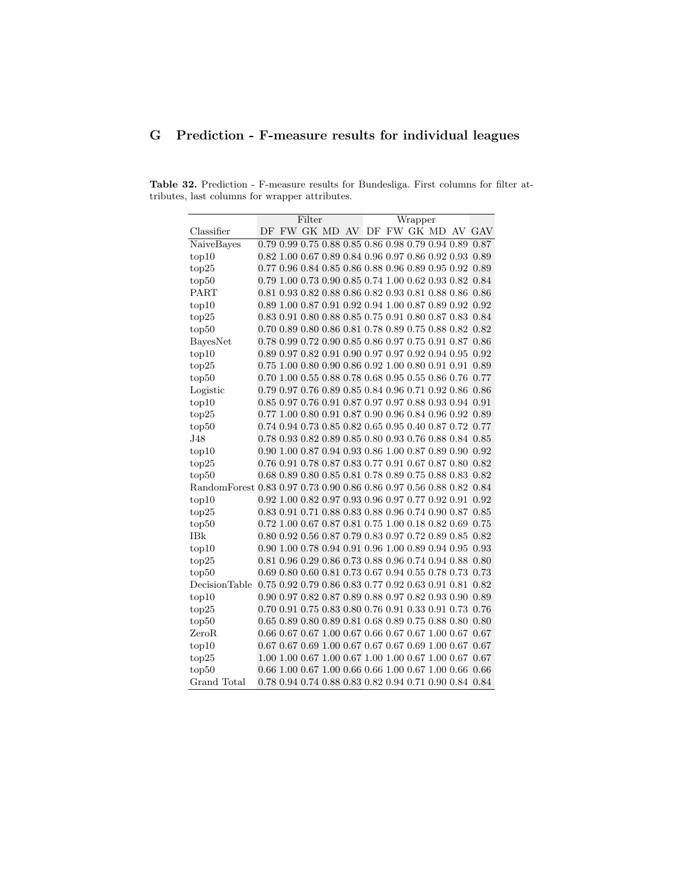# G Prediction - F-measure results for individual leagues

|                                                                |                                                        | Filter |  |  | Wrapper |  |      |
|----------------------------------------------------------------|--------------------------------------------------------|--------|--|--|---------|--|------|
| Classifier                                                     | DF FW GK MD AV DF FW GK MD AV GAV                      |        |  |  |         |  |      |
| NaiveBayes                                                     | 0.79 0.99 0.75 0.88 0.85 0.86 0.98 0.79 0.94 0.89      |        |  |  |         |  | 0.87 |
| top10                                                          | 0.82 1.00 0.67 0.89 0.84 0.96 0.97 0.86 0.92 0.93      |        |  |  |         |  | 0.89 |
| top25                                                          | 0.77 0.96 0.84 0.85 0.86 0.88 0.96 0.89 0.95 0.92      |        |  |  |         |  | 0.89 |
| top50                                                          | 0.79 1.00 0.73 0.90 0.85 0.74 1.00 0.62 0.93 0.82      |        |  |  |         |  | 0.84 |
| PART                                                           | 0.81 0.93 0.82 0.88 0.86 0.82 0.93 0.81 0.88 0.86      |        |  |  |         |  | 0.86 |
| top10                                                          | 0.89 1.00 0.87 0.91 0.92 0.94 1.00 0.87 0.89 0.92      |        |  |  |         |  | 0.92 |
| top25                                                          | 0.83 0.91 0.80 0.88 0.85 0.75 0.91 0.80 0.87 0.83      |        |  |  |         |  | 0.84 |
| top50                                                          | 0.70 0.89 0.80 0.86 0.81 0.78 0.89 0.75 0.88 0.82      |        |  |  |         |  | 0.82 |
| BayesNet                                                       | 0.78 0.99 0.72 0.90 0.85 0.86 0.97 0.75 0.91 0.87      |        |  |  |         |  | 0.86 |
| top10                                                          | 0.89 0.97 0.82 0.91 0.90 0.97 0.97 0.92 0.94 0.95      |        |  |  |         |  | 0.92 |
| top25                                                          | 0.75 1.00 0.80 0.90 0.86 0.92 1.00 0.80 0.91 0.91      |        |  |  |         |  | 0.89 |
| top50                                                          | $0.70$ 1.00 $0.55$ 0.88 0.78 0.68 0.95 0.55 0.86 0.76  |        |  |  |         |  | 0.77 |
| Logistic                                                       | 0.79 0.97 0.76 0.89 0.85 0.84 0.96 0.71 0.92 0.86      |        |  |  |         |  | 0.86 |
| top10                                                          | 0.85 0.97 0.76 0.91 0.87 0.97 0.97 0.88 0.93 0.94      |        |  |  |         |  | 0.91 |
| top25                                                          | 0.77 1.00 0.80 0.91 0.87 0.90 0.96 0.84 0.96 0.92      |        |  |  |         |  | 0.89 |
| top50                                                          | 0.74 0.94 0.73 0.85 0.82 0.65 0.95 0.40 0.87 0.72      |        |  |  |         |  | 0.77 |
| J48                                                            | 0.78 0.93 0.82 0.89 0.85 0.80 0.93 0.76 0.88 0.84      |        |  |  |         |  | 0.85 |
| top10                                                          | 0.90 1.00 0.87 0.94 0.93 0.86 1.00 0.87 0.89 0.90      |        |  |  |         |  | 0.92 |
| top25                                                          | 0.76 0.91 0.78 0.87 0.83 0.77 0.91 0.67 0.87 0.80      |        |  |  |         |  | 0.82 |
| top50                                                          | 0.68 0.89 0.80 0.85 0.81 0.78 0.89 0.75 0.88 0.83      |        |  |  |         |  | 0.82 |
| RandomForest 0.83 0.97 0.73 0.90 0.86 0.86 0.97 0.56 0.88 0.82 |                                                        |        |  |  |         |  | 0.84 |
| top10                                                          | 0.92 1.00 0.82 0.97 0.93 0.96 0.97 0.77 0.92 0.91      |        |  |  |         |  | 0.92 |
| top25                                                          | 0.83 0.91 0.71 0.88 0.83 0.88 0.96 0.74 0.90 0.87      |        |  |  |         |  | 0.85 |
| top50                                                          | 0.72 1.00 0.67 0.87 0.81 0.75 1.00 0.18 0.82 0.69      |        |  |  |         |  | 0.75 |
| <b>IBk</b>                                                     | 0.80 0.92 0.56 0.87 0.79 0.83 0.97 0.72 0.89 0.85      |        |  |  |         |  | 0.82 |
| top10                                                          | 0.90 1.00 0.78 0.94 0.91 0.96 1.00 0.89 0.94 0.95      |        |  |  |         |  | 0.93 |
| top25                                                          | 0.81 0.96 0.29 0.86 0.73 0.88 0.96 0.74 0.94 0.88      |        |  |  |         |  | 0.80 |
| top50                                                          | 0.69 0.80 0.60 0.81 0.73 0.67 0.94 0.55 0.78 0.73      |        |  |  |         |  | 0.73 |
| DecisionTable                                                  | 0.75 0.92 0.79 0.86 0.83 0.77 0.92 0.63 0.91 0.81      |        |  |  |         |  | 0.82 |
| top10                                                          | 0.90 0.97 0.82 0.87 0.89 0.88 0.97 0.82 0.93 0.90      |        |  |  |         |  | 0.89 |
| top25                                                          | 0.70 0.91 0.75 0.83 0.80 0.76 0.91 0.33 0.91 0.73      |        |  |  |         |  | 0.76 |
| top50                                                          | 0.65 0.89 0.80 0.89 0.81 0.68 0.89 0.75 0.88 0.80      |        |  |  |         |  | 0.80 |
| ZeroR                                                          | 0.66 0.67 0.67 1.00 0.67 0.66 0.67 0.67 1.00 0.67      |        |  |  |         |  | 0.67 |
| top10                                                          | 0.67 0.67 0.69 1.00 0.67 0.67 0.67 0.69 1.00 0.67      |        |  |  |         |  | 0.67 |
| top25                                                          | 1.00 1.00 0.67 1.00 0.67 1.00 1.00 0.67 1.00 0.67      |        |  |  |         |  | 0.67 |
| top50                                                          | 0.66 1.00 0.67 1.00 0.66 0.66 1.00 0.67 1.00 0.66      |        |  |  |         |  | 0.66 |
| Grand Total                                                    | 0.78 0.94 0.74 0.88 0.83 0.82 0.94 0.71 0.90 0.84 0.84 |        |  |  |         |  |      |

Table 32. Prediction - F-measure results for Bundesliga. First columns for filter attributes, last columns for wrapper attributes.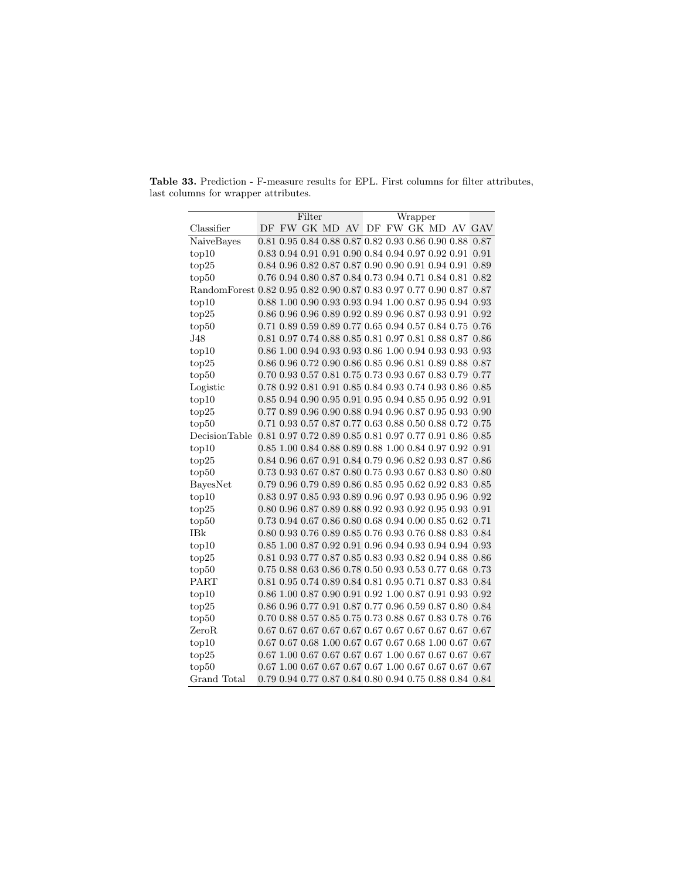|                                                                |  | Filter |  |  | Wrapper |                                                   |                                                   |                                   |
|----------------------------------------------------------------|--|--------|--|--|---------|---------------------------------------------------|---------------------------------------------------|-----------------------------------|
| Classifier                                                     |  |        |  |  |         |                                                   |                                                   | DF FW GK MD AV DF FW GK MD AV GAV |
| NaiveBayes                                                     |  |        |  |  |         | 0.81 0.95 0.84 0.88 0.87 0.82 0.93 0.86 0.90 0.88 |                                                   | 0.87                              |
| top10                                                          |  |        |  |  |         | 0.83 0.94 0.91 0.91 0.90 0.84 0.94 0.97 0.92 0.91 |                                                   | 0.91                              |
| top25                                                          |  |        |  |  |         | 0.84 0.96 0.82 0.87 0.87 0.90 0.90 0.91 0.94 0.91 |                                                   | 0.89                              |
| top50                                                          |  |        |  |  |         | 0.76 0.94 0.80 0.87 0.84 0.73 0.94 0.71 0.84 0.81 |                                                   | 0.82                              |
| RandomForest 0.82 0.95 0.82 0.90 0.87 0.83 0.97 0.77 0.90 0.87 |  |        |  |  |         |                                                   |                                                   | 0.87                              |
| top10                                                          |  |        |  |  |         | 0.88 1.00 0.90 0.93 0.93 0.94 1.00 0.87 0.95 0.94 |                                                   | 0.93                              |
| top25                                                          |  |        |  |  |         | 0.86 0.96 0.96 0.89 0.92 0.89 0.96 0.87 0.93 0.91 |                                                   | 0.92                              |
| top50                                                          |  |        |  |  |         | 0.71 0.89 0.59 0.89 0.77 0.65 0.94 0.57 0.84 0.75 |                                                   | 0.76                              |
| J48                                                            |  |        |  |  |         | 0.81 0.97 0.74 0.88 0.85 0.81 0.97 0.81 0.88 0.87 |                                                   | 0.86                              |
| top10                                                          |  |        |  |  |         | 0.86 1.00 0.94 0.93 0.93 0.86 1.00 0.94 0.93 0.93 |                                                   | 0.93                              |
| top25                                                          |  |        |  |  |         | 0.86 0.96 0.72 0.90 0.86 0.85 0.96 0.81 0.89 0.88 |                                                   | 0.87                              |
| top50                                                          |  |        |  |  |         | 0.70 0.93 0.57 0.81 0.75 0.73 0.93 0.67 0.83 0.79 |                                                   | 0.77                              |
| Logistic                                                       |  |        |  |  |         | 0.78 0.92 0.81 0.91 0.85 0.84 0.93 0.74 0.93 0.86 |                                                   | 0.85                              |
| top10                                                          |  |        |  |  |         | 0.85 0.94 0.90 0.95 0.91 0.95 0.94 0.85 0.95 0.92 |                                                   | 0.91                              |
| top25                                                          |  |        |  |  |         | 0.77 0.89 0.96 0.90 0.88 0.94 0.96 0.87 0.95 0.93 |                                                   | 0.90                              |
| top50                                                          |  |        |  |  |         | 0.71 0.93 0.57 0.87 0.77 0.63 0.88 0.50 0.88 0.72 |                                                   | 0.75                              |
| DecisionTable                                                  |  |        |  |  |         | 0.81 0.97 0.72 0.89 0.85 0.81 0.97 0.77 0.91 0.86 |                                                   | 0.85                              |
| top10                                                          |  |        |  |  |         | 0.85 1.00 0.84 0.88 0.89 0.88 1.00 0.84 0.97 0.92 |                                                   | 0.91                              |
| top25                                                          |  |        |  |  |         | 0.84 0.96 0.67 0.91 0.84 0.79 0.96 0.82 0.93 0.87 |                                                   | 0.86                              |
| top50                                                          |  |        |  |  |         | 0.73 0.93 0.67 0.87 0.80 0.75 0.93 0.67 0.83 0.80 |                                                   | 0.80                              |
| BayesNet                                                       |  |        |  |  |         | 0.79 0.96 0.79 0.89 0.86 0.85 0.95 0.62 0.92 0.83 |                                                   | 0.85                              |
| top10                                                          |  |        |  |  |         | 0.83 0.97 0.85 0.93 0.89 0.96 0.97 0.93 0.95 0.96 |                                                   | 0.92                              |
| top25                                                          |  |        |  |  |         | 0.80 0.96 0.87 0.89 0.88 0.92 0.93 0.92 0.95 0.93 |                                                   | 0.91                              |
| top50                                                          |  |        |  |  |         | 0.73 0.94 0.67 0.86 0.80 0.68 0.94 0.00 0.85 0.62 |                                                   | 0.71                              |
| <b>IBk</b>                                                     |  |        |  |  |         | 0.80 0.93 0.76 0.89 0.85 0.76 0.93 0.76 0.88 0.83 |                                                   | 0.84                              |
| top10                                                          |  |        |  |  |         | 0.85 1.00 0.87 0.92 0.91 0.96 0.94 0.93 0.94 0.94 |                                                   | 0.93                              |
| top25                                                          |  |        |  |  |         | 0.81 0.93 0.77 0.87 0.85 0.83 0.93 0.82 0.94 0.88 |                                                   | 0.86                              |
| top50                                                          |  |        |  |  |         | 0.75 0.88 0.63 0.86 0.78 0.50 0.93 0.53 0.77 0.68 |                                                   | 0.73                              |
| PART                                                           |  |        |  |  |         | 0.81 0.95 0.74 0.89 0.84 0.81 0.95 0.71 0.87 0.83 |                                                   | 0.84                              |
| top10                                                          |  |        |  |  |         | 0.86 1.00 0.87 0.90 0.91 0.92 1.00 0.87 0.91 0.93 |                                                   | 0.92                              |
| top25                                                          |  |        |  |  |         | 0.86 0.96 0.77 0.91 0.87 0.77 0.96 0.59 0.87 0.80 |                                                   | 0.84                              |
| top50                                                          |  |        |  |  |         | 0.70 0.88 0.57 0.85 0.75 0.73 0.88 0.67 0.83 0.78 |                                                   | 0.76                              |
| ZeroR                                                          |  |        |  |  |         |                                                   |                                                   | 0.67                              |
| top10                                                          |  |        |  |  |         | 0.67 0.67 0.68 1.00 0.67 0.67 0.67 0.68 1.00 0.67 |                                                   | 0.67                              |
| top25                                                          |  |        |  |  |         |                                                   | 0.67 1.00 0.67 0.67 0.67 0.67 1.00 0.67 0.67 0.67 | 0.67                              |
| top50                                                          |  |        |  |  |         |                                                   | 0.67 1.00 0.67 0.67 0.67 0.67 1.00 0.67 0.67 0.67 | 0.67                              |
| Grand Total                                                    |  |        |  |  |         |                                                   | 0.79 0.94 0.77 0.87 0.84 0.80 0.94 0.75 0.88 0.84 | 0.84                              |

Table 33. Prediction - F-measure results for EPL. First columns for filter attributes, last columns for wrapper attributes.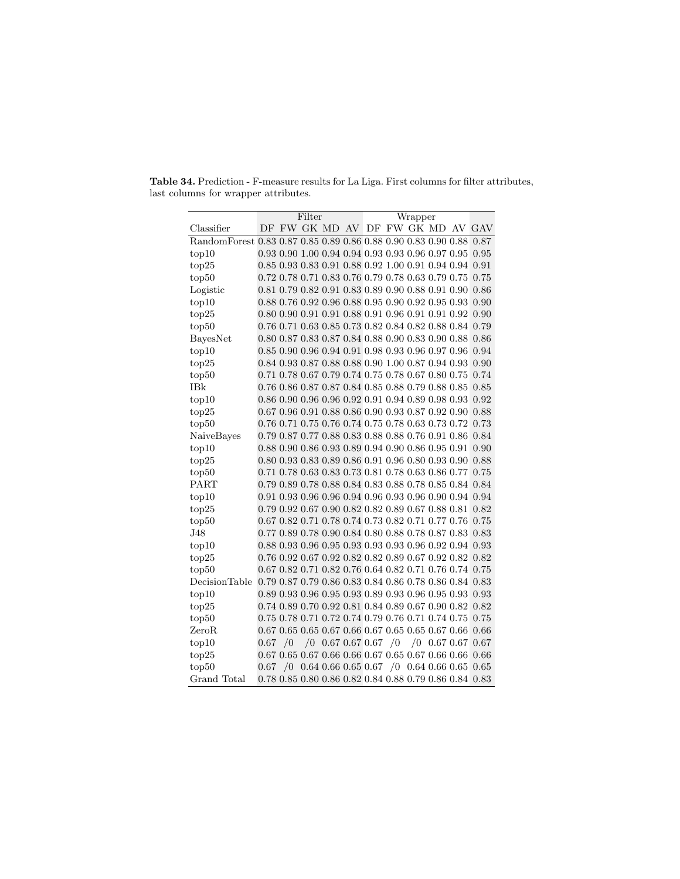|                                                                     |          |                                                              | Filter |                          |  | Wrapper |                                                   |                                                        |
|---------------------------------------------------------------------|----------|--------------------------------------------------------------|--------|--------------------------|--|---------|---------------------------------------------------|--------------------------------------------------------|
| Classifier                                                          |          |                                                              |        |                          |  |         |                                                   | DF FW GK MD AV DF FW GK MD AV GAV                      |
| RandomForest 0.83 0.87 0.85 0.89 0.86 0.88 0.90 0.83 0.90 0.88 0.87 |          |                                                              |        |                          |  |         |                                                   |                                                        |
| top10                                                               |          |                                                              |        |                          |  |         | 0.93 0.90 1.00 0.94 0.94 0.93 0.93 0.96 0.97 0.95 | 0.95                                                   |
| top25                                                               |          |                                                              |        |                          |  |         | 0.85 0.93 0.83 0.91 0.88 0.92 1.00 0.91 0.94 0.94 | 0.91                                                   |
| top50                                                               |          | 0.72 0.78 0.71 0.83 0.76 0.79 0.78 0.63 0.79 0.75            |        |                          |  |         |                                                   | 0.75                                                   |
| Logistic                                                            |          | 0.81 0.79 0.82 0.91 0.83 0.89 0.90 0.88 0.91 0.90            |        |                          |  |         |                                                   | 0.86                                                   |
| top10                                                               |          |                                                              |        |                          |  |         | 0.88 0.76 0.92 0.96 0.88 0.95 0.90 0.92 0.95 0.93 | 0.90                                                   |
| top25                                                               |          |                                                              |        |                          |  |         | 0.80 0.90 0.91 0.91 0.88 0.91 0.96 0.91 0.91 0.92 | 0.90                                                   |
| top50                                                               |          |                                                              |        |                          |  |         | 0.76 0.71 0.63 0.85 0.73 0.82 0.84 0.82 0.88 0.84 | 0.79                                                   |
| BayesNet                                                            |          |                                                              |        |                          |  |         | 0.80 0.87 0.83 0.87 0.84 0.88 0.90 0.83 0.90 0.88 | 0.86                                                   |
| top10                                                               |          |                                                              |        |                          |  |         | 0.85 0.90 0.96 0.94 0.91 0.98 0.93 0.96 0.97 0.96 | 0.94                                                   |
| top25                                                               |          |                                                              |        |                          |  |         | 0.84 0.93 0.87 0.88 0.88 0.90 1.00 0.87 0.94 0.93 | 0.90                                                   |
| top50                                                               |          |                                                              |        |                          |  |         | 0.71 0.78 0.67 0.79 0.74 0.75 0.78 0.67 0.80 0.75 | 0.74                                                   |
| <b>IBk</b>                                                          |          | 0.76 0.86 0.87 0.87 0.84 0.85 0.88 0.79 0.88 0.85            |        |                          |  |         |                                                   | 0.85                                                   |
| top10                                                               |          | 0.86 0.90 0.96 0.96 0.92 0.91 0.94 0.89 0.98 0.93            |        |                          |  |         |                                                   | 0.92                                                   |
| top25                                                               |          | 0.67 0.96 0.91 0.88 0.86 0.90 0.93 0.87 0.92 0.90            |        |                          |  |         |                                                   | 0.88                                                   |
| top50                                                               |          | 0.76 0.71 0.75 0.76 0.74 0.75 0.78 0.63 0.73 0.72            |        |                          |  |         |                                                   | 0.73                                                   |
| NaiveBayes                                                          |          | $0.79\ 0.87\ 0.77\ 0.88\ 0.83\ 0.88\ 0.88\ 0.76\ 0.91\ 0.86$ |        |                          |  |         |                                                   | 0.84                                                   |
| top10                                                               |          | 0.88 0.90 0.86 0.93 0.89 0.94 0.90 0.86 0.95 0.91            |        |                          |  |         |                                                   | 0.90                                                   |
| top25                                                               |          |                                                              |        |                          |  |         | 0.80 0.93 0.83 0.89 0.86 0.91 0.96 0.80 0.93 0.90 | 0.88                                                   |
| top50                                                               |          |                                                              |        |                          |  |         |                                                   | 0.71 0.78 0.63 0.83 0.73 0.81 0.78 0.63 0.86 0.77 0.75 |
| PART                                                                |          |                                                              |        |                          |  |         |                                                   | 0.79 0.89 0.78 0.88 0.84 0.83 0.88 0.78 0.85 0.84 0.84 |
| top10                                                               |          |                                                              |        |                          |  |         |                                                   | 0.91 0.93 0.96 0.96 0.94 0.96 0.93 0.96 0.90 0.94 0.94 |
| top25                                                               |          |                                                              |        |                          |  |         |                                                   | 0.79 0.92 0.67 0.90 0.82 0.82 0.89 0.67 0.88 0.81 0.82 |
| top50                                                               |          |                                                              |        |                          |  |         |                                                   | 0.67 0.82 0.71 0.78 0.74 0.73 0.82 0.71 0.77 0.76 0.75 |
| J48                                                                 |          |                                                              |        |                          |  |         |                                                   | 0.77 0.89 0.78 0.90 0.84 0.80 0.88 0.78 0.87 0.83 0.83 |
| top10                                                               |          |                                                              |        |                          |  |         |                                                   | 0.88 0.93 0.96 0.95 0.93 0.93 0.93 0.96 0.92 0.94 0.93 |
| top25                                                               |          |                                                              |        |                          |  |         |                                                   | 0.76 0.92 0.67 0.92 0.82 0.82 0.89 0.67 0.92 0.82 0.82 |
| top50                                                               |          |                                                              |        |                          |  |         |                                                   | 0.67 0.82 0.71 0.82 0.76 0.64 0.82 0.71 0.76 0.74 0.75 |
| DecisionTable                                                       |          |                                                              |        |                          |  |         |                                                   | 0.79 0.87 0.79 0.86 0.83 0.84 0.86 0.78 0.86 0.84 0.83 |
| top10                                                               |          |                                                              |        |                          |  |         | 0.89 0.93 0.96 0.95 0.93 0.89 0.93 0.96 0.95 0.93 | 0.93                                                   |
| top25                                                               |          | 0.74 0.89 0.70 0.92 0.81 0.84 0.89 0.67 0.90 0.82            |        |                          |  |         |                                                   | 0.82                                                   |
| top50                                                               |          |                                                              |        |                          |  |         | 0.75 0.78 0.71 0.72 0.74 0.79 0.76 0.71 0.74 0.75 | 0.75                                                   |
| ZeroR                                                               |          |                                                              |        |                          |  |         | 0.67 0.65 0.65 0.67 0.66 0.67 0.65 0.65 0.67 0.66 | 0.66                                                   |
| top10                                                               | 0.67     | /0                                                           |        | $/0$ 0.67 0.67 0.67 $/0$ |  |         | $/0$ 0.67 0.67                                    | 0.67                                                   |
| top25                                                               |          |                                                              |        |                          |  |         |                                                   | 0.67 0.65 0.67 0.66 0.66 0.67 0.65 0.67 0.66 0.66 0.66 |
| top50                                                               | $0.67\,$ | /0                                                           |        |                          |  |         | $0.64$ 0.66 0.65 0.67 /0 0.64 0.66 0.65           | 0.65                                                   |
| Grand Total                                                         |          |                                                              |        |                          |  |         |                                                   | 0.78 0.85 0.80 0.86 0.82 0.84 0.88 0.79 0.86 0.84 0.83 |

Table 34. Prediction - F-measure results for La Liga. First columns for filter attributes, last columns for wrapper attributes.

 $\overline{a}$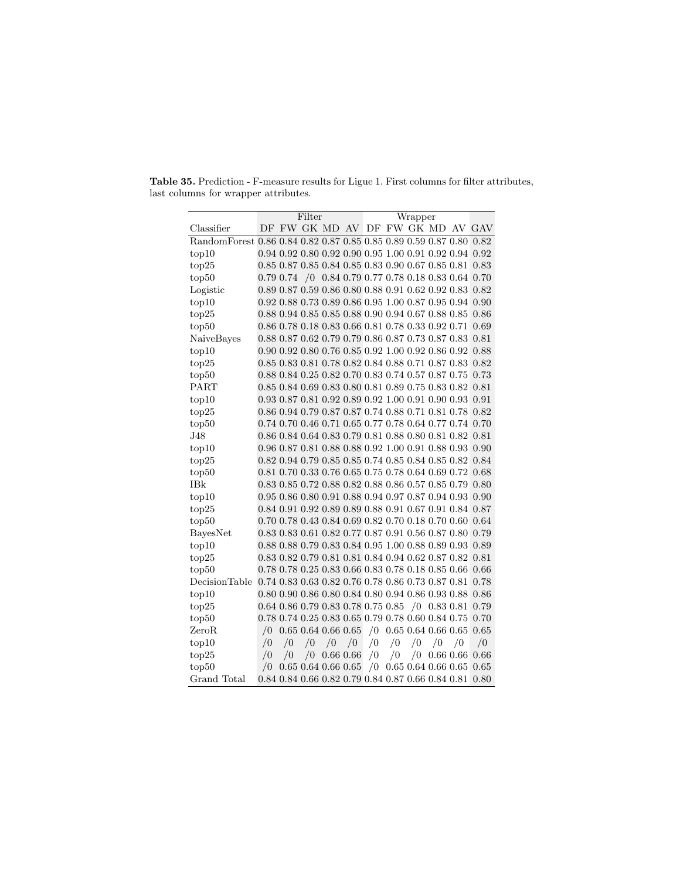|                                                                |    |    | Filter                      |    |                                                              |    |    | Wrapper |                             |                                                              |                                   |
|----------------------------------------------------------------|----|----|-----------------------------|----|--------------------------------------------------------------|----|----|---------|-----------------------------|--------------------------------------------------------------|-----------------------------------|
| Classifier                                                     |    |    |                             |    |                                                              |    |    |         |                             |                                                              | DF FW GK MD AV DF FW GK MD AV GAV |
| RandomForest 0.86 0.84 0.82 0.87 0.85 0.85 0.89 0.59 0.87 0.80 |    |    |                             |    |                                                              |    |    |         |                             |                                                              | 0.82                              |
| top10                                                          |    |    |                             |    |                                                              |    |    |         |                             | 0.94 0.92 0.80 0.92 0.90 0.95 1.00 0.91 0.92 0.94            | 0.92                              |
| top25                                                          |    |    |                             |    | 0.85 0.87 0.85 0.84 0.85 0.83 0.90 0.67 0.85 0.81            |    |    |         |                             |                                                              | 0.83                              |
| top50                                                          |    |    |                             |    | 0.79 0.74 /0 0.84 0.79 0.77 0.78 0.18 0.83 0.64              |    |    |         |                             |                                                              | 0.70                              |
| Logistic                                                       |    |    |                             |    | 0.89 0.87 0.59 0.86 0.80 0.88 0.91 0.62 0.92 0.83            |    |    |         |                             |                                                              | 0.82                              |
| top10                                                          |    |    |                             |    | 0.92 0.88 0.73 0.89 0.86 0.95 1.00 0.87 0.95 0.94            |    |    |         |                             |                                                              | 0.90                              |
| top25                                                          |    |    |                             |    | 0.88 0.94 0.85 0.85 0.88 0.90 0.94 0.67 0.88 0.85            |    |    |         |                             |                                                              | 0.86                              |
| top50                                                          |    |    |                             |    | $0.86\ 0.78\ 0.18\ 0.83\ 0.66\ 0.81\ 0.78\ 0.33\ 0.92\ 0.71$ |    |    |         |                             |                                                              | 0.69                              |
| NaiveBayes                                                     |    |    |                             |    | 0.88 0.87 0.62 0.79 0.79 0.86 0.87 0.73 0.87 0.83            |    |    |         |                             |                                                              | 0.81                              |
| top10                                                          |    |    |                             |    | 0.90 0.92 0.80 0.76 0.85 0.92 1.00 0.92 0.86 0.92            |    |    |         |                             |                                                              | 0.88                              |
| top25                                                          |    |    |                             |    | 0.85 0.83 0.81 0.78 0.82 0.84 0.88 0.71 0.87 0.83            |    |    |         |                             |                                                              | 0.82                              |
| top50                                                          |    |    |                             |    | $0.88\ 0.84\ 0.25\ 0.82\ 0.70\ 0.83\ 0.74\ 0.57\ 0.87\ 0.75$ |    |    |         |                             |                                                              | 0.73                              |
| <b>PART</b>                                                    |    |    |                             |    | 0.85 0.84 0.69 0.83 0.80 0.81 0.89 0.75 0.83 0.82            |    |    |         |                             |                                                              | 0.81                              |
| top10                                                          |    |    |                             |    | 0.93 0.87 0.81 0.92 0.89 0.92 1.00 0.91 0.90 0.93            |    |    |         |                             |                                                              | 0.91                              |
| top25                                                          |    |    |                             |    | 0.86 0.94 0.79 0.87 0.87 0.74 0.88 0.71 0.81 0.78            |    |    |         |                             |                                                              | 0.82                              |
| top50                                                          |    |    |                             |    | 0.74 0.70 0.46 0.71 0.65 0.77 0.78 0.64 0.77 0.74            |    |    |         |                             |                                                              | 0.70                              |
| J48                                                            |    |    |                             |    | 0.86 0.84 0.64 0.83 0.79 0.81 0.88 0.80 0.81 0.82            |    |    |         |                             |                                                              | 0.81                              |
| top10                                                          |    |    |                             |    | 0.96 0.87 0.81 0.88 0.88 0.92 1.00 0.91 0.88 0.93            |    |    |         |                             |                                                              | 0.90                              |
| top25                                                          |    |    |                             |    | 0.82 0.94 0.79 0.85 0.85 0.74 0.85 0.84 0.85 0.82            |    |    |         |                             |                                                              | 0.84                              |
| top50                                                          |    |    |                             |    | 0.81 0.70 0.33 0.76 0.65 0.75 0.78 0.64 0.69 0.72            |    |    |         |                             |                                                              | 0.68                              |
| <b>IBk</b>                                                     |    |    |                             |    |                                                              |    |    |         |                             | 0.83 0.85 0.72 0.88 0.82 0.88 0.86 0.57 0.85 0.79            | 0.80                              |
| top10                                                          |    |    |                             |    |                                                              |    |    |         |                             | 0.95 0.86 0.80 0.91 0.88 0.94 0.97 0.87 0.94 0.93            | 0.90                              |
| top25                                                          |    |    |                             |    |                                                              |    |    |         |                             | $0.84\ 0.91\ 0.92\ 0.89\ 0.89\ 0.88\ 0.91\ 0.67\ 0.91\ 0.84$ | 0.87                              |
| top50                                                          |    |    |                             |    |                                                              |    |    |         |                             | 0.70 0.78 0.43 0.84 0.69 0.82 0.70 0.18 0.70 0.60            | 0.64                              |
| BayesNet                                                       |    |    |                             |    | 0.83 0.83 0.61 0.82 0.77 0.87 0.91 0.56 0.87 0.80            |    |    |         |                             |                                                              | 0.79                              |
| top10                                                          |    |    |                             |    | 0.88 0.88 0.79 0.83 0.84 0.95 1.00 0.88 0.89 0.93            |    |    |         |                             |                                                              | 0.89                              |
| top25                                                          |    |    |                             |    | 0.83 0.82 0.79 0.81 0.81 0.84 0.94 0.62 0.87 0.82            |    |    |         |                             |                                                              | 0.81                              |
| top50                                                          |    |    |                             |    | 0.78 0.78 0.25 0.83 0.66 0.83 0.78 0.18 0.85 0.66            |    |    |         |                             |                                                              | 0.66                              |
| DecisionTable                                                  |    |    |                             |    | 0.74 0.83 0.63 0.82 0.76 0.78 0.86 0.73 0.87 0.81            |    |    |         |                             |                                                              | 0.78                              |
| top10                                                          |    |    |                             |    | 0.80 0.90 0.86 0.80 0.84 0.80 0.94 0.86 0.93 0.88            |    |    |         |                             |                                                              | 0.86                              |
| top25                                                          |    |    |                             |    | $0.64$ 0.86 0.79 0.83 0.78 0.75 0.85 /0 0.83 0.81            |    |    |         |                             |                                                              | 0.79                              |
| top50                                                          |    |    |                             |    | 0.78 0.74 0.25 0.83 0.65 0.79 0.78 0.60 0.84 0.75            |    |    |         |                             |                                                              | 0.70                              |
| ZeroR                                                          | /0 |    | $0.65$ $0.64$ $0.66$ $0.65$ |    |                                                              | /0 |    |         | $0.65$ $0.64$ $0.66$ $0.65$ |                                                              | 0.65                              |
| top10                                                          | /0 | /0 | /0                          | /0 | /0                                                           | /0 | /0 | /0      | /0                          | /0                                                           | /0                                |
| top25                                                          | /0 | /0 | /0                          |    | 0.66 0.66                                                    | /0 | /0 | /0      |                             | $0.66\;0.66$                                                 | 0.66                              |
| top50                                                          | /0 |    |                             |    | 0.65 0.64 0.66 0.65                                          | /0 |    |         | $0.65$ $0.64$ $0.66$ $0.65$ |                                                              | 0.65                              |
| Grand Total                                                    |    |    |                             |    | 0.84 0.84 0.66 0.82 0.79 0.84 0.87 0.66 0.84 0.81            |    |    |         |                             |                                                              | 0.80                              |

Table 35. Prediction - F-measure results for Ligue 1. First columns for filter attributes, last columns for wrapper attributes.

 $\overline{a}$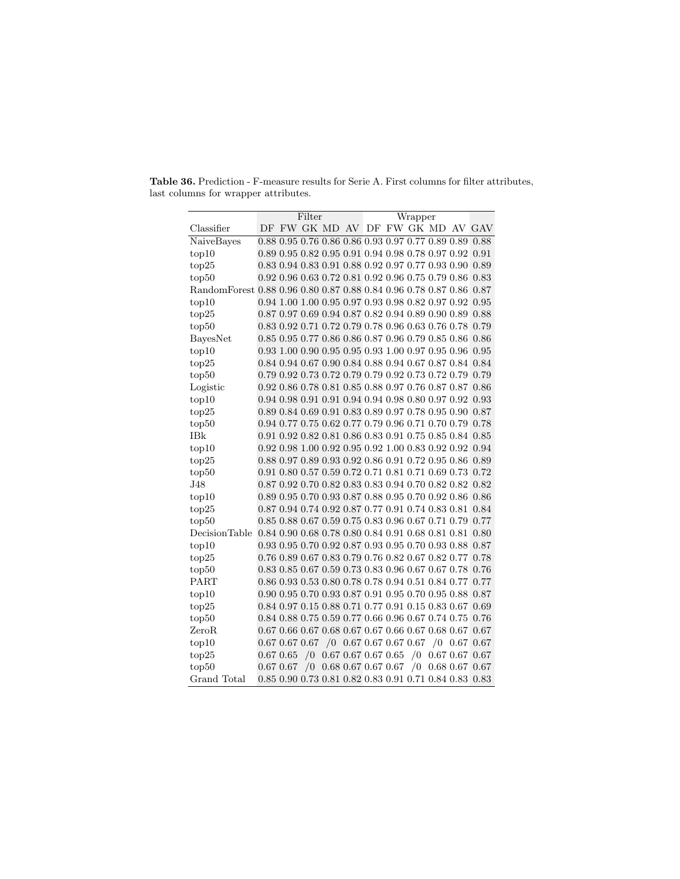|                                                                | Filter |              |            |  |                       |  | Wrapper |    |                                                              |           |                                   |  |
|----------------------------------------------------------------|--------|--------------|------------|--|-----------------------|--|---------|----|--------------------------------------------------------------|-----------|-----------------------------------|--|
| Classifier                                                     |        |              |            |  |                       |  |         |    |                                                              |           | DF FW GK MD AV DF FW GK MD AV GAV |  |
| NaiveBayes                                                     |        |              |            |  |                       |  |         |    | 0.88 0.95 0.76 0.86 0.86 0.93 0.97 0.77 0.89 0.89            |           | 0.88                              |  |
| top10                                                          |        |              |            |  |                       |  |         |    | 0.89 0.95 0.82 0.95 0.91 0.94 0.98 0.78 0.97 0.92            |           | 0.91                              |  |
| top25                                                          |        |              |            |  |                       |  |         |    | 0.83 0.94 0.83 0.91 0.88 0.92 0.97 0.77 0.93 0.90            |           | 0.89                              |  |
| top50                                                          |        |              |            |  |                       |  |         |    | 0.92 0.96 0.63 0.72 0.81 0.92 0.96 0.75 0.79 0.86            |           | 0.83                              |  |
| RandomForest 0.88 0.96 0.80 0.87 0.88 0.84 0.96 0.78 0.87 0.86 |        |              |            |  |                       |  |         |    |                                                              |           | 0.87                              |  |
| top10                                                          |        |              |            |  |                       |  |         |    | 0.94 1.00 1.00 0.95 0.97 0.93 0.98 0.82 0.97 0.92            |           | 0.95                              |  |
| top25                                                          |        |              |            |  |                       |  |         |    | 0.87 0.97 0.69 0.94 0.87 0.82 0.94 0.89 0.90 0.89            |           | 0.88                              |  |
| top50                                                          |        |              |            |  |                       |  |         |    | 0.83 0.92 0.71 0.72 0.79 0.78 0.96 0.63 0.76 0.78            |           | 0.79                              |  |
| BayesNet                                                       |        |              |            |  |                       |  |         |    | 0.85 0.95 0.77 0.86 0.86 0.87 0.96 0.79 0.85 0.86            |           | 0.86                              |  |
| top10                                                          |        |              |            |  |                       |  |         |    | 0.93 1.00 0.90 0.95 0.95 0.93 1.00 0.97 0.95 0.96            |           | 0.95                              |  |
| top25                                                          |        |              |            |  |                       |  |         |    | 0.84 0.94 0.67 0.90 0.84 0.88 0.94 0.67 0.87 0.84            |           | 0.84                              |  |
| top50                                                          |        |              |            |  |                       |  |         |    | 0.79 0.92 0.73 0.72 0.79 0.79 0.92 0.73 0.72 0.79            |           | 0.79                              |  |
| Logistic                                                       |        |              |            |  |                       |  |         |    | 0.92 0.86 0.78 0.81 0.85 0.88 0.97 0.76 0.87 0.87            |           | 0.86                              |  |
| top10                                                          |        |              |            |  |                       |  |         |    | 0.94 0.98 0.91 0.91 0.94 0.94 0.98 0.80 0.97 0.92            |           | 0.93                              |  |
| top25                                                          |        |              |            |  |                       |  |         |    | 0.89 0.84 0.69 0.91 0.83 0.89 0.97 0.78 0.95 0.90            |           | 0.87                              |  |
| top50                                                          |        |              |            |  |                       |  |         |    | 0.94 0.77 0.75 0.62 0.77 0.79 0.96 0.71 0.70 0.79            |           | 0.78                              |  |
| IBk                                                            |        |              |            |  |                       |  |         |    | 0.91 0.92 0.82 0.81 0.86 0.83 0.91 0.75 0.85 0.84            |           | 0.85                              |  |
| top10                                                          |        |              |            |  |                       |  |         |    | 0.92 0.98 1.00 0.92 0.95 0.92 1.00 0.83 0.92 0.92            |           | 0.94                              |  |
| top25                                                          |        |              |            |  |                       |  |         |    | 0.88 0.97 0.89 0.93 0.92 0.86 0.91 0.72 0.95 0.86            |           | 0.89                              |  |
| top50                                                          |        |              |            |  |                       |  |         |    | 0.91 0.80 0.57 0.59 0.72 0.71 0.81 0.71 0.69 0.73            |           | 0.72                              |  |
| J48                                                            |        |              |            |  |                       |  |         |    | 0.87 0.92 0.70 0.82 0.83 0.83 0.94 0.70 0.82 0.82            |           | 0.82                              |  |
| top10                                                          |        |              |            |  |                       |  |         |    | $0.89\ 0.95\ 0.70\ 0.93\ 0.87\ 0.88\ 0.95\ 0.70\ 0.92\ 0.86$ |           | 0.86                              |  |
| top25                                                          |        |              |            |  |                       |  |         |    | 0.87 0.94 0.74 0.92 0.87 0.77 0.91 0.74 0.83 0.81            |           | 0.84                              |  |
| top50                                                          |        |              |            |  |                       |  |         |    | 0.85 0.88 0.67 0.59 0.75 0.83 0.96 0.67 0.71 0.79            |           | 0.77                              |  |
| DecisionTable                                                  |        |              |            |  |                       |  |         |    | 0.84 0.90 0.68 0.78 0.80 0.84 0.91 0.68 0.81 0.81            |           | 0.80                              |  |
| top10                                                          |        |              |            |  |                       |  |         |    | 0.93 0.95 0.70 0.92 0.87 0.93 0.95 0.70 0.93 0.88            |           | 0.87                              |  |
| top25                                                          |        |              |            |  |                       |  |         |    | 0.76 0.89 0.67 0.83 0.79 0.76 0.82 0.67 0.82 0.77            |           | 0.78                              |  |
| top50                                                          |        |              |            |  |                       |  |         |    | 0.83 0.85 0.67 0.59 0.73 0.83 0.96 0.67 0.67 0.78            |           | 0.76                              |  |
| PART                                                           |        |              |            |  |                       |  |         |    | 0.86 0.93 0.53 0.80 0.78 0.78 0.94 0.51 0.84 0.77            |           | 0.77                              |  |
| top10                                                          |        |              |            |  |                       |  |         |    | 0.90 0.95 0.70 0.93 0.87 0.91 0.95 0.70 0.95 0.88            |           | 0.87                              |  |
| top25                                                          |        |              |            |  |                       |  |         |    | 0.84 0.97 0.15 0.88 0.71 0.77 0.91 0.15 0.83 0.67            |           | 0.69                              |  |
| top50                                                          |        |              |            |  |                       |  |         |    | 0.84 0.88 0.75 0.59 0.77 0.66 0.96 0.67 0.74 0.75            |           | 0.76                              |  |
| ZeroR                                                          |        |              |            |  |                       |  |         |    | 0.67 0.66 0.67 0.68 0.67 0.67 0.66 0.67 0.68 0.67            |           | 0.67                              |  |
| top10                                                          |        |              |            |  |                       |  |         |    | $0.67$ 0.67 0.67 $/0$ 0.67 0.67 0.67 0.67 $/0$ 0.67          |           | 0.67                              |  |
| top25                                                          |        | 0.670.65     | $\sqrt{0}$ |  | $0.67$ 0.67 0.67 0.65 |  |         |    | $/0$ 0.67 0.67                                               |           | 0.67                              |  |
| top50                                                          |        | $0.67\;0.67$ | /0         |  | 0.68 0.67 0.67 0.67   |  |         | /0 |                                                              | 0.68 0.67 | 0.67                              |  |
| Grand Total                                                    |        |              |            |  |                       |  |         |    | 0.85 0.90 0.73 0.81 0.82 0.83 0.91 0.71 0.84 0.83            |           | 0.83                              |  |

Table 36. Prediction - F-measure results for Serie A. First columns for filter attributes, last columns for wrapper attributes.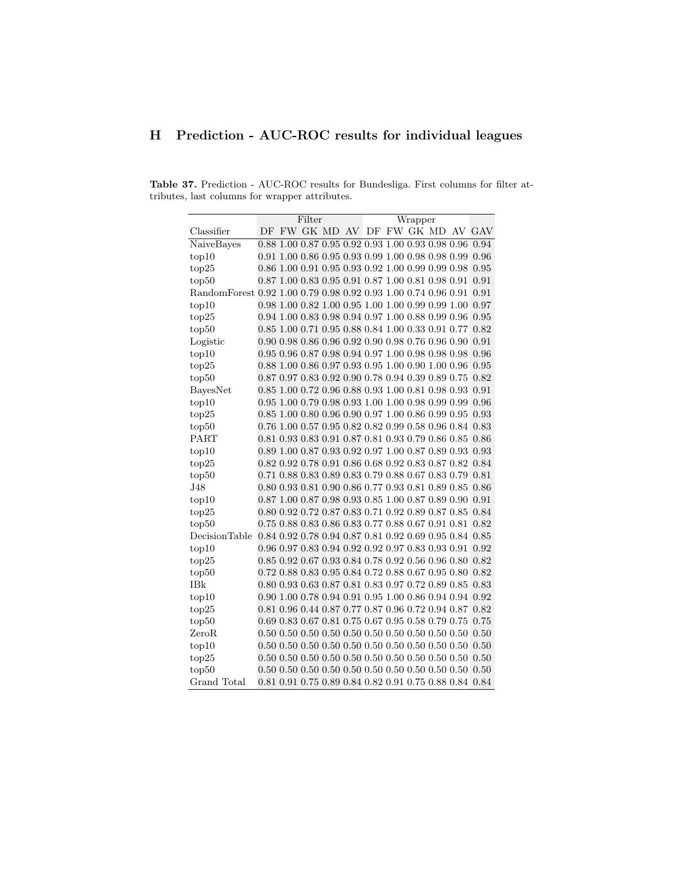# H Prediction - AUC-ROC results for individual leagues

|                                                                | Filter |  |  |  |  |  | Wrapper |  |                                                   |                                                        |                                   |  |
|----------------------------------------------------------------|--------|--|--|--|--|--|---------|--|---------------------------------------------------|--------------------------------------------------------|-----------------------------------|--|
| Classifier                                                     |        |  |  |  |  |  |         |  |                                                   |                                                        | DF FW GK MD AV DF FW GK MD AV GAV |  |
| NaiveBayes                                                     |        |  |  |  |  |  |         |  | 0.88 1.00 0.87 0.95 0.92 0.93 1.00 0.93 0.98 0.96 |                                                        | 0.94                              |  |
| top10                                                          |        |  |  |  |  |  |         |  | 0.91 1.00 0.86 0.95 0.93 0.99 1.00 0.98 0.98 0.99 |                                                        | 0.96                              |  |
| top25                                                          |        |  |  |  |  |  |         |  | 0.86 1.00 0.91 0.95 0.93 0.92 1.00 0.99 0.99 0.98 |                                                        | 0.95                              |  |
| top50                                                          |        |  |  |  |  |  |         |  | 0.87 1.00 0.83 0.95 0.91 0.87 1.00 0.81 0.98 0.91 |                                                        | 0.91                              |  |
| RandomForest 0.92 1.00 0.79 0.98 0.92 0.93 1.00 0.74 0.96 0.91 |        |  |  |  |  |  |         |  |                                                   |                                                        | 0.91                              |  |
| top10                                                          |        |  |  |  |  |  |         |  | 0.98 1.00 0.82 1.00 0.95 1.00 1.00 0.99 0.99 1.00 |                                                        | 0.97                              |  |
| top25                                                          |        |  |  |  |  |  |         |  |                                                   | 0.94 1.00 0.83 0.98 0.94 0.97 1.00 0.88 0.99 0.96      | 0.95                              |  |
| top50                                                          |        |  |  |  |  |  |         |  |                                                   | 0.85 1.00 0.71 0.95 0.88 0.84 1.00 0.33 0.91 0.77      | 0.82                              |  |
| Logistic                                                       |        |  |  |  |  |  |         |  |                                                   | 0.90 0.98 0.86 0.96 0.92 0.90 0.98 0.76 0.96 0.90      | 0.91                              |  |
| top10                                                          |        |  |  |  |  |  |         |  | 0.95 0.96 0.87 0.98 0.94 0.97 1.00 0.98 0.98 0.98 |                                                        | 0.96                              |  |
| top25                                                          |        |  |  |  |  |  |         |  | 0.88 1.00 0.86 0.97 0.93 0.95 1.00 0.90 1.00 0.96 |                                                        | 0.95                              |  |
| top50                                                          |        |  |  |  |  |  |         |  | 0.87 0.97 0.83 0.92 0.90 0.78 0.94 0.39 0.89 0.75 |                                                        | 0.82                              |  |
| BayesNet                                                       |        |  |  |  |  |  |         |  |                                                   | 0.85 1.00 0.72 0.96 0.88 0.93 1.00 0.81 0.98 0.93      | 0.91                              |  |
| top10                                                          |        |  |  |  |  |  |         |  | 0.95 1.00 0.79 0.98 0.93 1.00 1.00 0.98 0.99 0.99 |                                                        | 0.96                              |  |
| top25                                                          |        |  |  |  |  |  |         |  | 0.85 1.00 0.80 0.96 0.90 0.97 1.00 0.86 0.99 0.95 |                                                        | 0.93                              |  |
| top50                                                          |        |  |  |  |  |  |         |  | 0.76 1.00 0.57 0.95 0.82 0.82 0.99 0.58 0.96 0.84 |                                                        | 0.83                              |  |
| PART                                                           |        |  |  |  |  |  |         |  | 0.81 0.93 0.83 0.91 0.87 0.81 0.93 0.79 0.86 0.85 |                                                        | 0.86                              |  |
| top10                                                          |        |  |  |  |  |  |         |  | 0.89 1.00 0.87 0.93 0.92 0.97 1.00 0.87 0.89 0.93 |                                                        | 0.93                              |  |
| top25                                                          |        |  |  |  |  |  |         |  | 0.82 0.92 0.78 0.91 0.86 0.68 0.92 0.83 0.87 0.82 |                                                        | 0.84                              |  |
| top50                                                          |        |  |  |  |  |  |         |  |                                                   | 0.71 0.88 0.83 0.89 0.83 0.79 0.88 0.67 0.83 0.79      | 0.81                              |  |
| J48                                                            |        |  |  |  |  |  |         |  | 0.80 0.93 0.81 0.90 0.86 0.77 0.93 0.81 0.89 0.85 |                                                        | 0.86                              |  |
| top10                                                          |        |  |  |  |  |  |         |  | 0.87 1.00 0.87 0.98 0.93 0.85 1.00 0.87 0.89 0.90 |                                                        | 0.91                              |  |
| top25                                                          |        |  |  |  |  |  |         |  | 0.80 0.92 0.72 0.87 0.83 0.71 0.92 0.89 0.87 0.85 |                                                        | 0.84                              |  |
| top50                                                          |        |  |  |  |  |  |         |  | 0.75 0.88 0.83 0.86 0.83 0.77 0.88 0.67 0.91 0.81 |                                                        | 0.82                              |  |
| DecisionTable                                                  |        |  |  |  |  |  |         |  |                                                   | 0.84 0.92 0.78 0.94 0.87 0.81 0.92 0.69 0.95 0.84      | 0.85                              |  |
| top10                                                          |        |  |  |  |  |  |         |  | 0.96 0.97 0.83 0.94 0.92 0.92 0.97 0.83 0.93 0.91 |                                                        | 0.92                              |  |
| top25                                                          |        |  |  |  |  |  |         |  | 0.85 0.92 0.67 0.93 0.84 0.78 0.92 0.56 0.96 0.80 |                                                        | 0.82                              |  |
| top50                                                          |        |  |  |  |  |  |         |  | 0.72 0.88 0.83 0.95 0.84 0.72 0.88 0.67 0.95 0.80 |                                                        | 0.82                              |  |
| <b>IBk</b>                                                     |        |  |  |  |  |  |         |  | 0.80 0.93 0.63 0.87 0.81 0.83 0.97 0.72 0.89 0.85 |                                                        | 0.83                              |  |
| top10                                                          |        |  |  |  |  |  |         |  | 0.90 1.00 0.78 0.94 0.91 0.95 1.00 0.86 0.94 0.94 |                                                        | 0.92                              |  |
| top25                                                          |        |  |  |  |  |  |         |  | 0.81 0.96 0.44 0.87 0.77 0.87 0.96 0.72 0.94 0.87 |                                                        | 0.82                              |  |
| top50                                                          |        |  |  |  |  |  |         |  | 0.69 0.83 0.67 0.81 0.75 0.67 0.95 0.58 0.79 0.75 |                                                        | 0.75                              |  |
| ZeroR                                                          |        |  |  |  |  |  |         |  |                                                   |                                                        | 0.50                              |  |
| top10                                                          |        |  |  |  |  |  |         |  |                                                   |                                                        |                                   |  |
| top25                                                          |        |  |  |  |  |  |         |  |                                                   |                                                        |                                   |  |
| top50                                                          |        |  |  |  |  |  |         |  |                                                   |                                                        |                                   |  |
| Grand Total                                                    |        |  |  |  |  |  |         |  |                                                   | 0.81 0.91 0.75 0.89 0.84 0.82 0.91 0.75 0.88 0.84 0.84 |                                   |  |

Table 37. Prediction - AUC-ROC results for Bundesliga. First columns for filter attributes, last columns for wrapper attributes.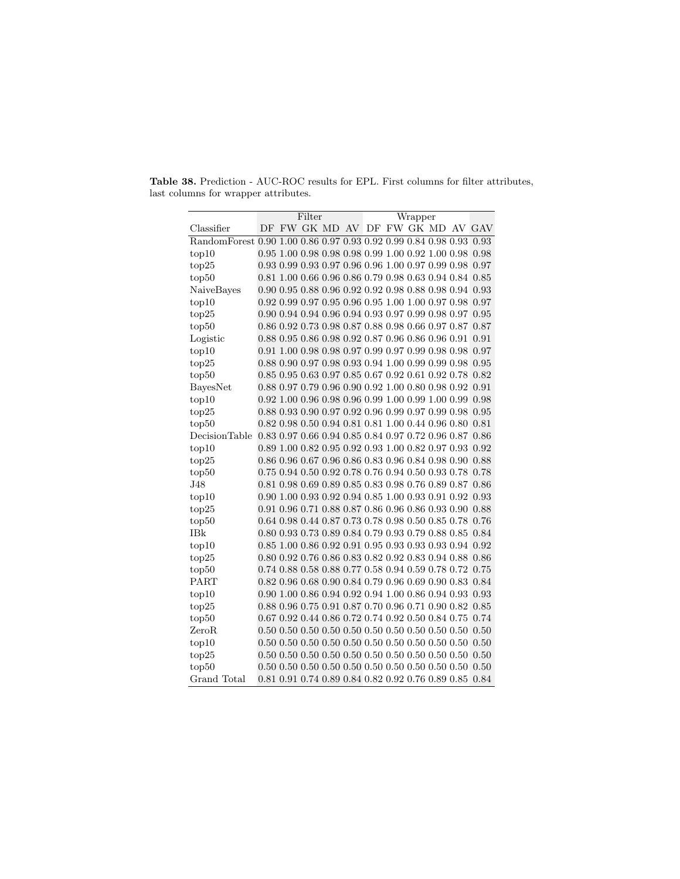|                                                                 |  | Filter |  |  |         |                                                                       |  |                                   |
|-----------------------------------------------------------------|--|--------|--|--|---------|-----------------------------------------------------------------------|--|-----------------------------------|
| Classifier                                                      |  |        |  |  | Wrapper |                                                                       |  | DF FW GK MD AV DF FW GK MD AV GAV |
| RandomForest 0.90 1.00 0.86 0.97 0.93 0.92 0.99 0.84 0.98 0.93  |  |        |  |  |         |                                                                       |  | 0.93                              |
| top10                                                           |  |        |  |  |         | 0.95 1.00 0.98 0.98 0.98 0.99 1.00 0.92 1.00 0.98                     |  | 0.98                              |
| top25                                                           |  |        |  |  |         | 0.93 0.99 0.93 0.97 0.96 0.96 1.00 0.97 0.99 0.98                     |  | 0.97                              |
| top50                                                           |  |        |  |  |         | 0.81 1.00 0.66 0.96 0.86 0.79 0.98 0.63 0.94 0.84                     |  | 0.85                              |
| NaiveBayes                                                      |  |        |  |  |         | 0.90 0.95 0.88 0.96 0.92 0.92 0.98 0.88 0.98 0.94                     |  | 0.93                              |
| top10                                                           |  |        |  |  |         | 0.92 0.99 0.97 0.95 0.96 0.95 1.00 1.00 0.97 0.98                     |  | 0.97                              |
| top25                                                           |  |        |  |  |         | 0.90 0.94 0.94 0.96 0.94 0.93 0.97 0.99 0.98 0.97                     |  | 0.95                              |
| top50                                                           |  |        |  |  |         | 0.86 0.92 0.73 0.98 0.87 0.88 0.98 0.66 0.97 0.87                     |  | 0.87                              |
| Logistic                                                        |  |        |  |  |         | 0.88 0.95 0.86 0.98 0.92 0.87 0.96 0.86 0.96 0.91                     |  | 0.91                              |
| top10                                                           |  |        |  |  |         | 0.91 1.00 0.98 0.98 0.97 0.99 0.97 0.99 0.98 0.98                     |  | 0.97                              |
| top25                                                           |  |        |  |  |         | 0.88 0.90 0.97 0.98 0.93 0.94 1.00 0.99 0.99 0.98                     |  | 0.95                              |
| top50                                                           |  |        |  |  |         | 0.85 0.95 0.63 0.97 0.85 0.67 0.92 0.61 0.92 0.78                     |  | 0.82                              |
| BayesNet                                                        |  |        |  |  |         | 0.88 0.97 0.79 0.96 0.90 0.92 1.00 0.80 0.98 0.92                     |  | 0.91                              |
| top10                                                           |  |        |  |  |         | 0.92 1.00 0.96 0.98 0.96 0.99 1.00 0.99 1.00 0.99                     |  | 0.98                              |
| top25                                                           |  |        |  |  |         | 0.88 0.93 0.90 0.97 0.92 0.96 0.99 0.97 0.99 0.98                     |  | 0.95                              |
| top50                                                           |  |        |  |  |         | 0.82 0.98 0.50 0.94 0.81 0.81 1.00 0.44 0.96 0.80                     |  | 0.81                              |
| DecisionTable 0.83 0.97 0.66 0.94 0.85 0.84 0.97 0.72 0.96 0.87 |  |        |  |  |         |                                                                       |  | 0.86                              |
| top10                                                           |  |        |  |  |         | 0.89 1.00 0.82 0.95 0.92 0.93 1.00 0.82 0.97 0.93                     |  | 0.92                              |
| top25                                                           |  |        |  |  |         | 0.86 0.96 0.67 0.96 0.86 0.83 0.96 0.84 0.98 0.90                     |  | 0.88                              |
| top50                                                           |  |        |  |  |         | 0.75 0.94 0.50 0.92 0.78 0.76 0.94 0.50 0.93 0.78                     |  | 0.78                              |
| J48                                                             |  |        |  |  |         | 0.81 0.98 0.69 0.89 0.85 0.83 0.98 0.76 0.89 0.87                     |  | 0.86                              |
| top10                                                           |  |        |  |  |         | 0.90 1.00 0.93 0.92 0.94 0.85 1.00 0.93 0.91 0.92                     |  | 0.93                              |
| top25                                                           |  |        |  |  |         | 0.91 0.96 0.71 0.88 0.87 0.86 0.96 0.86 0.93 0.90                     |  | 0.88                              |
| top50                                                           |  |        |  |  |         | 0.64 0.98 0.44 0.87 0.73 0.78 0.98 0.50 0.85 0.78                     |  | 0.76                              |
| IBk                                                             |  |        |  |  |         | $0.80$ $0.93$ $0.73$ $0.89$ $0.84$ $0.79$ $0.93$ $0.79$ $0.88$ $0.85$ |  | 0.84                              |
| top10                                                           |  |        |  |  |         | 0.85 1.00 0.86 0.92 0.91 0.95 0.93 0.93 0.93 0.94                     |  | 0.92                              |
| top25                                                           |  |        |  |  |         | $0.80$ $0.92$ $0.76$ $0.86$ $0.83$ $0.82$ $0.92$ $0.83$ $0.94$ $0.88$ |  | 0.86                              |
| top50                                                           |  |        |  |  |         | 0.74 0.88 0.58 0.88 0.77 0.58 0.94 0.59 0.78 0.72                     |  | 0.75                              |
| PART                                                            |  |        |  |  |         | 0.82 0.96 0.68 0.90 0.84 0.79 0.96 0.69 0.90 0.83                     |  | 0.84                              |
| top10                                                           |  |        |  |  |         | 0.90 1.00 0.86 0.94 0.92 0.94 1.00 0.86 0.94 0.93                     |  | 0.93                              |
| top25                                                           |  |        |  |  |         | 0.88 0.96 0.75 0.91 0.87 0.70 0.96 0.71 0.90 0.82                     |  | 0.85                              |
| top50                                                           |  |        |  |  |         | 0.67 0.92 0.44 0.86 0.72 0.74 0.92 0.50 0.84 0.75                     |  | 0.74                              |
| ZeroR                                                           |  |        |  |  |         |                                                                       |  | 0.50                              |
| top10                                                           |  |        |  |  |         |                                                                       |  | 0.50                              |
| top25                                                           |  |        |  |  |         |                                                                       |  | 0.50                              |
| top50                                                           |  |        |  |  |         |                                                                       |  | 0.50                              |
| Grand Total                                                     |  |        |  |  |         | 0.81 0.91 0.74 0.89 0.84 0.82 0.92 0.76 0.89 0.85                     |  | 0.84                              |

Table 38. Prediction - AUC-ROC results for EPL. First columns for filter attributes, last columns for wrapper attributes.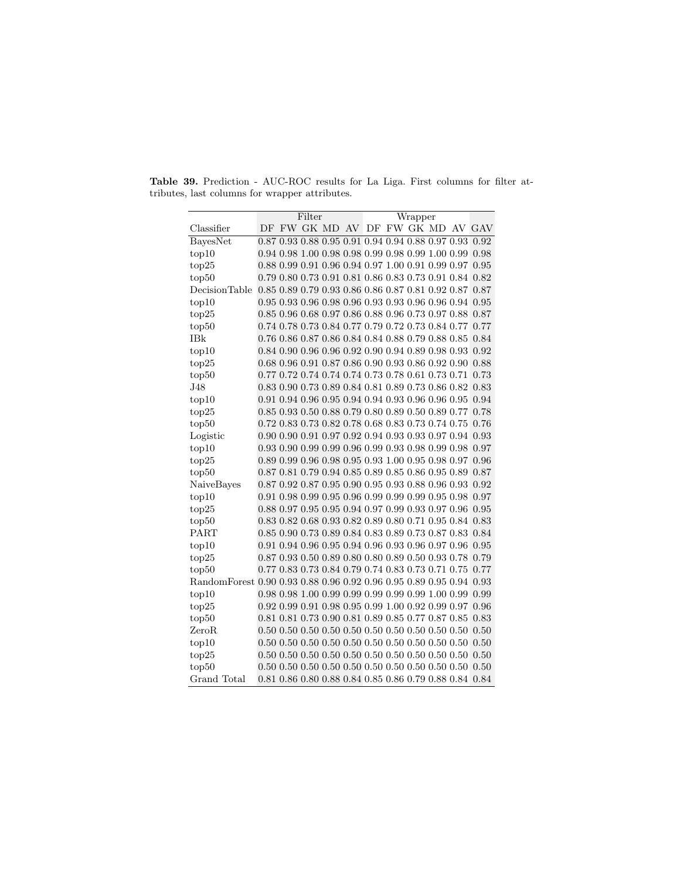|                                                                | Filter |  |  |  |                                                              |  |         |                                                              |                                                        |
|----------------------------------------------------------------|--------|--|--|--|--------------------------------------------------------------|--|---------|--------------------------------------------------------------|--------------------------------------------------------|
| Classifier                                                     |        |  |  |  |                                                              |  | Wrapper |                                                              | DF FW GK MD AV DF FW GK MD AV GAV                      |
| BayesNet                                                       |        |  |  |  | 0.87 0.93 0.88 0.95 0.91 0.94 0.94 0.88 0.97 0.93            |  |         |                                                              | 0.92                                                   |
| top10                                                          |        |  |  |  | 0.94 0.98 1.00 0.98 0.98 0.99 0.98 0.99 1.00 0.99            |  |         |                                                              | 0.98                                                   |
| top25                                                          |        |  |  |  | 0.88 0.99 0.91 0.96 0.94 0.97 1.00 0.91 0.99 0.97            |  |         |                                                              | 0.95                                                   |
| top50                                                          |        |  |  |  |                                                              |  |         | 0.79 0.80 0.73 0.91 0.81 0.86 0.83 0.73 0.91 0.84            | 0.82                                                   |
| DecisionTable                                                  |        |  |  |  | 0.85 0.89 0.79 0.93 0.86 0.86 0.87 0.81 0.92 0.87            |  |         |                                                              | 0.87                                                   |
| top10                                                          |        |  |  |  |                                                              |  |         | 0.95 0.93 0.96 0.98 0.96 0.93 0.93 0.96 0.96 0.94            | 0.95                                                   |
| top25                                                          |        |  |  |  |                                                              |  |         | 0.85 0.96 0.68 0.97 0.86 0.88 0.96 0.73 0.97 0.88            | 0.87                                                   |
| top50                                                          |        |  |  |  | 0.74 0.78 0.73 0.84 0.77 0.79 0.72 0.73 0.84 0.77            |  |         |                                                              | 0.77                                                   |
| <b>IBk</b>                                                     |        |  |  |  | 0.76 0.86 0.87 0.86 0.84 0.84 0.88 0.79 0.88 0.85            |  |         |                                                              | 0.84                                                   |
| top10                                                          |        |  |  |  | 0.84 0.90 0.96 0.96 0.92 0.90 0.94 0.89 0.98 0.93            |  |         |                                                              | 0.92                                                   |
| top25                                                          |        |  |  |  | $0.68\ 0.96\ 0.91\ 0.87\ 0.86\ 0.90\ 0.93\ 0.86\ 0.92\ 0.90$ |  |         |                                                              | 0.88                                                   |
| top50                                                          |        |  |  |  | 0.77 0.72 0.74 0.74 0.74 0.73 0.78 0.61 0.73 0.71            |  |         |                                                              | 0.73                                                   |
| J48                                                            |        |  |  |  | 0.83 0.90 0.73 0.89 0.84 0.81 0.89 0.73 0.86 0.82            |  |         |                                                              | 0.83                                                   |
| top10                                                          |        |  |  |  | 0.91 0.94 0.96 0.95 0.94 0.94 0.93 0.96 0.96 0.95            |  |         |                                                              | 0.94                                                   |
| top25                                                          |        |  |  |  | 0.85 0.93 0.50 0.88 0.79 0.80 0.89 0.50 0.89 0.77            |  |         |                                                              | 0.78                                                   |
| top50                                                          |        |  |  |  | 0.72 0.83 0.73 0.82 0.78 0.68 0.83 0.73 0.74 0.75            |  |         |                                                              | 0.76                                                   |
| Logistic                                                       |        |  |  |  |                                                              |  |         | 0.90 0.90 0.91 0.97 0.92 0.94 0.93 0.93 0.97 0.94            | 0.93                                                   |
| top10                                                          |        |  |  |  | 0.93 0.90 0.99 0.99 0.96 0.99 0.93 0.98 0.99 0.98            |  |         |                                                              | 0.97                                                   |
| top25                                                          |        |  |  |  | 0.89 0.99 0.96 0.98 0.95 0.93 1.00 0.95 0.98 0.97            |  |         |                                                              | 0.96                                                   |
| top50                                                          |        |  |  |  |                                                              |  |         | 0.87 0.81 0.79 0.94 0.85 0.89 0.85 0.86 0.95 0.89            | 0.87                                                   |
| NaiveBayes                                                     |        |  |  |  |                                                              |  |         | 0.87 0.92 0.87 0.95 0.90 0.95 0.93 0.88 0.96 0.93            | 0.92                                                   |
| top10                                                          |        |  |  |  |                                                              |  |         | 0.91 0.98 0.99 0.95 0.96 0.99 0.99 0.99 0.95 0.98            | 0.97                                                   |
| top25                                                          |        |  |  |  |                                                              |  |         | 0.88 0.97 0.95 0.95 0.94 0.97 0.99 0.93 0.97 0.96            | 0.95                                                   |
| top50                                                          |        |  |  |  |                                                              |  |         | $0.83\ 0.82\ 0.68\ 0.93\ 0.82\ 0.89\ 0.80\ 0.71\ 0.95\ 0.84$ | 0.83                                                   |
| <b>PART</b>                                                    |        |  |  |  |                                                              |  |         | 0.85 0.90 0.73 0.89 0.84 0.83 0.89 0.73 0.87 0.83            | 0.84                                                   |
| top10                                                          |        |  |  |  | 0.91 0.94 0.96 0.95 0.94 0.96 0.93 0.96 0.97 0.96            |  |         |                                                              | 0.95                                                   |
| top25                                                          |        |  |  |  |                                                              |  |         | 0.87 0.93 0.50 0.89 0.80 0.80 0.89 0.50 0.93 0.78            | 0.79                                                   |
| top50                                                          |        |  |  |  | 0.77 0.83 0.73 0.84 0.79 0.74 0.83 0.73 0.71 0.75            |  |         |                                                              | 0.77                                                   |
| RandomForest 0.90 0.93 0.88 0.96 0.92 0.96 0.95 0.89 0.95 0.94 |        |  |  |  |                                                              |  |         |                                                              | 0.93                                                   |
| top10                                                          |        |  |  |  | 0.98 0.98 1.00 0.99 0.99 0.99 0.99 0.99 1.00 0.99            |  |         |                                                              | 0.99                                                   |
| top25                                                          |        |  |  |  | 0.92 0.99 0.91 0.98 0.95 0.99 1.00 0.92 0.99 0.97            |  |         |                                                              | 0.96                                                   |
| top50                                                          |        |  |  |  | 0.81 0.81 0.73 0.90 0.81 0.89 0.85 0.77 0.87 0.85            |  |         |                                                              | 0.83                                                   |
| ZeroR                                                          |        |  |  |  |                                                              |  |         |                                                              |                                                        |
| top10                                                          |        |  |  |  |                                                              |  |         |                                                              |                                                        |
| top25                                                          |        |  |  |  |                                                              |  |         |                                                              |                                                        |
| top50                                                          |        |  |  |  |                                                              |  |         |                                                              |                                                        |
| Grand Total                                                    |        |  |  |  |                                                              |  |         |                                                              | 0.81 0.86 0.80 0.88 0.84 0.85 0.86 0.79 0.88 0.84 0.84 |

Table 39. Prediction - AUC-ROC results for La Liga. First columns for filter attributes, last columns for wrapper attributes.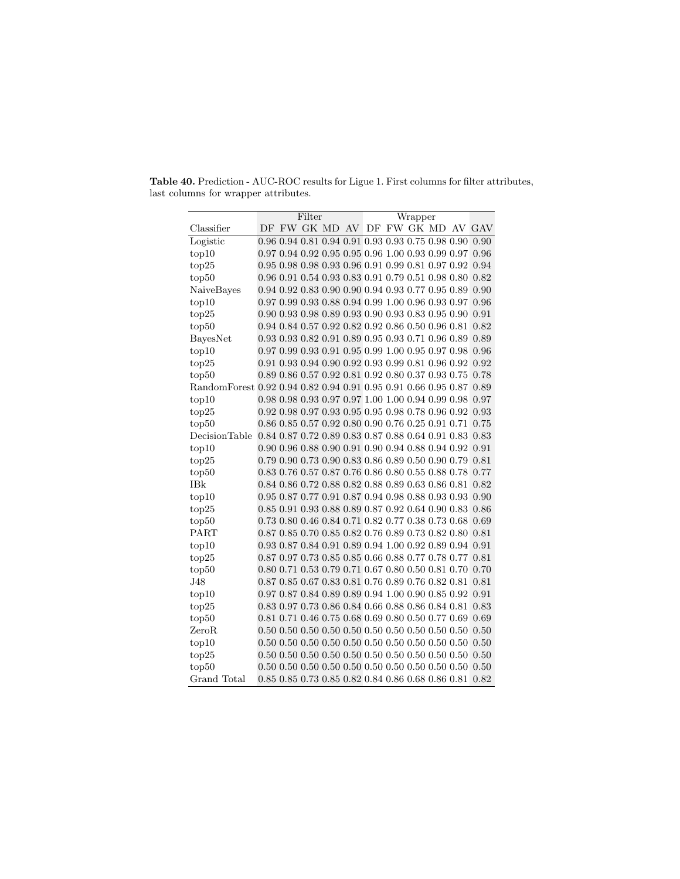|                                                                | Filter |  |  |  |  |  | Wrapper |  |                                                              |                                                   |                                   |  |
|----------------------------------------------------------------|--------|--|--|--|--|--|---------|--|--------------------------------------------------------------|---------------------------------------------------|-----------------------------------|--|
| Classifier                                                     |        |  |  |  |  |  |         |  |                                                              |                                                   | DF FW GK MD AV DF FW GK MD AV GAV |  |
| Logistic                                                       |        |  |  |  |  |  |         |  | 0.96 0.94 0.81 0.94 0.91 0.93 0.93 0.75 0.98 0.90            |                                                   | 0.90                              |  |
| top10                                                          |        |  |  |  |  |  |         |  |                                                              | 0.97 0.94 0.92 0.95 0.95 0.96 1.00 0.93 0.99 0.97 | 0.96                              |  |
| top25                                                          |        |  |  |  |  |  |         |  | 0.95 0.98 0.98 0.93 0.96 0.91 0.99 0.81 0.97 0.92            |                                                   | 0.94                              |  |
| top50                                                          |        |  |  |  |  |  |         |  | 0.96 0.91 0.54 0.93 0.83 0.91 0.79 0.51 0.98 0.80            |                                                   | 0.82                              |  |
| NaiveBayes                                                     |        |  |  |  |  |  |         |  | 0.94 0.92 0.83 0.90 0.90 0.94 0.93 0.77 0.95 0.89            |                                                   | 0.90                              |  |
| top10                                                          |        |  |  |  |  |  |         |  | 0.97 0.99 0.93 0.88 0.94 0.99 1.00 0.96 0.93 0.97            |                                                   | 0.96                              |  |
| top25                                                          |        |  |  |  |  |  |         |  | $0.90\ 0.93\ 0.98\ 0.89\ 0.93\ 0.90\ 0.93\ 0.83\ 0.95\ 0.90$ |                                                   | 0.91                              |  |
| top50                                                          |        |  |  |  |  |  |         |  | 0.94 0.84 0.57 0.92 0.82 0.92 0.86 0.50 0.96 0.81            |                                                   | 0.82                              |  |
| BayesNet                                                       |        |  |  |  |  |  |         |  | 0.93 0.93 0.82 0.91 0.89 0.95 0.93 0.71 0.96 0.89            |                                                   | 0.89                              |  |
| top10                                                          |        |  |  |  |  |  |         |  | 0.97 0.99 0.93 0.91 0.95 0.99 1.00 0.95 0.97 0.98            |                                                   | 0.96                              |  |
| top25                                                          |        |  |  |  |  |  |         |  | 0.91 0.93 0.94 0.90 0.92 0.93 0.99 0.81 0.96 0.92            |                                                   | 0.92                              |  |
| top50                                                          |        |  |  |  |  |  |         |  | 0.89 0.86 0.57 0.92 0.81 0.92 0.80 0.37 0.93 0.75            |                                                   | 0.78                              |  |
| RandomForest 0.92 0.94 0.82 0.94 0.91 0.95 0.91 0.66 0.95 0.87 |        |  |  |  |  |  |         |  |                                                              |                                                   | 0.89                              |  |
| top10                                                          |        |  |  |  |  |  |         |  | 0.98 0.98 0.93 0.97 0.97 1.00 1.00 0.94 0.99 0.98            |                                                   | 0.97                              |  |
| top25                                                          |        |  |  |  |  |  |         |  | $0.92\ 0.98\ 0.97\ 0.93\ 0.95\ 0.95\ 0.98\ 0.78\ 0.96\ 0.92$ |                                                   | 0.93                              |  |
| top50                                                          |        |  |  |  |  |  |         |  | 0.86 0.85 0.57 0.92 0.80 0.90 0.76 0.25 0.91 0.71            |                                                   | 0.75                              |  |
| DecisionTable                                                  |        |  |  |  |  |  |         |  | 0.84 0.87 0.72 0.89 0.83 0.87 0.88 0.64 0.91 0.83            |                                                   | 0.83                              |  |
| top10                                                          |        |  |  |  |  |  |         |  | 0.90 0.96 0.88 0.90 0.91 0.90 0.94 0.88 0.94 0.92            |                                                   | 0.91                              |  |
| top25                                                          |        |  |  |  |  |  |         |  | 0.79 0.90 0.73 0.90 0.83 0.86 0.89 0.50 0.90 0.79            |                                                   | 0.81                              |  |
| top50                                                          |        |  |  |  |  |  |         |  | 0.83 0.76 0.57 0.87 0.76 0.86 0.80 0.55 0.88 0.78            |                                                   | 0.77                              |  |
| IBk                                                            |        |  |  |  |  |  |         |  | 0.84 0.86 0.72 0.88 0.82 0.88 0.89 0.63 0.86 0.81            |                                                   | 0.82                              |  |
| top10                                                          |        |  |  |  |  |  |         |  | 0.95 0.87 0.77 0.91 0.87 0.94 0.98 0.88 0.93 0.93            |                                                   | 0.90                              |  |
| top25                                                          |        |  |  |  |  |  |         |  | 0.85 0.91 0.93 0.88 0.89 0.87 0.92 0.64 0.90 0.83            |                                                   | 0.86                              |  |
| top50                                                          |        |  |  |  |  |  |         |  | 0.73 0.80 0.46 0.84 0.71 0.82 0.77 0.38 0.73 0.68            |                                                   | 0.69                              |  |
| <b>PART</b>                                                    |        |  |  |  |  |  |         |  |                                                              | 0.87 0.85 0.70 0.85 0.82 0.76 0.89 0.73 0.82 0.80 | 0.81                              |  |
| top10                                                          |        |  |  |  |  |  |         |  |                                                              | 0.93 0.87 0.84 0.91 0.89 0.94 1.00 0.92 0.89 0.94 | 0.91                              |  |
| top25                                                          |        |  |  |  |  |  |         |  | 0.87 0.97 0.73 0.85 0.85 0.66 0.88 0.77 0.78 0.77            |                                                   | 0.81                              |  |
| top50                                                          |        |  |  |  |  |  |         |  | 0.80 0.71 0.53 0.79 0.71 0.67 0.80 0.50 0.81 0.70            |                                                   | 0.70                              |  |
| J48                                                            |        |  |  |  |  |  |         |  | 0.87 0.85 0.67 0.83 0.81 0.76 0.89 0.76 0.82 0.81            |                                                   | 0.81                              |  |
| top10                                                          |        |  |  |  |  |  |         |  | 0.97 0.87 0.84 0.89 0.89 0.94 1.00 0.90 0.85 0.92            |                                                   | 0.91                              |  |
| top25                                                          |        |  |  |  |  |  |         |  | 0.83 0.97 0.73 0.86 0.84 0.66 0.88 0.86 0.84 0.81            |                                                   | 0.83                              |  |
| top50                                                          |        |  |  |  |  |  |         |  | 0.81 0.71 0.46 0.75 0.68 0.69 0.80 0.50 0.77 0.69            |                                                   | 0.69                              |  |
| ZeroR                                                          |        |  |  |  |  |  |         |  | $0.50\ 0.50\ 0.50\ 0.50\ 0.50\ 0.50\ 0.50\ 0.50\ 0.50\ 0.50$ |                                                   | 0.50                              |  |
| top10                                                          |        |  |  |  |  |  |         |  |                                                              |                                                   | 0.50                              |  |
| top25                                                          |        |  |  |  |  |  |         |  |                                                              |                                                   | 0.50                              |  |
| top50                                                          |        |  |  |  |  |  |         |  |                                                              |                                                   | 0.50                              |  |
| Grand Total                                                    |        |  |  |  |  |  |         |  | 0.85 0.85 0.73 0.85 0.82 0.84 0.86 0.68 0.86 0.81            |                                                   | 0.82                              |  |

Table 40. Prediction - AUC-ROC results for Ligue 1. First columns for filter attributes, last columns for wrapper attributes.